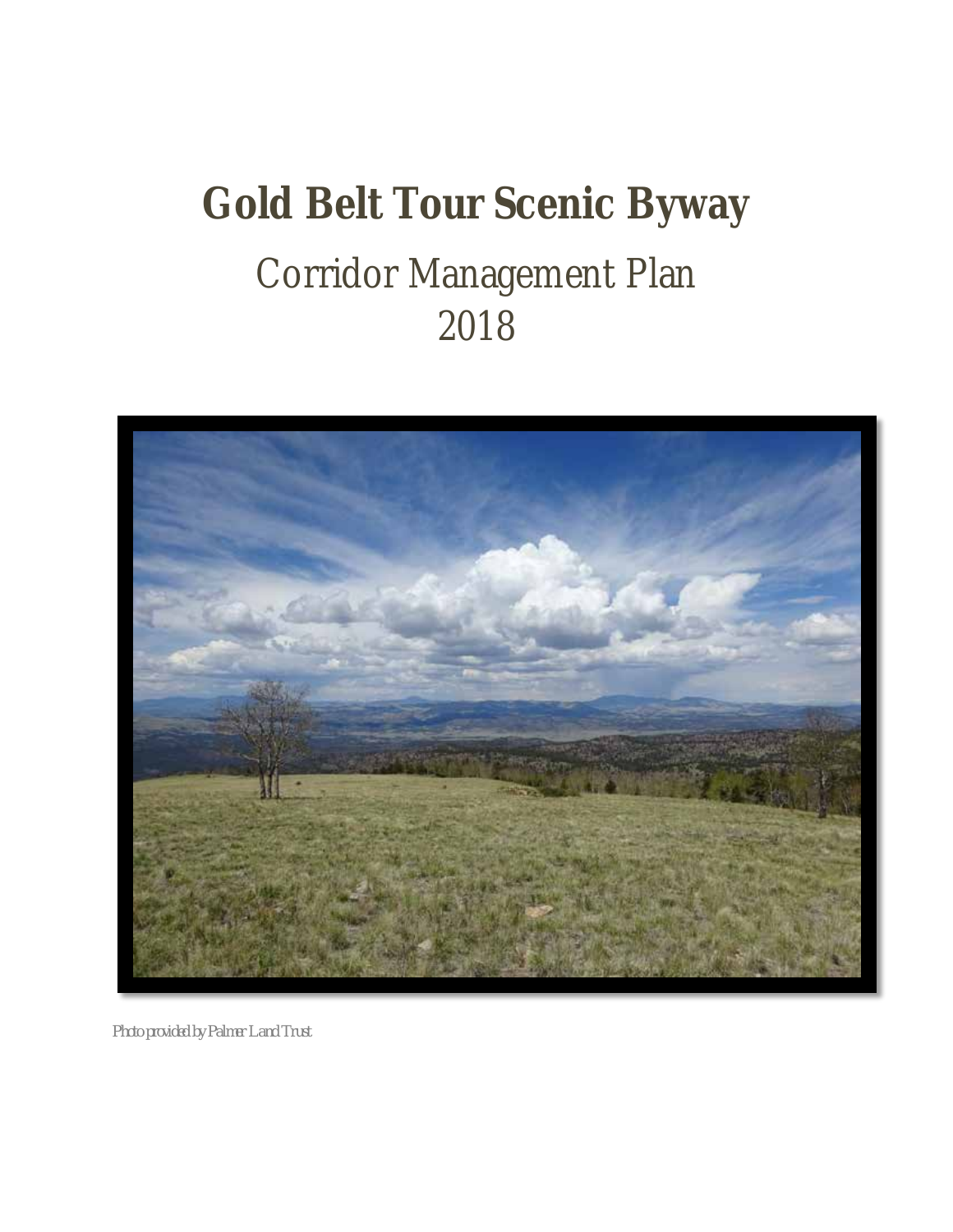# **Gold Belt Tour Scenic Byway** Corridor Management Plan 2018



*Photo provided by Palmer Land Trust*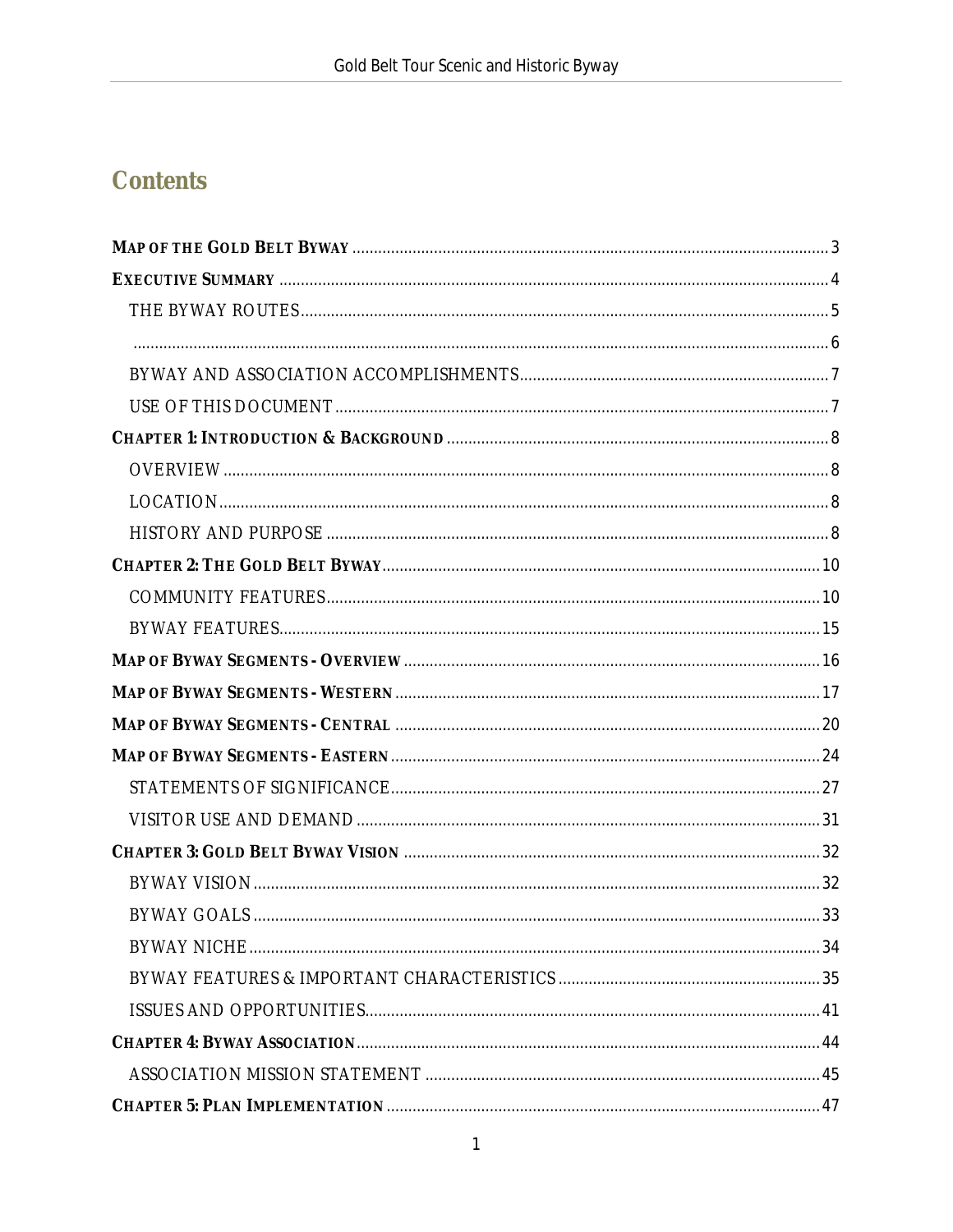# **Contents**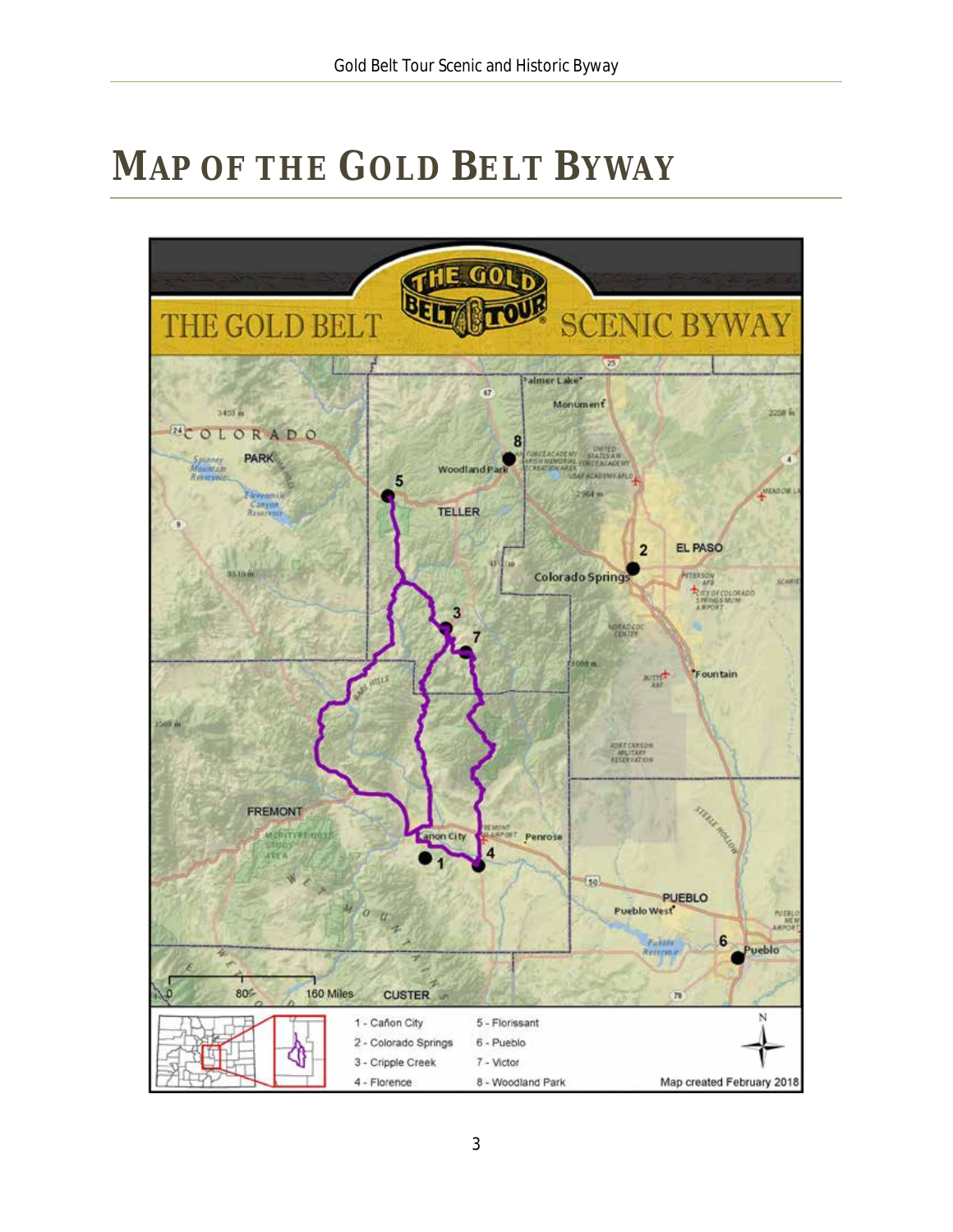# <span id="page-3-0"></span>**MAP OF THE GOLD BELT BYWAY**

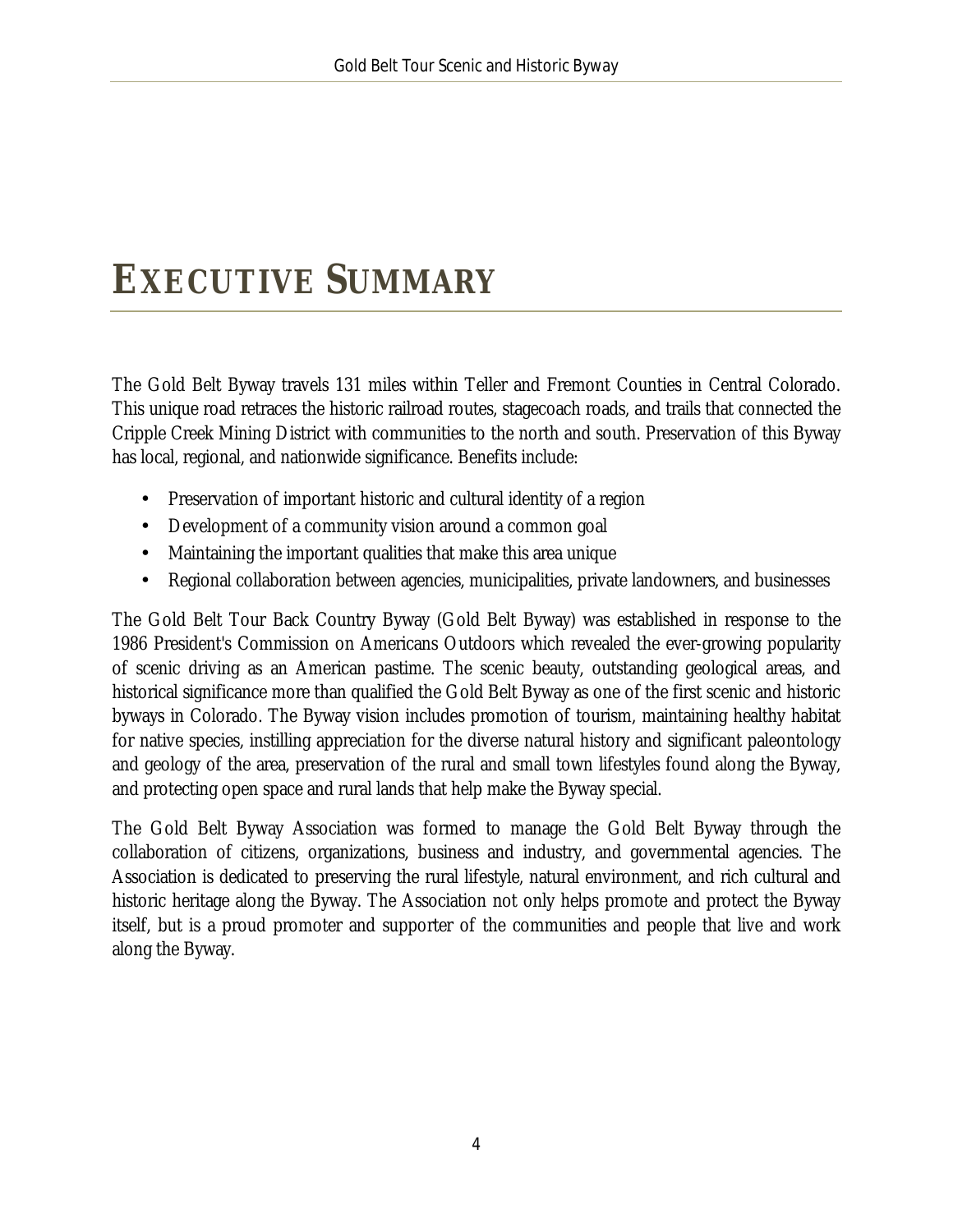# <span id="page-4-0"></span>**EXECUTIVE SUMMARY**

The Gold Belt Byway travels 131 miles within Teller and Fremont Counties in Central Colorado. This unique road retraces the historic railroad routes, stagecoach roads, and trails that connected the Cripple Creek Mining District with communities to the north and south. Preservation of this Byway has local, regional, and nationwide significance. Benefits include:

- Preservation of important historic and cultural identity of a region
- Development of a community vision around a common goal
- Maintaining the important qualities that make this area unique ¥,
- Regional collaboration between agencies, municipalities, private landowners, and businesses

The Gold Belt Tour Back Country Byway (Gold Belt Byway) was established in response to the 1986 President's Commission on Americans Outdoors which revealed the ever-growing popularity of scenic driving as an American pastime. The scenic beauty, outstanding geological areas, and historical significance more than qualified the Gold Belt Byway as one of the first scenic and historic byways in Colorado. The Byway vision includes promotion of tourism, maintaining healthy habitat for native species, instilling appreciation for the diverse natural history and significant paleontology and geology of the area, preservation of the rural and small town lifestyles found along the Byway, and protecting open space and rural lands that help make the Byway special.

The Gold Belt Byway Association was formed to manage the Gold Belt Byway through the collaboration of citizens, organizations, business and industry, and governmental agencies. The Association is dedicated to preserving the rural lifestyle, natural environment, and rich cultural and historic heritage along the Byway. The Association not only helps promote and protect the Byway itself, but is a proud promoter and supporter of the communities and people that live and work along the Byway.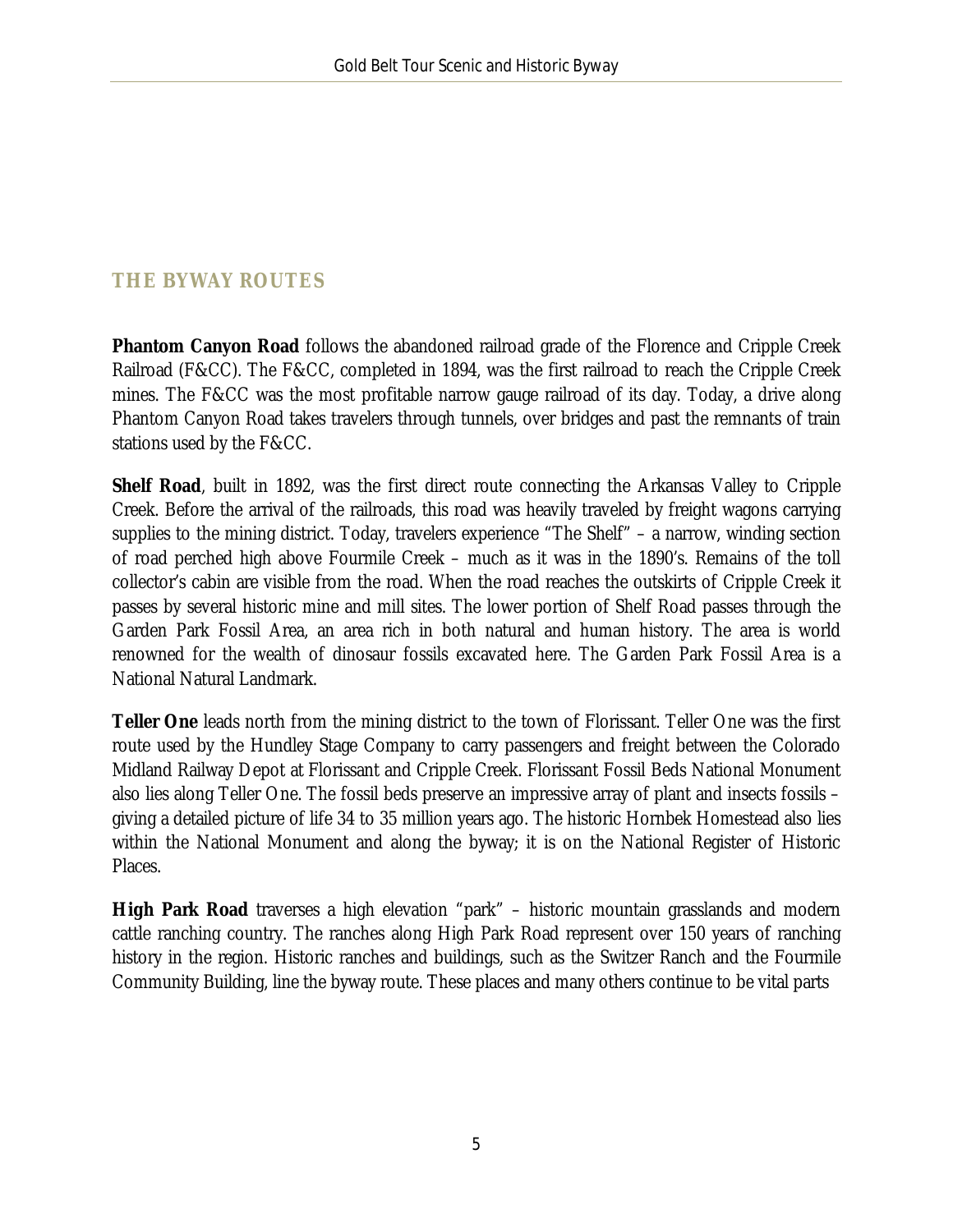## <span id="page-5-0"></span>**THE BYWAY ROUTES**

**Phantom Canyon Road** follows the abandoned railroad grade of the Florence and Cripple Creek Railroad (F&CC). The F&CC, completed in 1894, was the first railroad to reach the Cripple Creek mines. The F&CC was the most profitable narrow gauge railroad of its day. Today, a drive along Phantom Canyon Road takes travelers through tunnels, over bridges and past the remnants of train stations used by the F&CC.

**Shelf Road**, built in 1892, was the first direct route connecting the Arkansas Valley to Cripple Creek. Before the arrival of the railroads, this road was heavily traveled by freight wagons carrying supplies to the mining district. Today, travelers experience "The Shelf" – a narrow, winding section of road perched high above Fourmile Creek – much as it was in the 1890's. Remains of the toll collector's cabin are visible from the road. When the road reaches the outskirts of Cripple Creek it passes by several historic mine and mill sites. The lower portion of Shelf Road passes through the Garden Park Fossil Area, an area rich in both natural and human history. The area is world renowned for the wealth of dinosaur fossils excavated here. The Garden Park Fossil Area is a National Natural Landmark.

**Teller One** leads north from the mining district to the town of Florissant. Teller One was the first route used by the Hundley Stage Company to carry passengers and freight between the Colorado Midland Railway Depot at Florissant and Cripple Creek. Florissant Fossil Beds National Monument also lies along Teller One. The fossil beds preserve an impressive array of plant and insects fossils – giving a detailed picture of life 34 to 35 million years ago. The historic Hornbek Homestead also lies within the National Monument and along the byway; it is on the National Register of Historic Places.

**High Park Road** traverses a high elevation "park" – historic mountain grasslands and modern cattle ranching country. The ranches along High Park Road represent over 150 years of ranching history in the region. Historic ranches and buildings, such as the Switzer Ranch and the Fourmile Community Building, line the byway route. These places and many others continue to be vital parts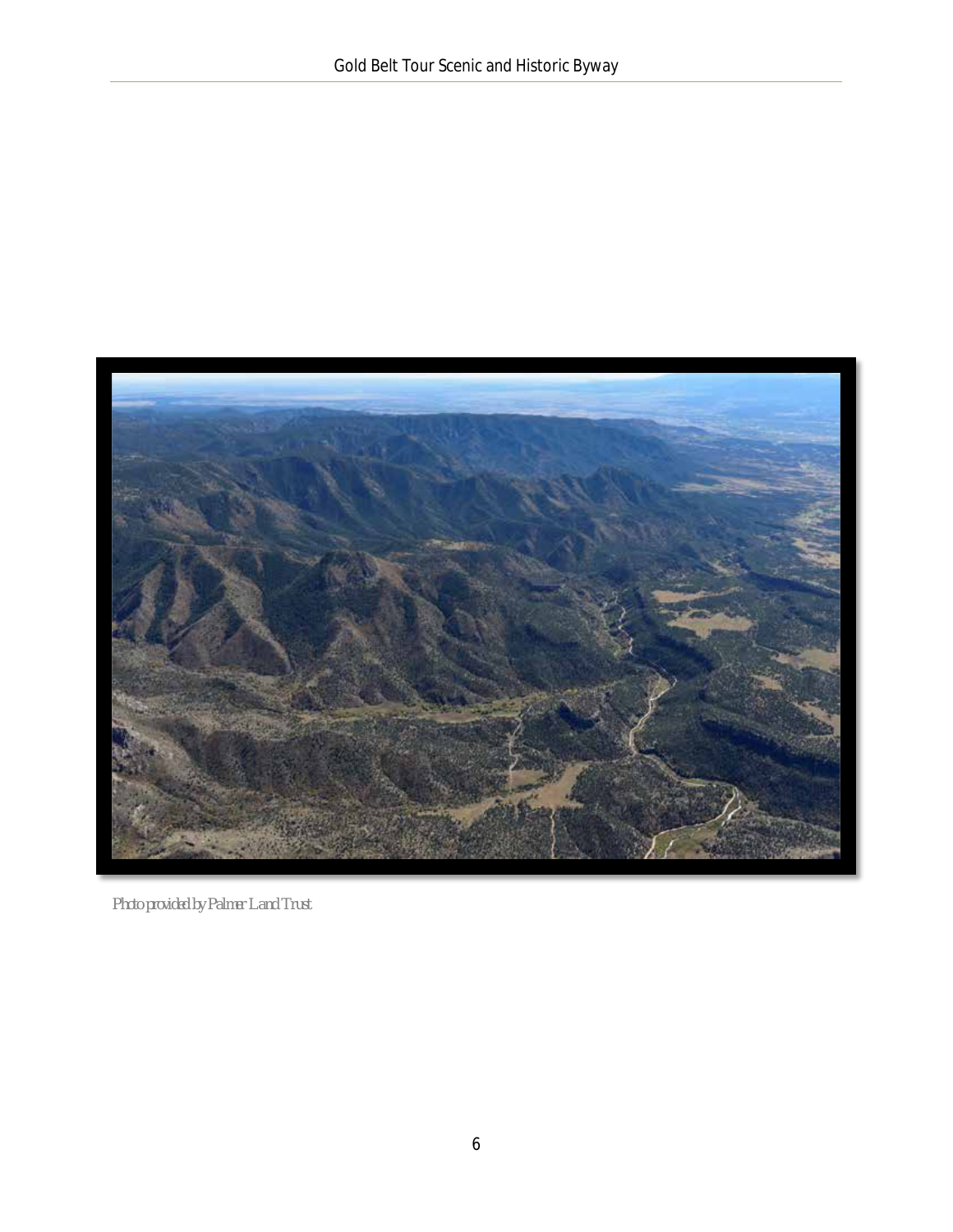<span id="page-6-0"></span>

*Photo provided by Palmer Land Trust*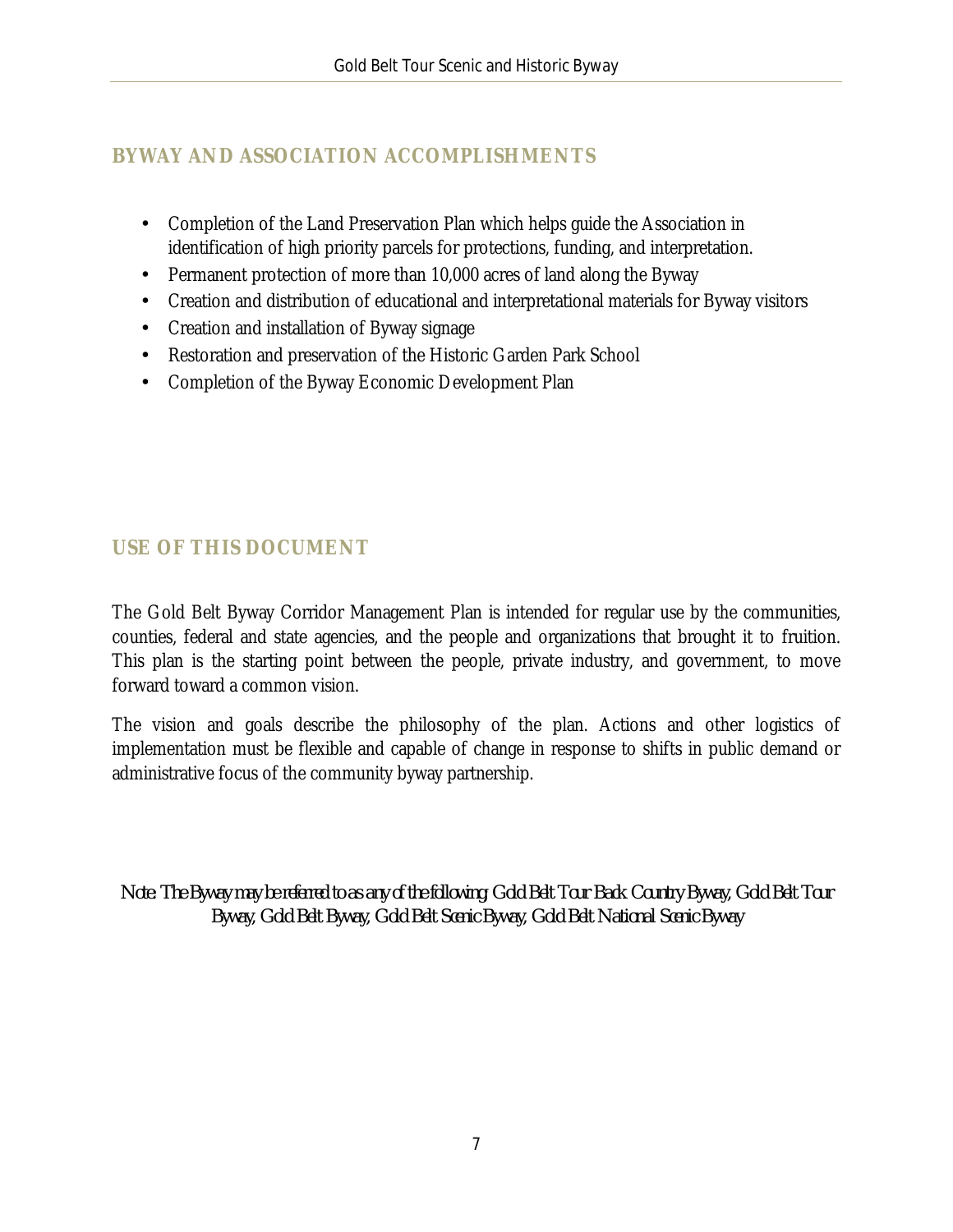### <span id="page-7-0"></span>**BYWAY AND ASSOCIATION ACCOMPLISHMENTS**

- Completion of the Land Preservation Plan which helps guide the Association in  $\mathbb{R}^{\mathbb{Z}}$ identification of high priority parcels for protections, funding, and interpretation.
- Permanent protection of more than 10,000 acres of land along the Byway  $\mathbb{Z}^{\mathbb{Z}}$
- Creation and distribution of educational and interpretational materials for Byway visitors  $\mathbb{R}^{\mathbb{Z}}$
- Creation and installation of Byway signage a.
- Restoration and preservation of the Historic Garden Park School ä.
- Completion of the Byway Economic Development Plan ä,

## <span id="page-7-1"></span>**USE OF THIS DOCUMENT**

The Gold Belt Byway Corridor Management Plan is intended for regular use by the communities, counties, federal and state agencies, and the people and organizations that brought it to fruition. This plan is the starting point between the people, private industry, and government, to move forward toward a common vision.

The vision and goals describe the philosophy of the plan. Actions and other logistics of implementation must be flexible and capable of change in response to shifts in public demand or administrative focus of the community byway partnership.

*Note: The Byway may be referred to as any of the following; Gold Belt Tour Back Country Byway, Gold Belt Tour Byway, Gold Belt Byway, Gold Belt Scenic Byway, Gold Belt National Scenic Byway*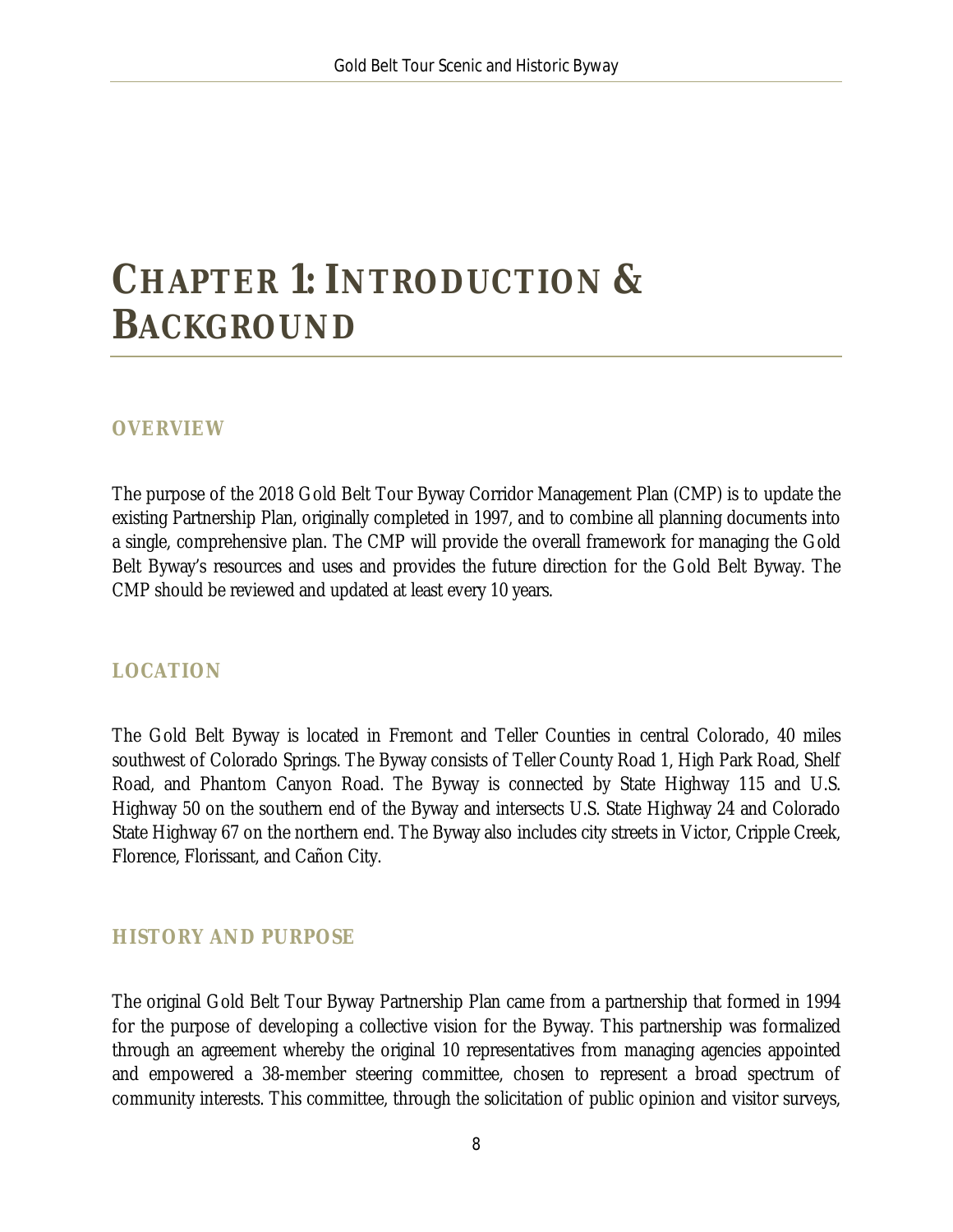# <span id="page-8-0"></span>**CHAPTER 1: INTRODUCTION & BACKGROUND**

#### <span id="page-8-1"></span>**OVERVIEW**

The purpose of the 2018 Gold Belt Tour Byway Corridor Management Plan (CMP) is to update the existing Partnership Plan, originally completed in 1997, and to combine all planning documents into a single, comprehensive plan. The CMP will provide the overall framework for managing the Gold Belt Byway's resources and uses and provides the future direction for the Gold Belt Byway. The CMP should be reviewed and updated at least every 10 years.

#### <span id="page-8-2"></span>**LOCATION**

The Gold Belt Byway is located in Fremont and Teller Counties in central Colorado, 40 miles southwest of Colorado Springs. The Byway consists of Teller County Road 1, High Park Road, Shelf Road, and Phantom Canyon Road. The Byway is connected by State Highway 115 and U.S. Highway 50 on the southern end of the Byway and intersects U.S. State Highway 24 and Colorado State Highway 67 on the northern end. The Byway also includes city streets in Victor, Cripple Creek, Florence, Florissant, and Cañon City.

#### <span id="page-8-3"></span>**HISTORY AND PURPOSE**

The original Gold Belt Tour Byway Partnership Plan came from a partnership that formed in 1994 for the purpose of developing a collective vision for the Byway. This partnership was formalized through an agreement whereby the original 10 representatives from managing agencies appointed and empowered a 38-member steering committee, chosen to represent a broad spectrum of community interests. This committee, through the solicitation of public opinion and visitor surveys,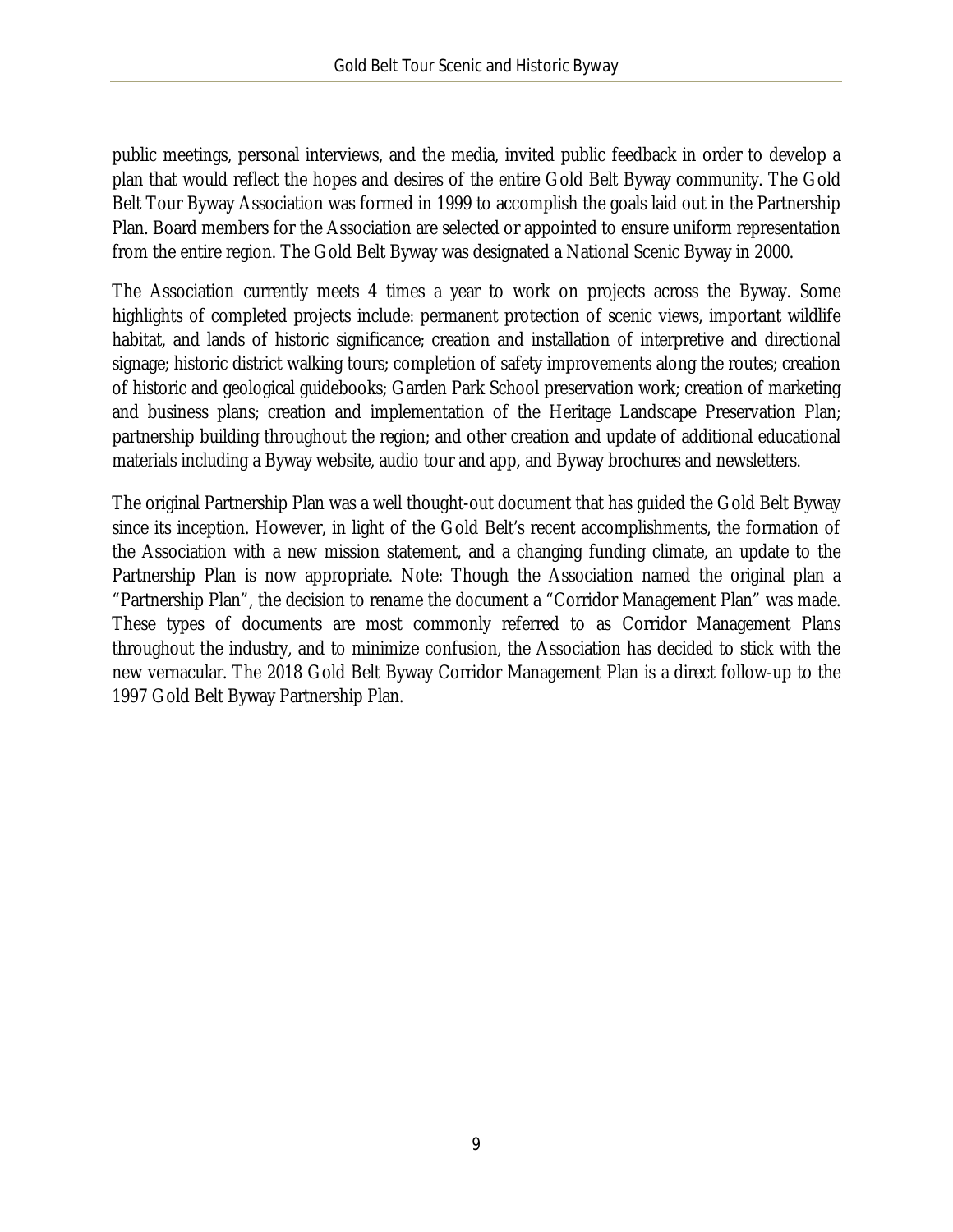public meetings, personal interviews, and the media, invited public feedback in order to develop a plan that would reflect the hopes and desires of the entire Gold Belt Byway community. The Gold Belt Tour Byway Association was formed in 1999 to accomplish the goals laid out in the Partnership Plan. Board members for the Association are selected or appointed to ensure uniform representation from the entire region. The Gold Belt Byway was designated a National Scenic Byway in 2000.

The Association currently meets 4 times a year to work on projects across the Byway. Some highlights of completed projects include: permanent protection of scenic views, important wildlife habitat, and lands of historic significance; creation and installation of interpretive and directional signage; historic district walking tours; completion of safety improvements along the routes; creation of historic and geological guidebooks; Garden Park School preservation work; creation of marketing and business plans; creation and implementation of the Heritage Landscape Preservation Plan; partnership building throughout the region; and other creation and update of additional educational materials including a Byway website, audio tour and app, and Byway brochures and newsletters.

The original Partnership Plan was a well thought-out document that has guided the Gold Belt Byway since its inception. However, in light of the Gold Belt's recent accomplishments, the formation of the Association with a new mission statement, and a changing funding climate, an update to the Partnership Plan is now appropriate. Note: Though the Association named the original plan a "Partnership Plan", the decision to rename the document a "Corridor Management Plan" was made. These types of documents are most commonly referred to as Corridor Management Plans throughout the industry, and to minimize confusion, the Association has decided to stick with the new vernacular. The 2018 Gold Belt Byway Corridor Management Plan is a direct follow-up to the 1997 Gold Belt Byway Partnership Plan.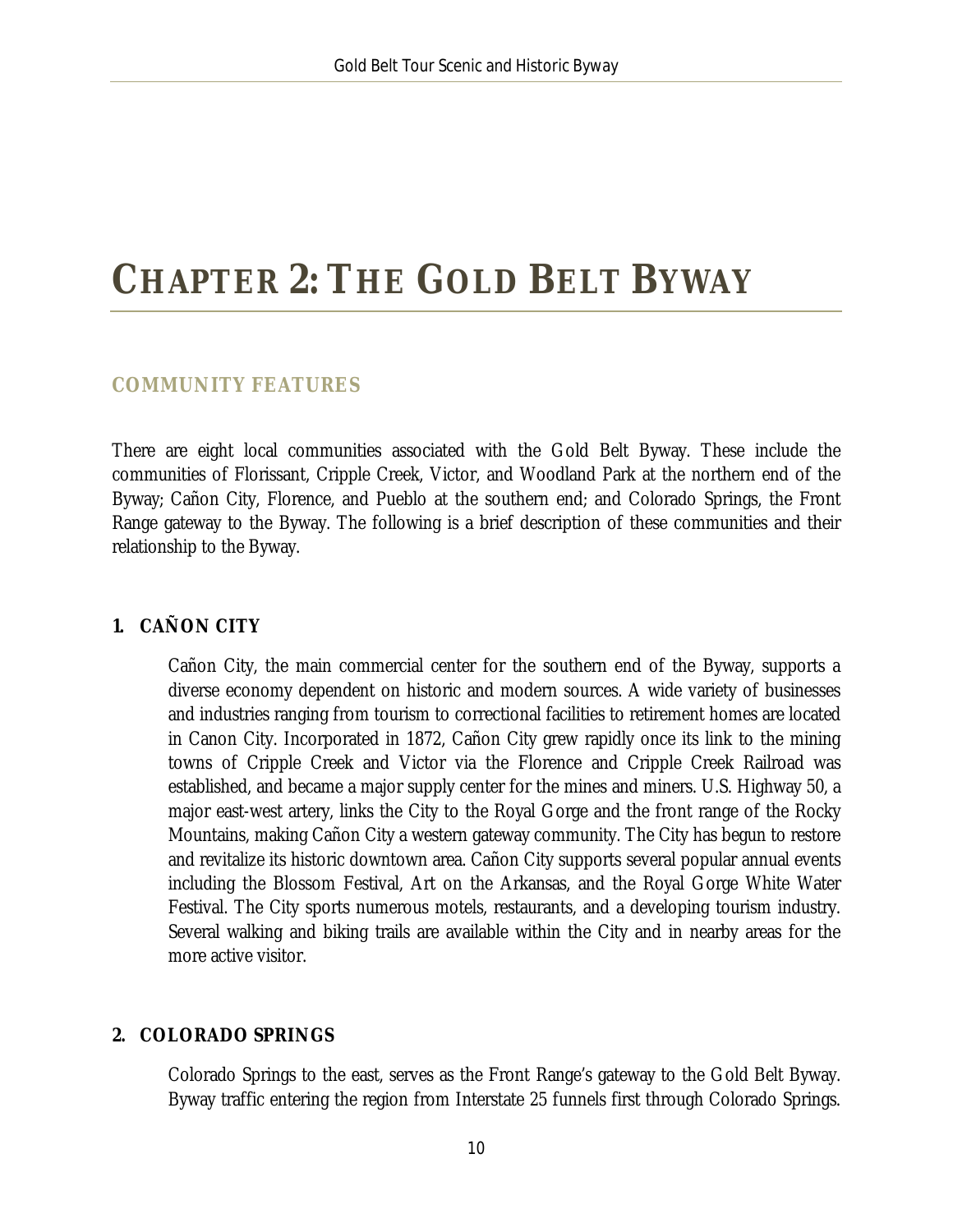# <span id="page-10-0"></span>**CHAPTER 2: THE GOLD BELT BYWAY**

#### <span id="page-10-1"></span>**COMMUNITY FEATURES**

There are eight local communities associated with the Gold Belt Byway. These include the communities of Florissant, Cripple Creek, Victor, and Woodland Park at the northern end of the Byway; Cañon City, Florence, and Pueblo at the southern end; and Colorado Springs, the Front Range gateway to the Byway. The following is a brief description of these communities and their relationship to the Byway.

#### **1. CAÑON CITY**

Cañon City, the main commercial center for the southern end of the Byway, supports a diverse economy dependent on historic and modern sources. A wide variety of businesses and industries ranging from tourism to correctional facilities to retirement homes are located in Canon City. Incorporated in 1872, Cañon City grew rapidly once its link to the mining towns of Cripple Creek and Victor via the Florence and Cripple Creek Railroad was established, and became a major supply center for the mines and miners. U.S. Highway 50, a major east-west artery, links the City to the Royal Gorge and the front range of the Rocky Mountains, making Cañon City a western gateway community. The City has begun to restore and revitalize its historic downtown area. Cañon City supports several popular annual events including the Blossom Festival, Art on the Arkansas, and the Royal Gorge White Water Festival. The City sports numerous motels, restaurants, and a developing tourism industry. Several walking and biking trails are available within the City and in nearby areas for the more active visitor.

#### **2. COLORADO SPRINGS**

Colorado Springs to the east, serves as the Front Range's gateway to the Gold Belt Byway. Byway traffic entering the region from Interstate 25 funnels first through Colorado Springs.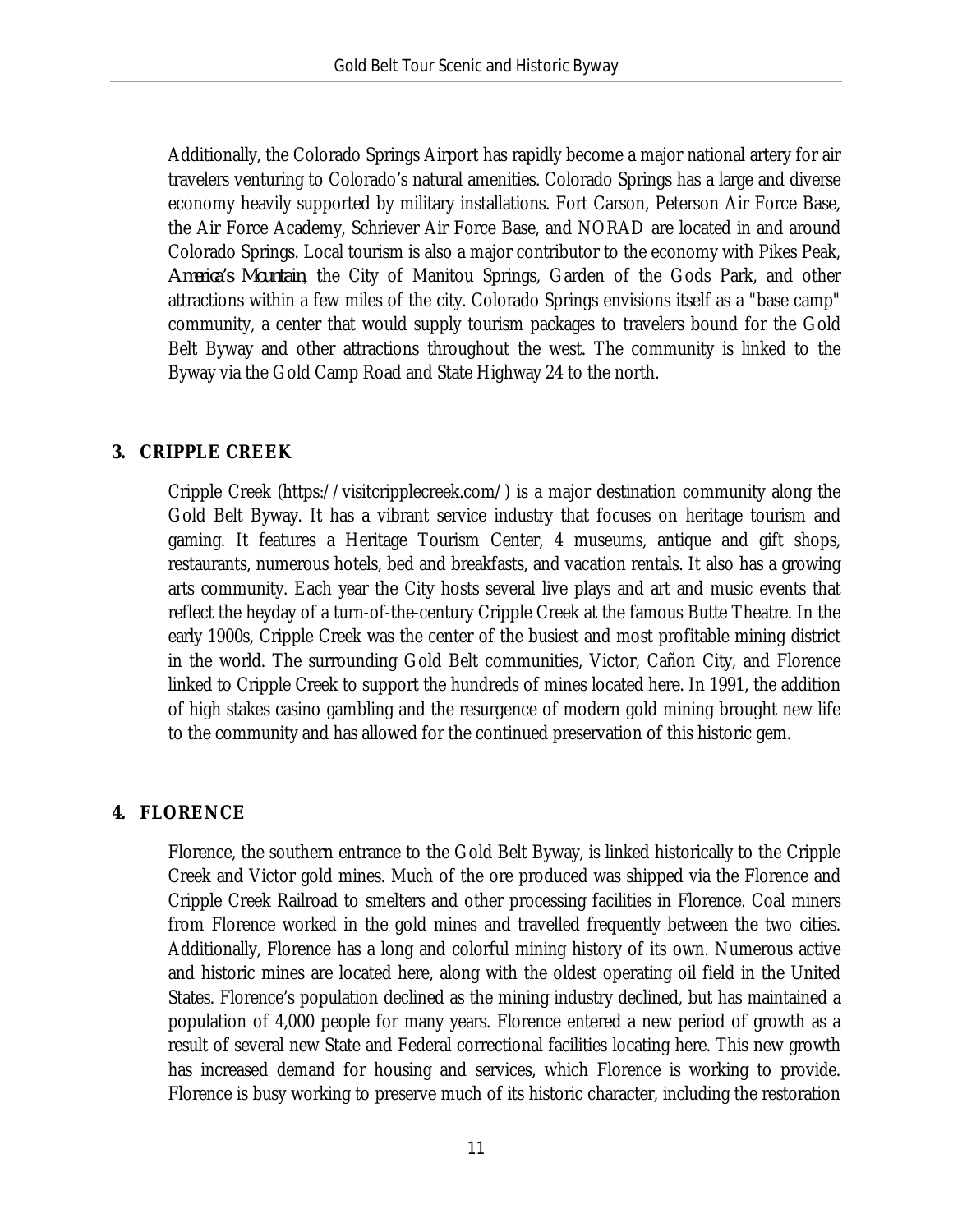Additionally, the Colorado Springs Airport has rapidly become a major national artery for air travelers venturing to Colorado's natural amenities. Colorado Springs has a large and diverse economy heavily supported by military installations. Fort Carson, Peterson Air Force Base, the Air Force Academy, Schriever Air Force Base, and NORAD are located in and around Colorado Springs. Local tourism is also a major contributor to the economy with Pikes Peak, *America's Mountain*, the City of Manitou Springs, Garden of the Gods Park, and other attractions within a few miles of the city. Colorado Springs envisions itself as a "base camp" community, a center that would supply tourism packages to travelers bound for the Gold Belt Byway and other attractions throughout the west. The community is linked to the Byway via the Gold Camp Road and State Highway 24 to the north.

#### **3. CRIPPLE CREEK**

Cripple Creek (https://visitcripplecreek.com/) is a major destination community along the Gold Belt Byway. It has a vibrant service industry that focuses on heritage tourism and gaming. It features a Heritage Tourism Center, 4 museums, antique and gift shops, restaurants, numerous hotels, bed and breakfasts, and vacation rentals. It also has a growing arts community. Each year the City hosts several live plays and art and music events that reflect the heyday of a turn-of-the-century Cripple Creek at the famous Butte Theatre. In the early 1900s, Cripple Creek was the center of the busiest and most profitable mining district in the world. The surrounding Gold Belt communities, Victor, Cañon City, and Florence linked to Cripple Creek to support the hundreds of mines located here. In 1991, the addition of high stakes casino gambling and the resurgence of modern gold mining brought new life to the community and has allowed for the continued preservation of this historic gem.

#### **4. FLORENCE**

Florence, the southern entrance to the Gold Belt Byway, is linked historically to the Cripple Creek and Victor gold mines. Much of the ore produced was shipped via the Florence and Cripple Creek Railroad to smelters and other processing facilities in Florence. Coal miners from Florence worked in the gold mines and travelled frequently between the two cities. Additionally, Florence has a long and colorful mining history of its own. Numerous active and historic mines are located here, along with the oldest operating oil field in the United States. Florence's population declined as the mining industry declined, but has maintained a population of 4,000 people for many years. Florence entered a new period of growth as a result of several new State and Federal correctional facilities locating here. This new growth has increased demand for housing and services, which Florence is working to provide. Florence is busy working to preserve much of its historic character, including the restoration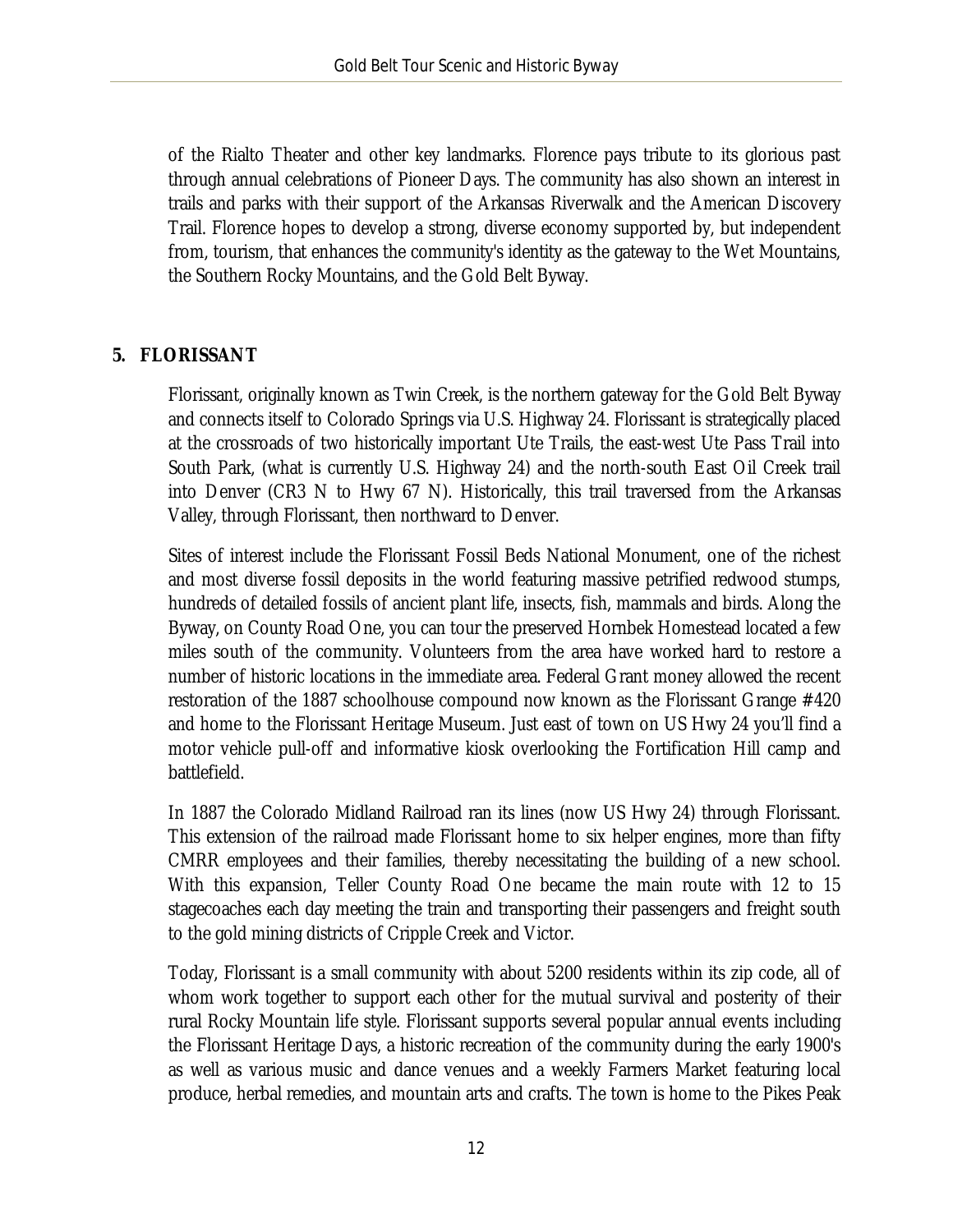of the Rialto Theater and other key landmarks. Florence pays tribute to its glorious past through annual celebrations of Pioneer Days. The community has also shown an interest in trails and parks with their support of the Arkansas Riverwalk and the American Discovery Trail. Florence hopes to develop a strong, diverse economy supported by, but independent from, tourism, that enhances the community's identity as the gateway to the Wet Mountains, the Southern Rocky Mountains, and the Gold Belt Byway.

#### **5. FLORISSANT**

Florissant, originally known as Twin Creek, is the northern gateway for the Gold Belt Byway and connects itself to Colorado Springs via U.S. Highway 24. Florissant is strategically placed at the crossroads of two historically important Ute Trails, the east-west Ute Pass Trail into South Park, (what is currently U.S. Highway 24) and the north-south East Oil Creek trail into Denver (CR3 N to Hwy 67 N). Historically, this trail traversed from the Arkansas Valley, through Florissant, then northward to Denver.

Sites of interest include the Florissant Fossil Beds National Monument, one of the richest and most diverse fossil deposits in the world featuring massive petrified redwood stumps, hundreds of detailed fossils of ancient plant life, insects, fish, mammals and birds. Along the Byway, on County Road One, you can tour the preserved Hornbek Homestead located a few miles south of the community. Volunteers from the area have worked hard to restore a number of historic locations in the immediate area. Federal Grant money allowed the recent restoration of the 1887 schoolhouse compound now known as the Florissant Grange #420 and home to the Florissant Heritage Museum. Just east of town on US Hwy 24 you'll find a motor vehicle pull-off and informative kiosk overlooking the Fortification Hill camp and battlefield.

In 1887 the Colorado Midland Railroad ran its lines (now US Hwy 24) through Florissant. This extension of the railroad made Florissant home to six helper engines, more than fifty CMRR employees and their families, thereby necessitating the building of a new school. With this expansion, Teller County Road One became the main route with 12 to 15 stagecoaches each day meeting the train and transporting their passengers and freight south to the gold mining districts of Cripple Creek and Victor.

Today, Florissant is a small community with about 5200 residents within its zip code, all of whom work together to support each other for the mutual survival and posterity of their rural Rocky Mountain life style. Florissant supports several popular annual events including the Florissant Heritage Days, a historic recreation of the community during the early 1900's as well as various music and dance venues and a weekly Farmers Market featuring local produce, herbal remedies, and mountain arts and crafts. The town is home to the Pikes Peak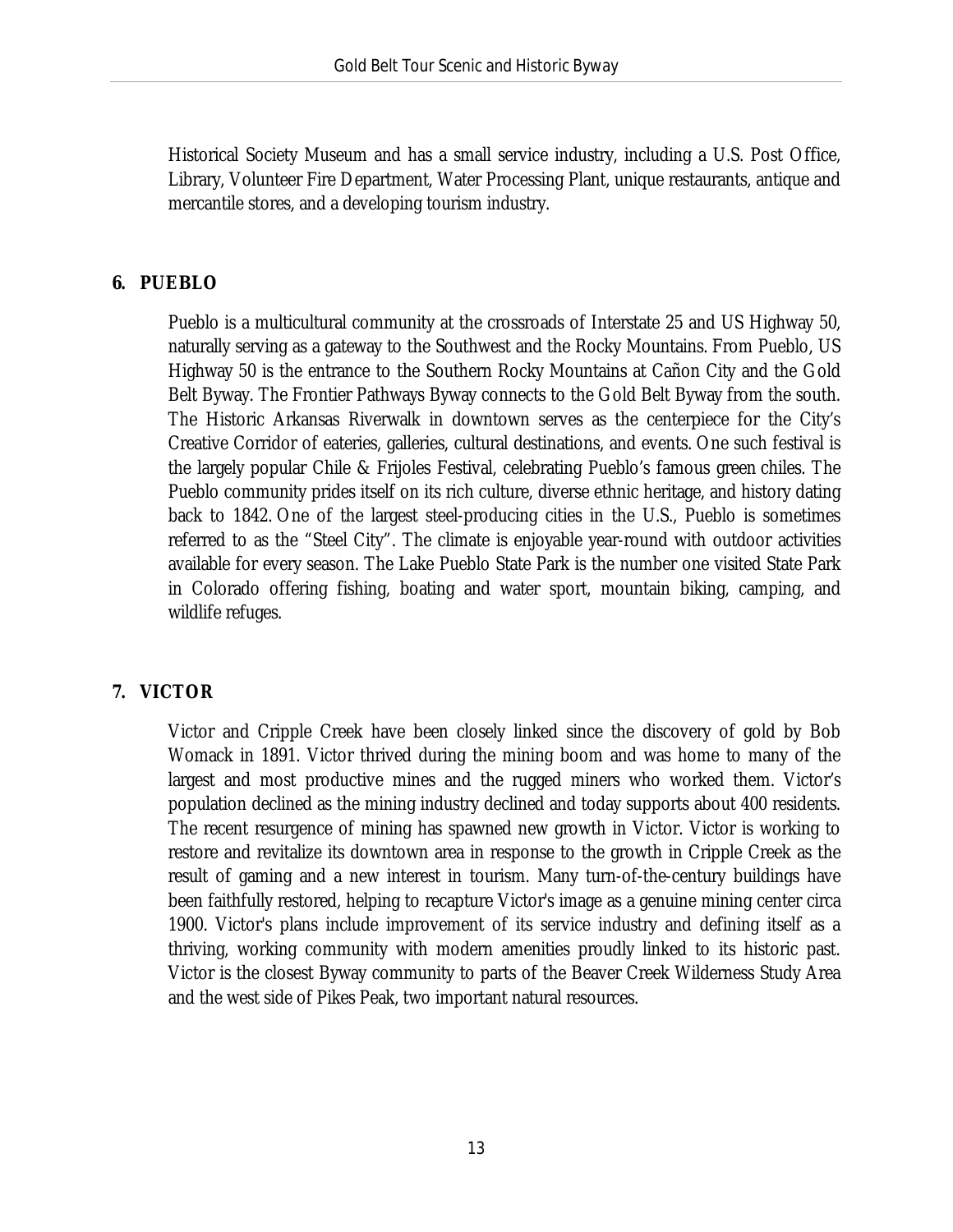Historical Society Museum and has a small service industry, including a U.S. Post Office, Library, Volunteer Fire Department, Water Processing Plant, unique restaurants, antique and mercantile stores, and a developing tourism industry.

#### **6. PUEBLO**

Pueblo is a multicultural community at the crossroads of Interstate 25 and US Highway 50, naturally serving as a gateway to the Southwest and the Rocky Mountains. From Pueblo, US Highway 50 is the entrance to the Southern Rocky Mountains at Cañon City and the Gold Belt Byway. The Frontier Pathways Byway connects to the Gold Belt Byway from the south. The Historic Arkansas Riverwalk in downtown serves as the centerpiece for the City's Creative Corridor of eateries, galleries, cultural destinations, and events. One such festival is the largely popular Chile & Frijoles Festival, celebrating Pueblo's famous green chiles. The Pueblo community prides itself on its rich culture, diverse ethnic heritage, and history dating back to 1842. One of the largest steel-producing cities in the U.S., Pueblo is sometimes referred to as the "Steel City". The climate is enjoyable year-round with outdoor activities available for every season. The Lake Pueblo State Park is the number one visited State Park in Colorado offering fishing, boating and water sport, mountain biking, camping, and wildlife refuges.

### **7. VICTOR**

Victor and Cripple Creek have been closely linked since the discovery of gold by Bob Womack in 1891. Victor thrived during the mining boom and was home to many of the largest and most productive mines and the rugged miners who worked them. Victor's population declined as the mining industry declined and today supports about 400 residents. The recent resurgence of mining has spawned new growth in Victor. Victor is working to restore and revitalize its downtown area in response to the growth in Cripple Creek as the result of gaming and a new interest in tourism. Many turn-of-the-century buildings have been faithfully restored, helping to recapture Victor's image as a genuine mining center circa 1900. Victor's plans include improvement of its service industry and defining itself as a thriving, working community with modern amenities proudly linked to its historic past. Victor is the closest Byway community to parts of the Beaver Creek Wilderness Study Area and the west side of Pikes Peak, two important natural resources.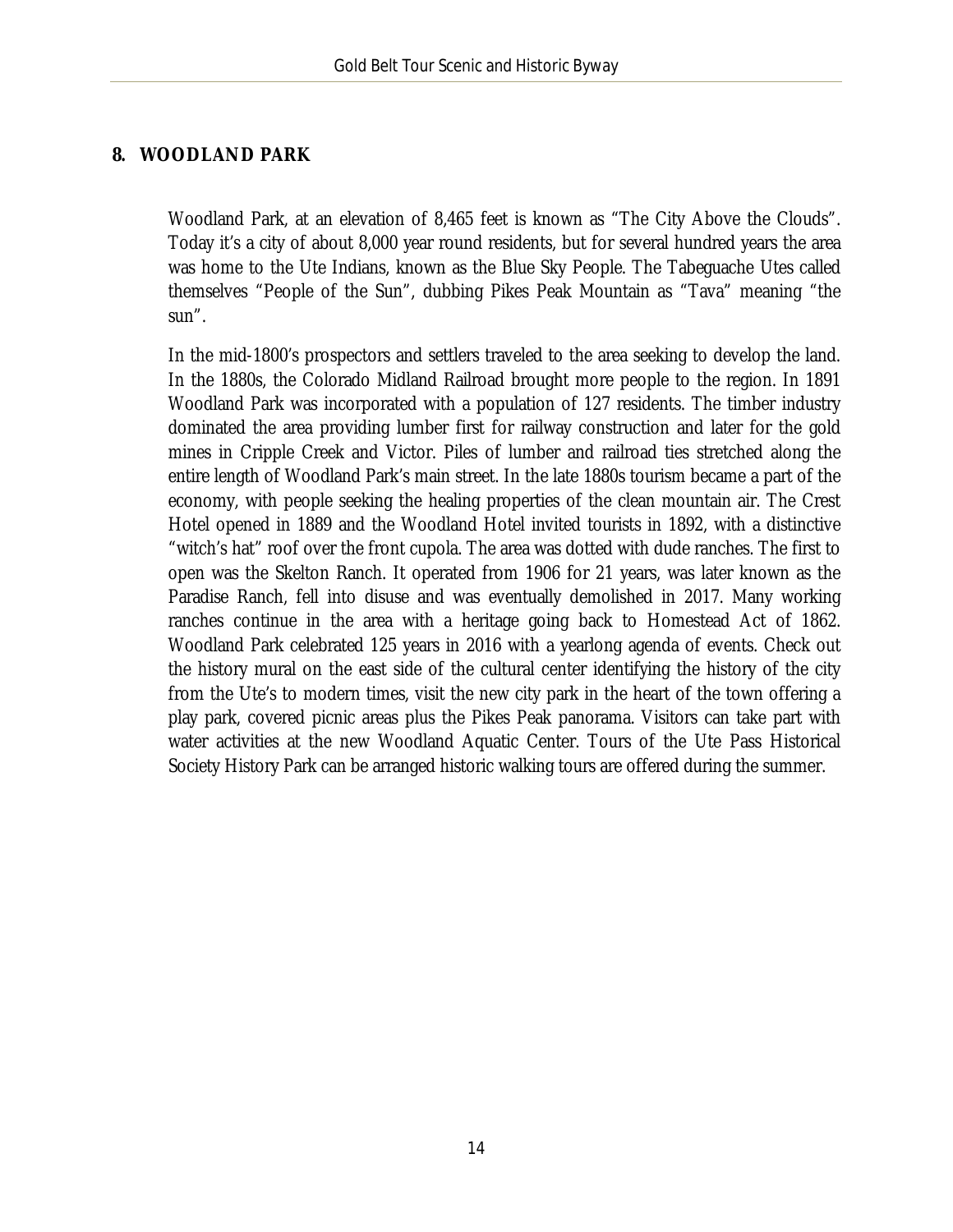#### **8. WOODLAND PARK**

Woodland Park, at an elevation of 8,465 feet is known as "The City Above the Clouds". Today it's a city of about 8,000 year round residents, but for several hundred years the area was home to the Ute Indians, known as the Blue Sky People. The Tabeguache Utes called themselves "People of the Sun", dubbing Pikes Peak Mountain as "Tava" meaning "the sun".

In the mid-1800's prospectors and settlers traveled to the area seeking to develop the land. In the 1880s, the Colorado Midland Railroad brought more people to the region. In 1891 Woodland Park was incorporated with a population of 127 residents. The timber industry dominated the area providing lumber first for railway construction and later for the gold mines in Cripple Creek and Victor. Piles of lumber and railroad ties stretched along the entire length of Woodland Park's main street. In the late 1880s tourism became a part of the economy, with people seeking the healing properties of the clean mountain air. The Crest Hotel opened in 1889 and the Woodland Hotel invited tourists in 1892, with a distinctive "witch's hat" roof over the front cupola. The area was dotted with dude ranches. The first to open was the Skelton Ranch. It operated from 1906 for 21 years, was later known as the Paradise Ranch, fell into disuse and was eventually demolished in 2017. Many working ranches continue in the area with a heritage going back to Homestead Act of 1862. Woodland Park celebrated 125 years in 2016 with a yearlong agenda of events. Check out the history mural on the east side of the cultural center identifying the history of the city from the Ute's to modern times, visit the new city park in the heart of the town offering a play park, covered picnic areas plus the Pikes Peak panorama. Visitors can take part with water activities at the new Woodland Aquatic Center. Tours of the Ute Pass Historical Society History Park can be arranged historic walking tours are offered during the summer.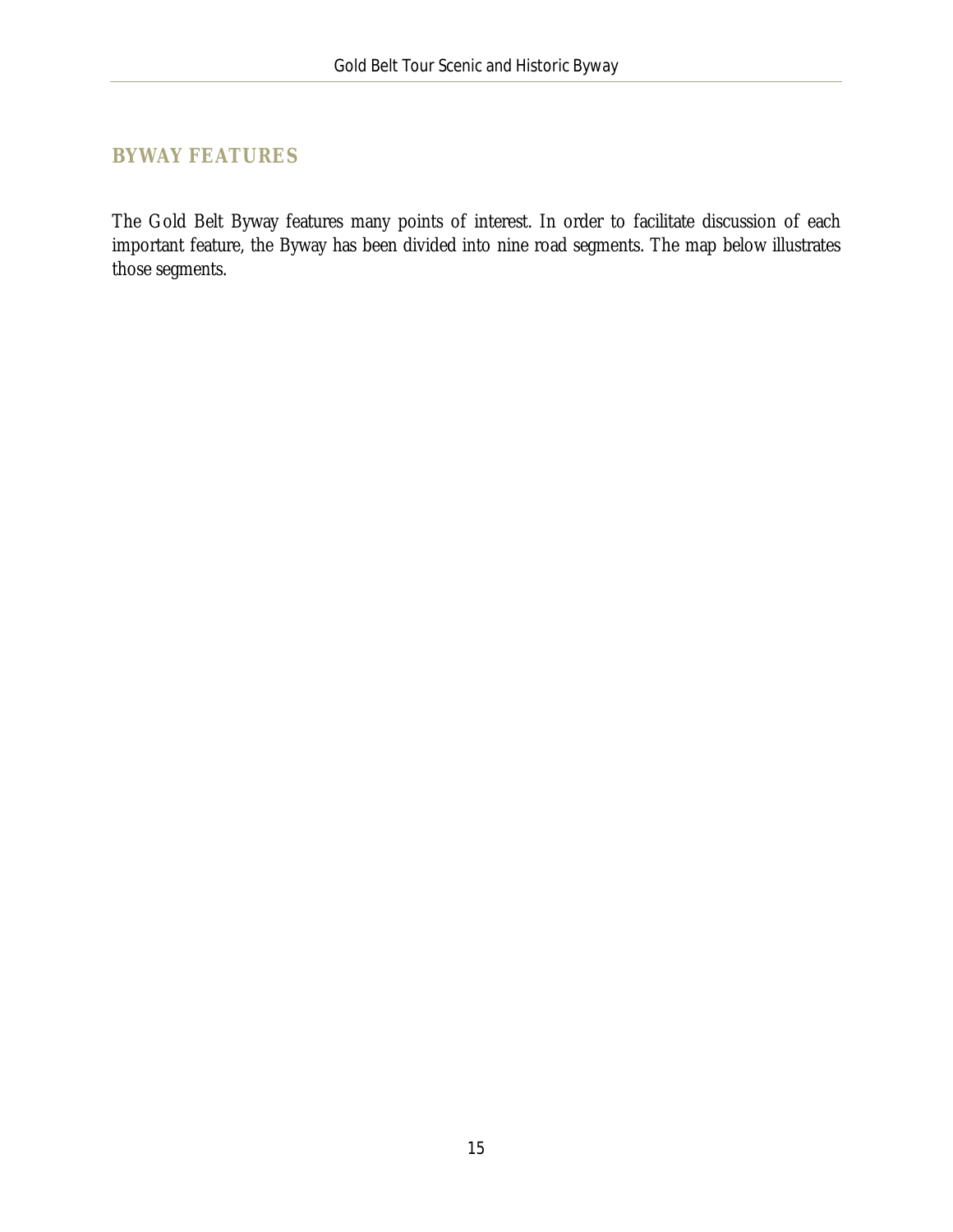### <span id="page-15-0"></span>**BYWAY FEATURES**

The Gold Belt Byway features many points of interest. In order to facilitate discussion of each important feature, the Byway has been divided into nine road segments. The map below illustrates those segments.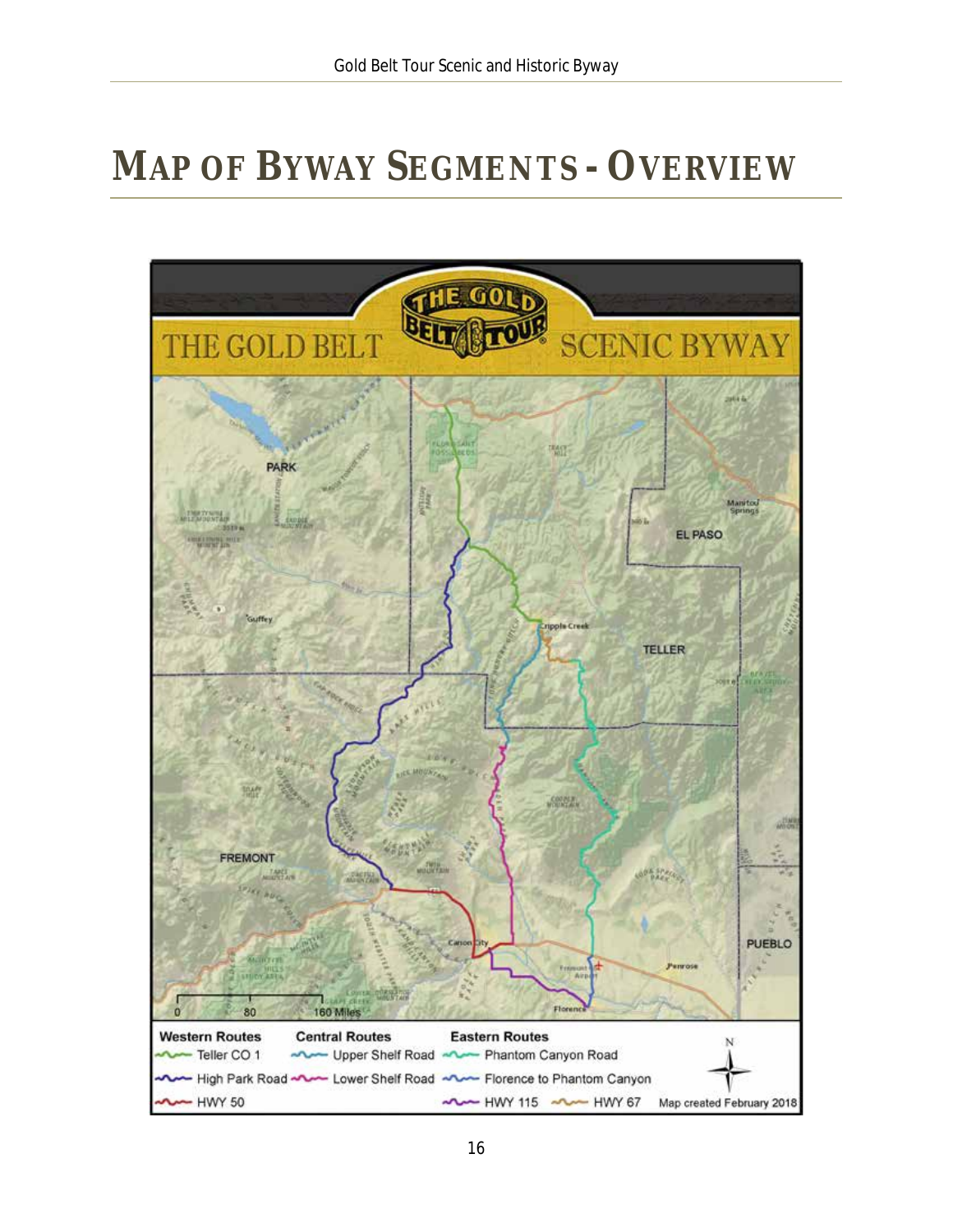# <span id="page-16-0"></span>**MAP OF BYWAY SEGMENTS - OVERVIEW**

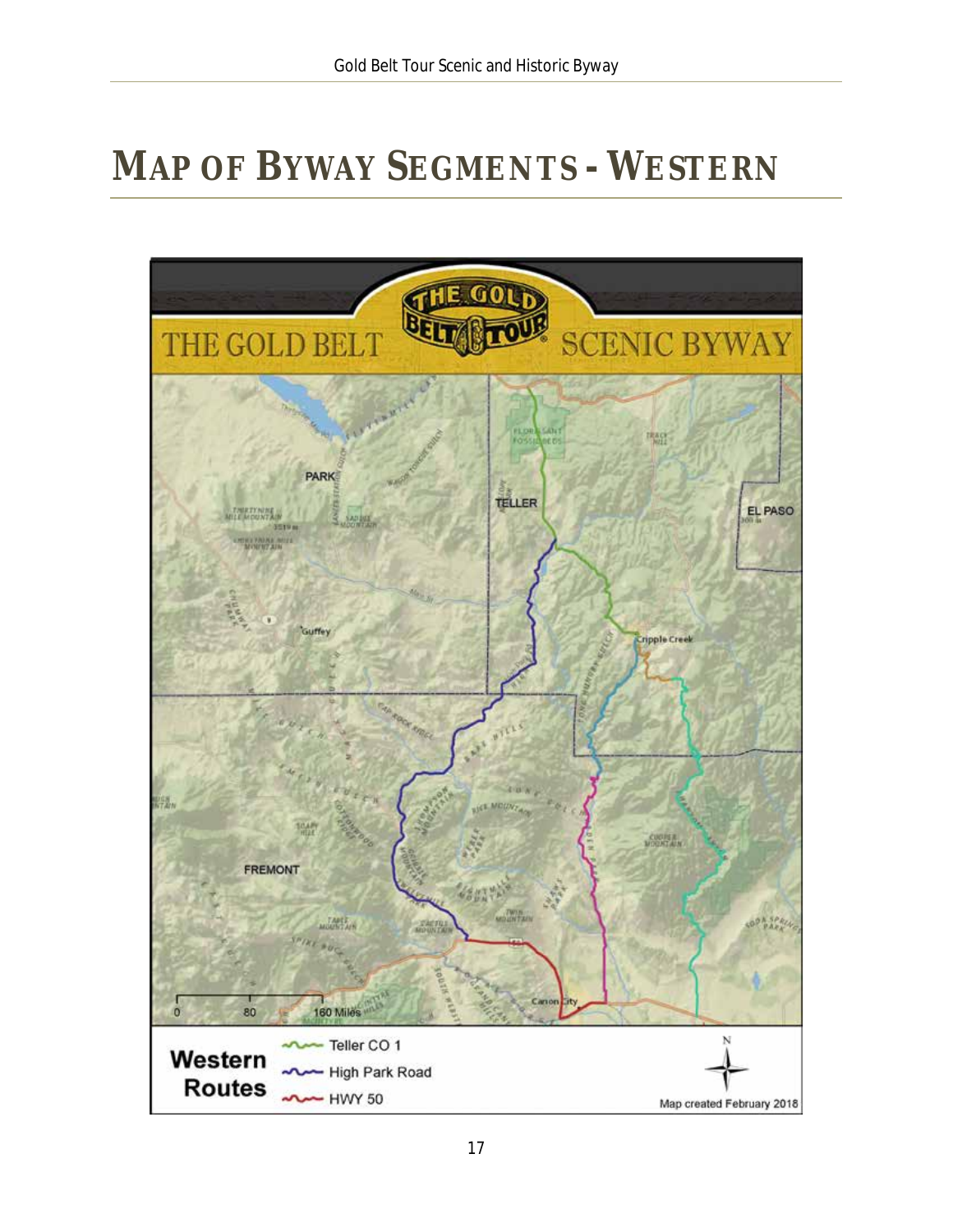# <span id="page-17-0"></span>**MAP OF BYWAY SEGMENTS - WESTERN**

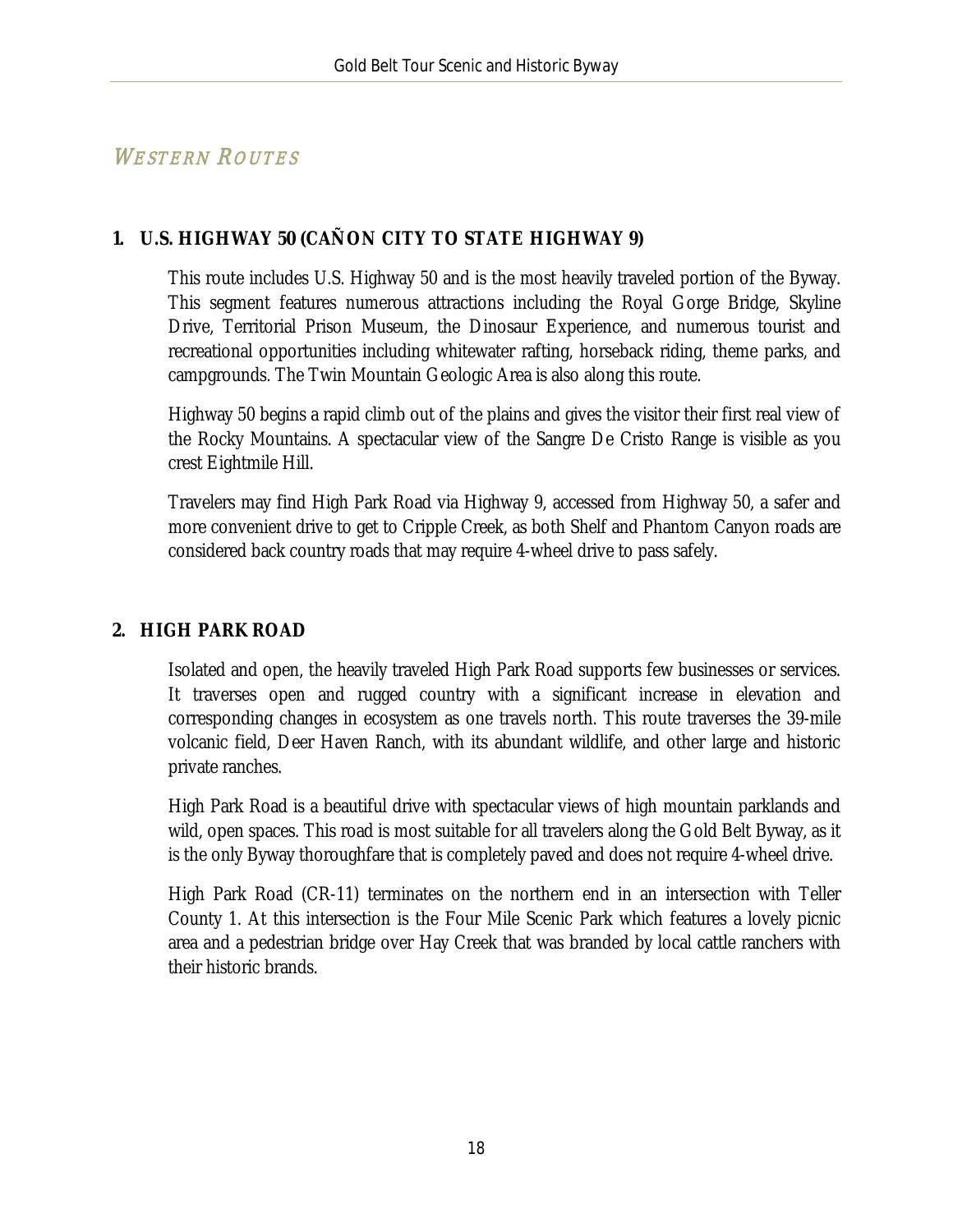## WESTERN ROUTES

### **1. U.S. HIGHWAY 50 (CAÑON CITY TO STATE HIGHWAY 9)**

This route includes U.S. Highway 50 and is the most heavily traveled portion of the Byway. This segment features numerous attractions including the Royal Gorge Bridge, Skyline Drive, Territorial Prison Museum, the Dinosaur Experience, and numerous tourist and recreational opportunities including whitewater rafting, horseback riding, theme parks, and campgrounds. The Twin Mountain Geologic Area is also along this route.

Highway 50 begins a rapid climb out of the plains and gives the visitor their first real view of the Rocky Mountains. A spectacular view of the Sangre De Cristo Range is visible as you crest Eightmile Hill.

Travelers may find High Park Road via Highway 9, accessed from Highway 50, a safer and more convenient drive to get to Cripple Creek, as both Shelf and Phantom Canyon roads are considered back country roads that may require 4-wheel drive to pass safely.

#### **2. HIGH PARK ROAD**

Isolated and open, the heavily traveled High Park Road supports few businesses or services. It traverses open and rugged country with a significant increase in elevation and corresponding changes in ecosystem as one travels north. This route traverses the 39-mile volcanic field, Deer Haven Ranch, with its abundant wildlife, and other large and historic private ranches.

High Park Road is a beautiful drive with spectacular views of high mountain parklands and wild, open spaces. This road is most suitable for all travelers along the Gold Belt Byway, as it is the only Byway thoroughfare that is completely paved and does not require 4-wheel drive.

High Park Road (CR-11) terminates on the northern end in an intersection with Teller County 1. At this intersection is the Four Mile Scenic Park which features a lovely picnic area and a pedestrian bridge over Hay Creek that was branded by local cattle ranchers with their historic brands.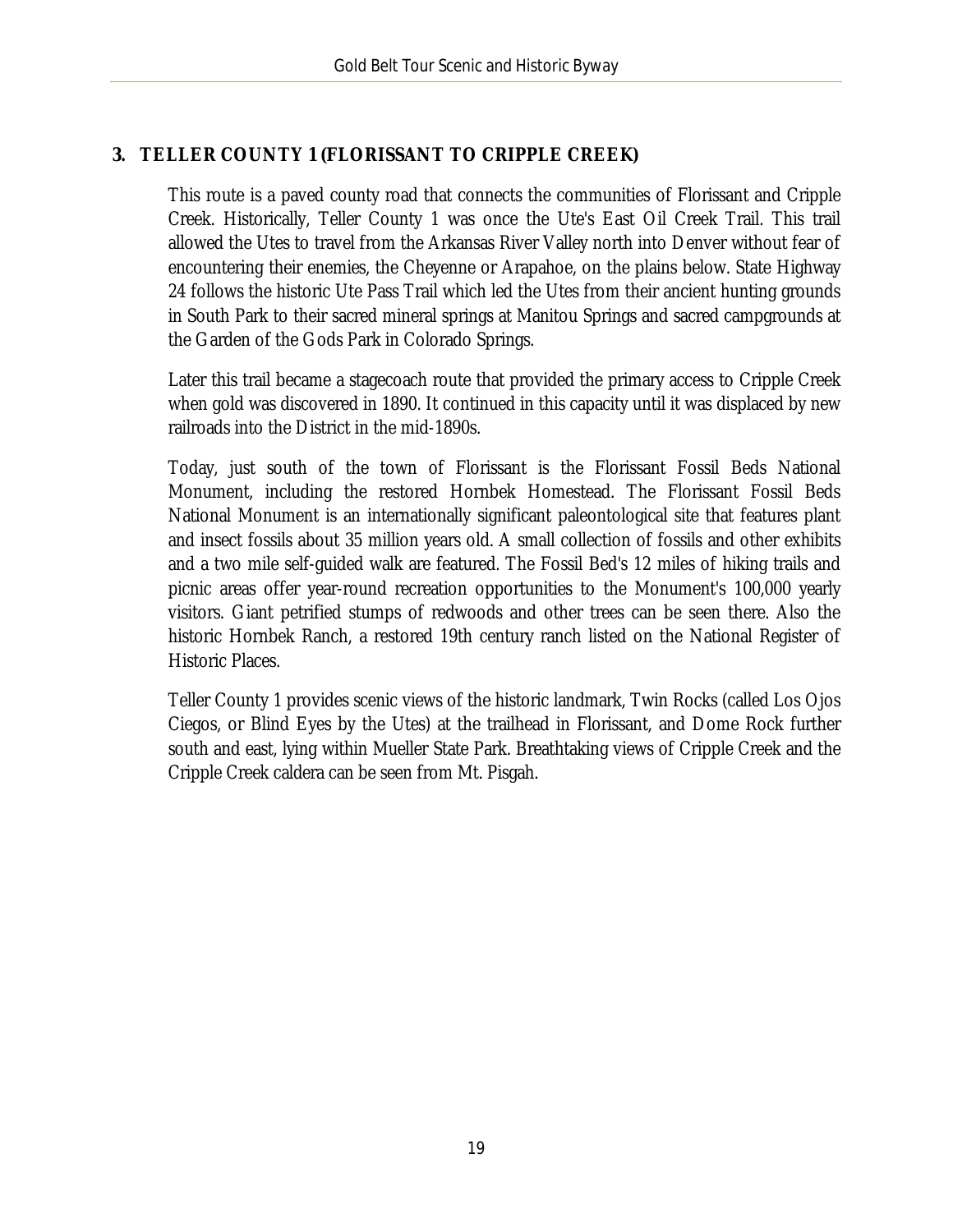#### **3. TELLER COUNTY 1 (FLORISSANT TO CRIPPLE CREEK)**

This route is a paved county road that connects the communities of Florissant and Cripple Creek. Historically, Teller County 1 was once the Ute's East Oil Creek Trail. This trail allowed the Utes to travel from the Arkansas River Valley north into Denver without fear of encountering their enemies, the Cheyenne or Arapahoe, on the plains below. State Highway 24 follows the historic Ute Pass Trail which led the Utes from their ancient hunting grounds in South Park to their sacred mineral springs at Manitou Springs and sacred campgrounds at the Garden of the Gods Park in Colorado Springs.

Later this trail became a stagecoach route that provided the primary access to Cripple Creek when gold was discovered in 1890. It continued in this capacity until it was displaced by new railroads into the District in the mid-1890s.

Today, just south of the town of Florissant is the Florissant Fossil Beds National Monument, including the restored Hornbek Homestead. The Florissant Fossil Beds National Monument is an internationally significant paleontological site that features plant and insect fossils about 35 million years old. A small collection of fossils and other exhibits and a two mile self-guided walk are featured. The Fossil Bed's 12 miles of hiking trails and picnic areas offer year-round recreation opportunities to the Monument's 100,000 yearly visitors. Giant petrified stumps of redwoods and other trees can be seen there. Also the historic Hornbek Ranch, a restored 19th century ranch listed on the National Register of Historic Places.

Teller County 1 provides scenic views of the historic landmark, Twin Rocks (called Los Ojos Ciegos, or Blind Eyes by the Utes) at the trailhead in Florissant, and Dome Rock further south and east, lying within Mueller State Park. Breathtaking views of Cripple Creek and the Cripple Creek caldera can be seen from Mt. Pisgah.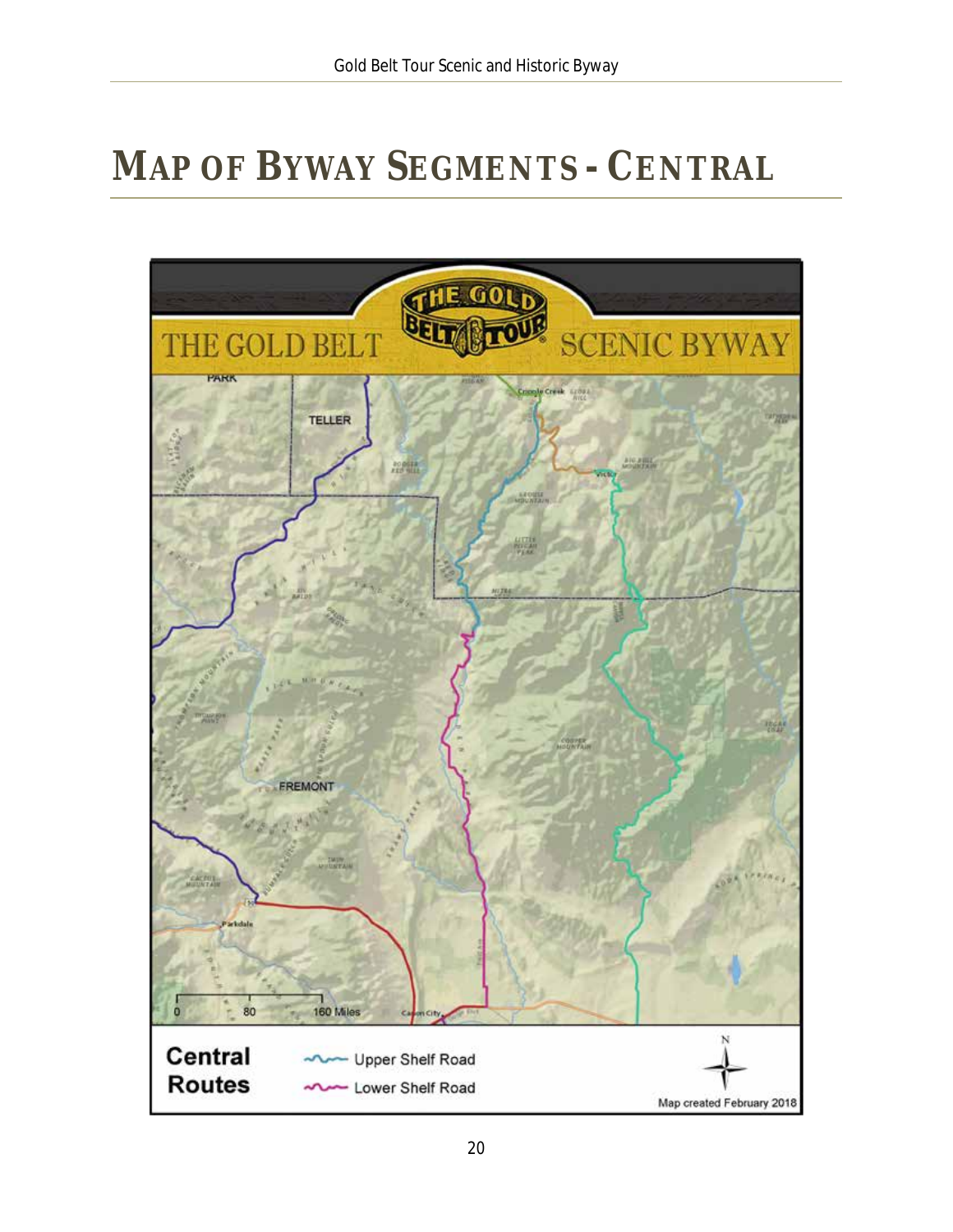# <span id="page-20-0"></span>**MAP OF BYWAY SEGMENTS - CENTRAL**

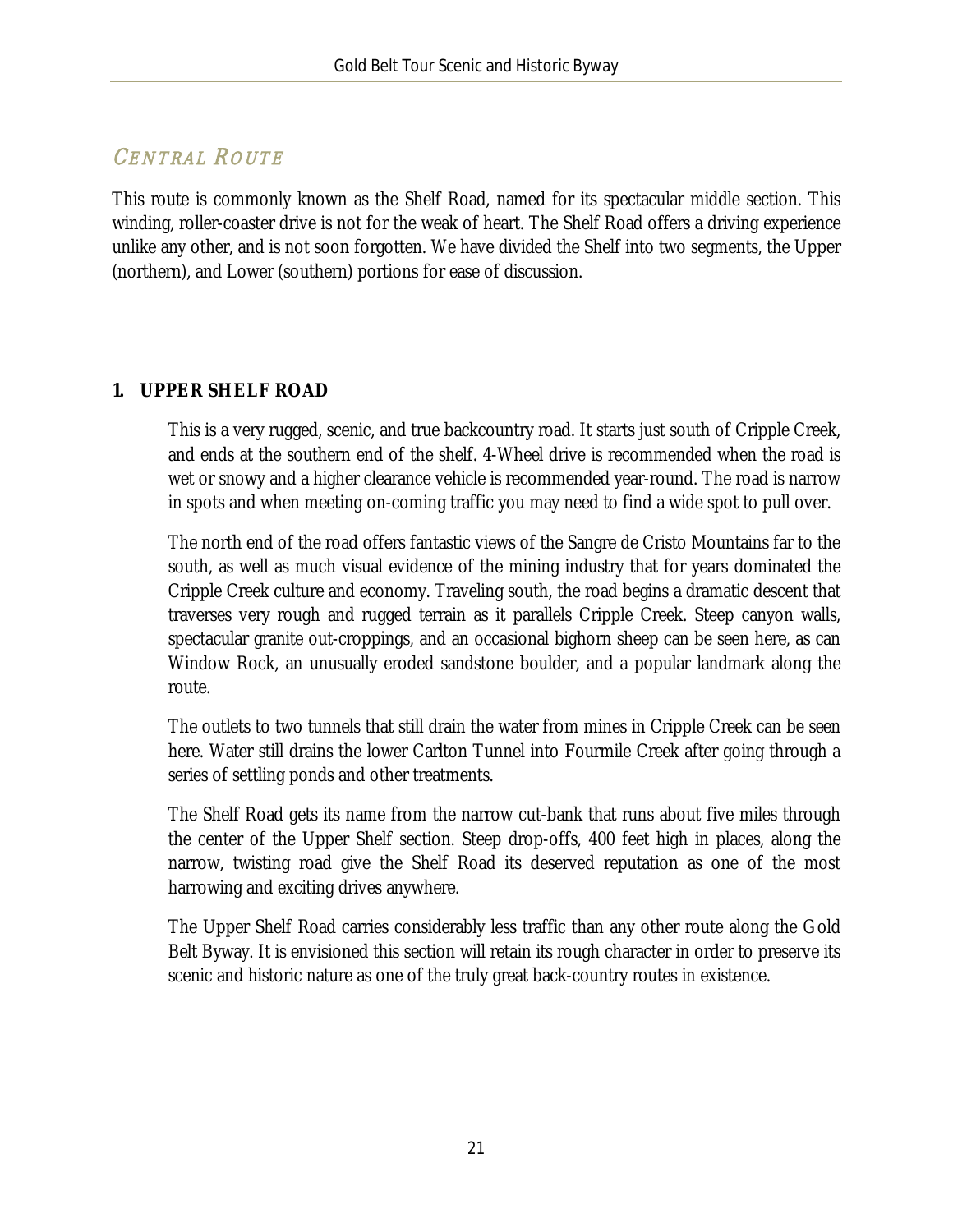# CENTRAL ROUTE

This route is commonly known as the Shelf Road, named for its spectacular middle section. This winding, roller-coaster drive is not for the weak of heart. The Shelf Road offers a driving experience unlike any other, and is not soon forgotten. We have divided the Shelf into two segments, the Upper (northern), and Lower (southern) portions for ease of discussion.

#### **1. UPPER SHELF ROAD**

This is a very rugged, scenic, and true backcountry road. It starts just south of Cripple Creek, and ends at the southern end of the shelf. 4-Wheel drive is recommended when the road is wet or snowy and a higher clearance vehicle is recommended year-round. The road is narrow in spots and when meeting on-coming traffic you may need to find a wide spot to pull over.

The north end of the road offers fantastic views of the Sangre de Cristo Mountains far to the south, as well as much visual evidence of the mining industry that for years dominated the Cripple Creek culture and economy. Traveling south, the road begins a dramatic descent that traverses very rough and rugged terrain as it parallels Cripple Creek. Steep canyon walls, spectacular granite out-croppings, and an occasional bighorn sheep can be seen here, as can Window Rock, an unusually eroded sandstone boulder, and a popular landmark along the route.

The outlets to two tunnels that still drain the water from mines in Cripple Creek can be seen here. Water still drains the lower Carlton Tunnel into Fourmile Creek after going through a series of settling ponds and other treatments.

The Shelf Road gets its name from the narrow cut-bank that runs about five miles through the center of the Upper Shelf section. Steep drop-offs, 400 feet high in places, along the narrow, twisting road give the Shelf Road its deserved reputation as one of the most harrowing and exciting drives anywhere.

The Upper Shelf Road carries considerably less traffic than any other route along the Gold Belt Byway. It is envisioned this section will retain its rough character in order to preserve its scenic and historic nature as one of the truly great back-country routes in existence.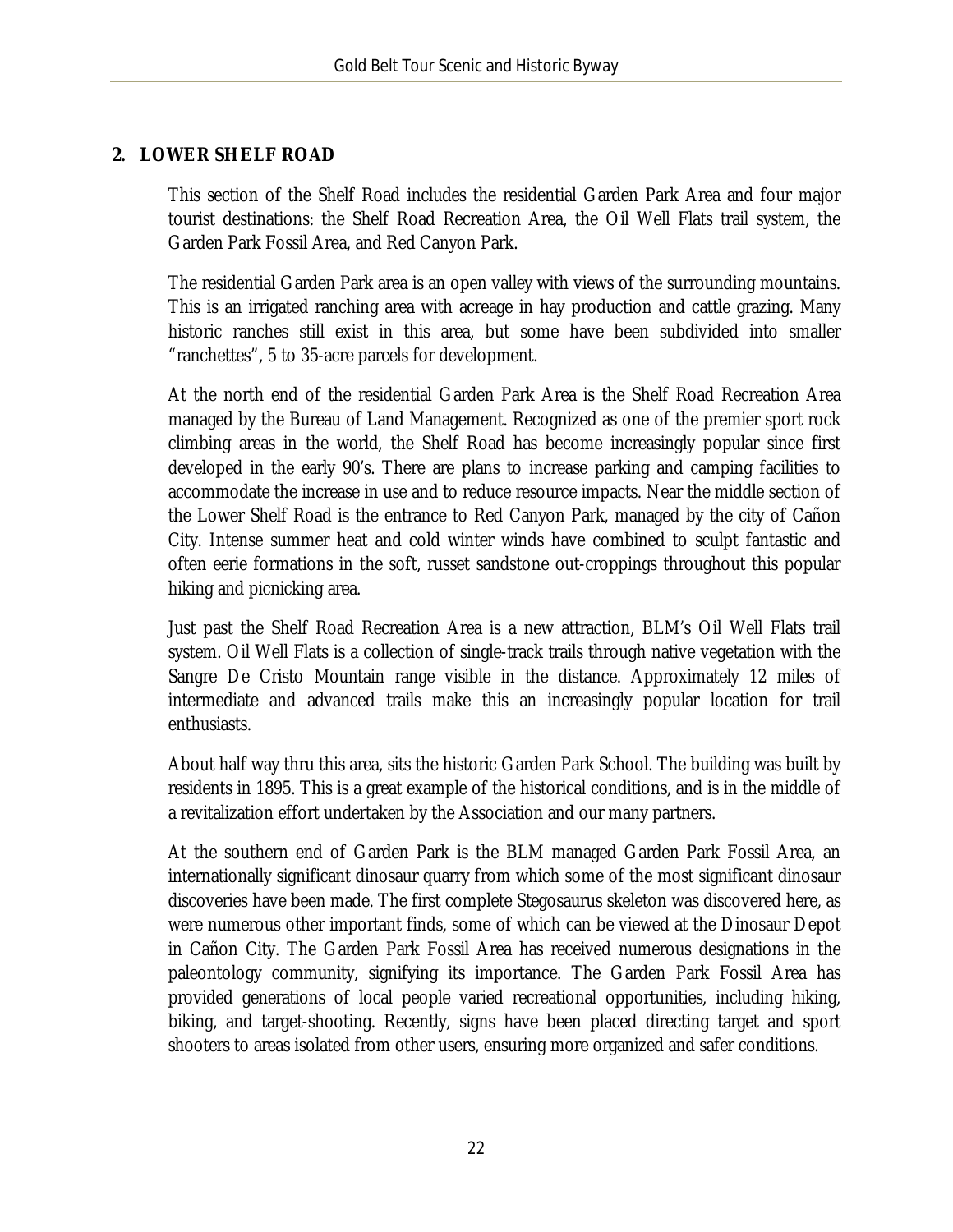#### **2. LOWER SHELF ROAD**

This section of the Shelf Road includes the residential Garden Park Area and four major tourist destinations: the Shelf Road Recreation Area, the Oil Well Flats trail system, the Garden Park Fossil Area, and Red Canyon Park.

The residential Garden Park area is an open valley with views of the surrounding mountains. This is an irrigated ranching area with acreage in hay production and cattle grazing. Many historic ranches still exist in this area, but some have been subdivided into smaller "ranchettes", 5 to 35-acre parcels for development.

At the north end of the residential Garden Park Area is the Shelf Road Recreation Area managed by the Bureau of Land Management. Recognized as one of the premier sport rock climbing areas in the world, the Shelf Road has become increasingly popular since first developed in the early 90's. There are plans to increase parking and camping facilities to accommodate the increase in use and to reduce resource impacts. Near the middle section of the Lower Shelf Road is the entrance to Red Canyon Park, managed by the city of Cañon City. Intense summer heat and cold winter winds have combined to sculpt fantastic and often eerie formations in the soft, russet sandstone out-croppings throughout this popular hiking and picnicking area.

Just past the Shelf Road Recreation Area is a new attraction, BLM's Oil Well Flats trail system. Oil Well Flats is a collection of single-track trails through native vegetation with the Sangre De Cristo Mountain range visible in the distance. Approximately 12 miles of intermediate and advanced trails make this an increasingly popular location for trail enthusiasts.

About half way thru this area, sits the historic Garden Park School. The building was built by residents in 1895. This is a great example of the historical conditions, and is in the middle of a revitalization effort undertaken by the Association and our many partners.

At the southern end of Garden Park is the BLM managed Garden Park Fossil Area, an internationally significant dinosaur quarry from which some of the most significant dinosaur discoveries have been made. The first complete Stegosaurus skeleton was discovered here, as were numerous other important finds, some of which can be viewed at the Dinosaur Depot in Cañon City. The Garden Park Fossil Area has received numerous designations in the paleontology community, signifying its importance. The Garden Park Fossil Area has provided generations of local people varied recreational opportunities, including hiking, biking, and target-shooting. Recently, signs have been placed directing target and sport shooters to areas isolated from other users, ensuring more organized and safer conditions.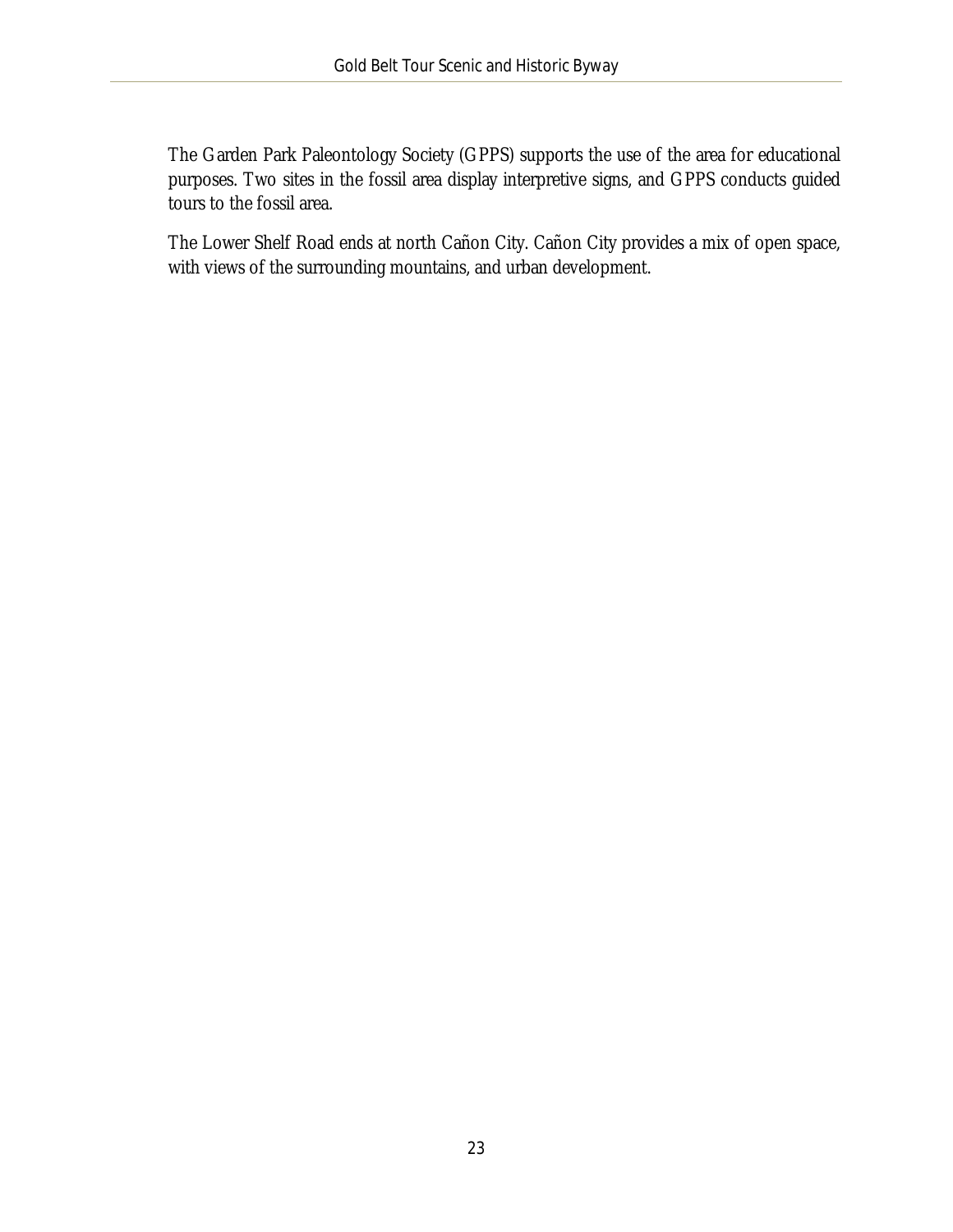The Garden Park Paleontology Society (GPPS) supports the use of the area for educational purposes. Two sites in the fossil area display interpretive signs, and GPPS conducts guided tours to the fossil area.

The Lower Shelf Road ends at north Cañon City. Cañon City provides a mix of open space, with views of the surrounding mountains, and urban development.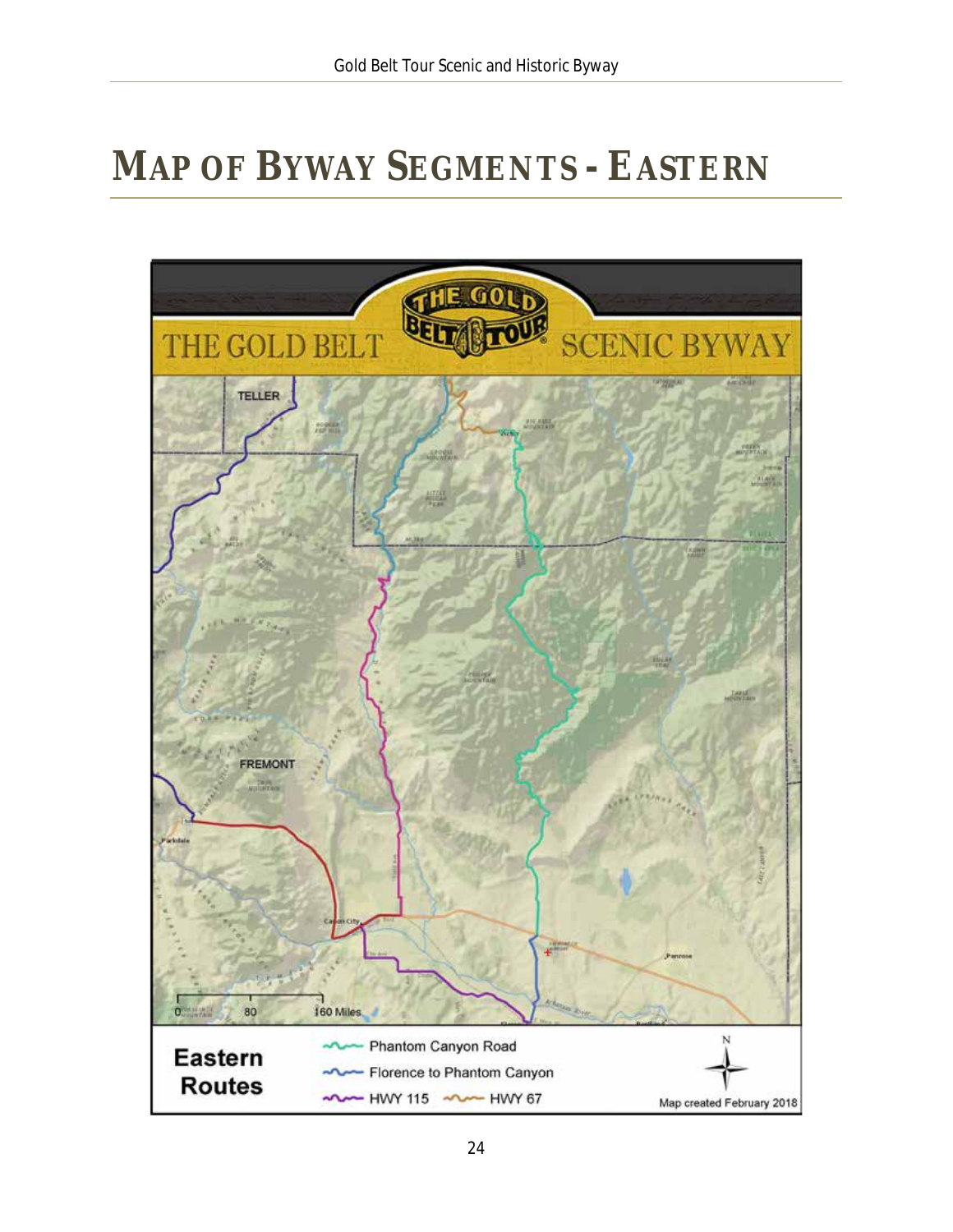# <span id="page-24-0"></span>**MAP OF BYWAY SEGMENTS - EASTERN**

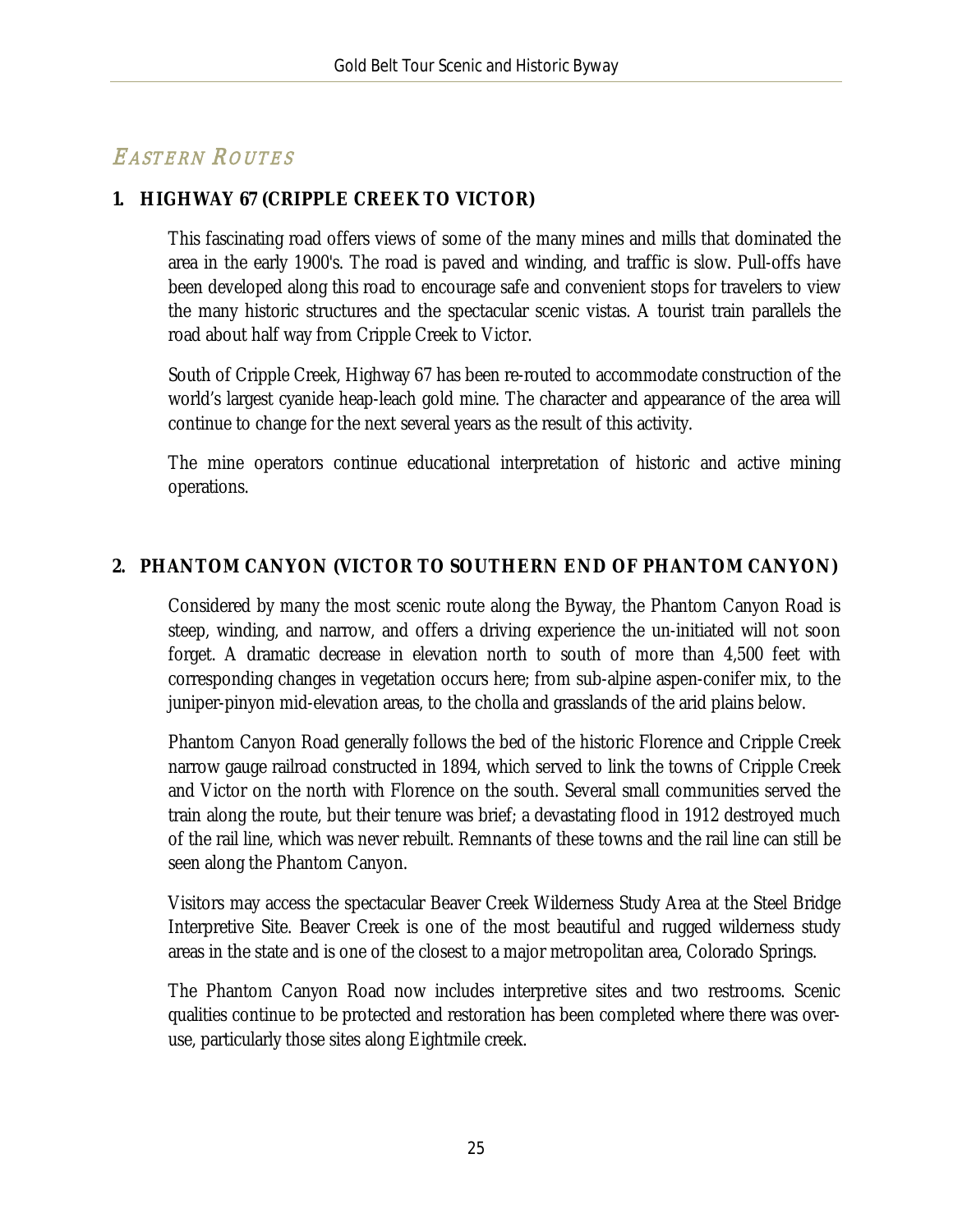# EASTERN ROUTES

#### **1. HIGHWAY 67 (CRIPPLE CREEK TO VICTOR)**

This fascinating road offers views of some of the many mines and mills that dominated the area in the early 1900's. The road is paved and winding, and traffic is slow. Pull-offs have been developed along this road to encourage safe and convenient stops for travelers to view the many historic structures and the spectacular scenic vistas. A tourist train parallels the road about half way from Cripple Creek to Victor.

South of Cripple Creek, Highway 67 has been re-routed to accommodate construction of the world's largest cyanide heap-leach gold mine. The character and appearance of the area will continue to change for the next several years as the result of this activity.

The mine operators continue educational interpretation of historic and active mining operations.

#### **2. PHANTOM CANYON (VICTOR TO SOUTHERN END OF PHANTOM CANYON)**

Considered by many the most scenic route along the Byway, the Phantom Canyon Road is steep, winding, and narrow, and offers a driving experience the un-initiated will not soon forget. A dramatic decrease in elevation north to south of more than 4,500 feet with corresponding changes in vegetation occurs here; from sub-alpine aspen-conifer mix, to the juniper-pinyon mid-elevation areas, to the cholla and grasslands of the arid plains below.

Phantom Canyon Road generally follows the bed of the historic Florence and Cripple Creek narrow gauge railroad constructed in 1894, which served to link the towns of Cripple Creek and Victor on the north with Florence on the south. Several small communities served the train along the route, but their tenure was brief; a devastating flood in 1912 destroyed much of the rail line, which was never rebuilt. Remnants of these towns and the rail line can still be seen along the Phantom Canyon.

Visitors may access the spectacular Beaver Creek Wilderness Study Area at the Steel Bridge Interpretive Site. Beaver Creek is one of the most beautiful and rugged wilderness study areas in the state and is one of the closest to a major metropolitan area, Colorado Springs.

The Phantom Canyon Road now includes interpretive sites and two restrooms. Scenic qualities continue to be protected and restoration has been completed where there was overuse, particularly those sites along Eightmile creek.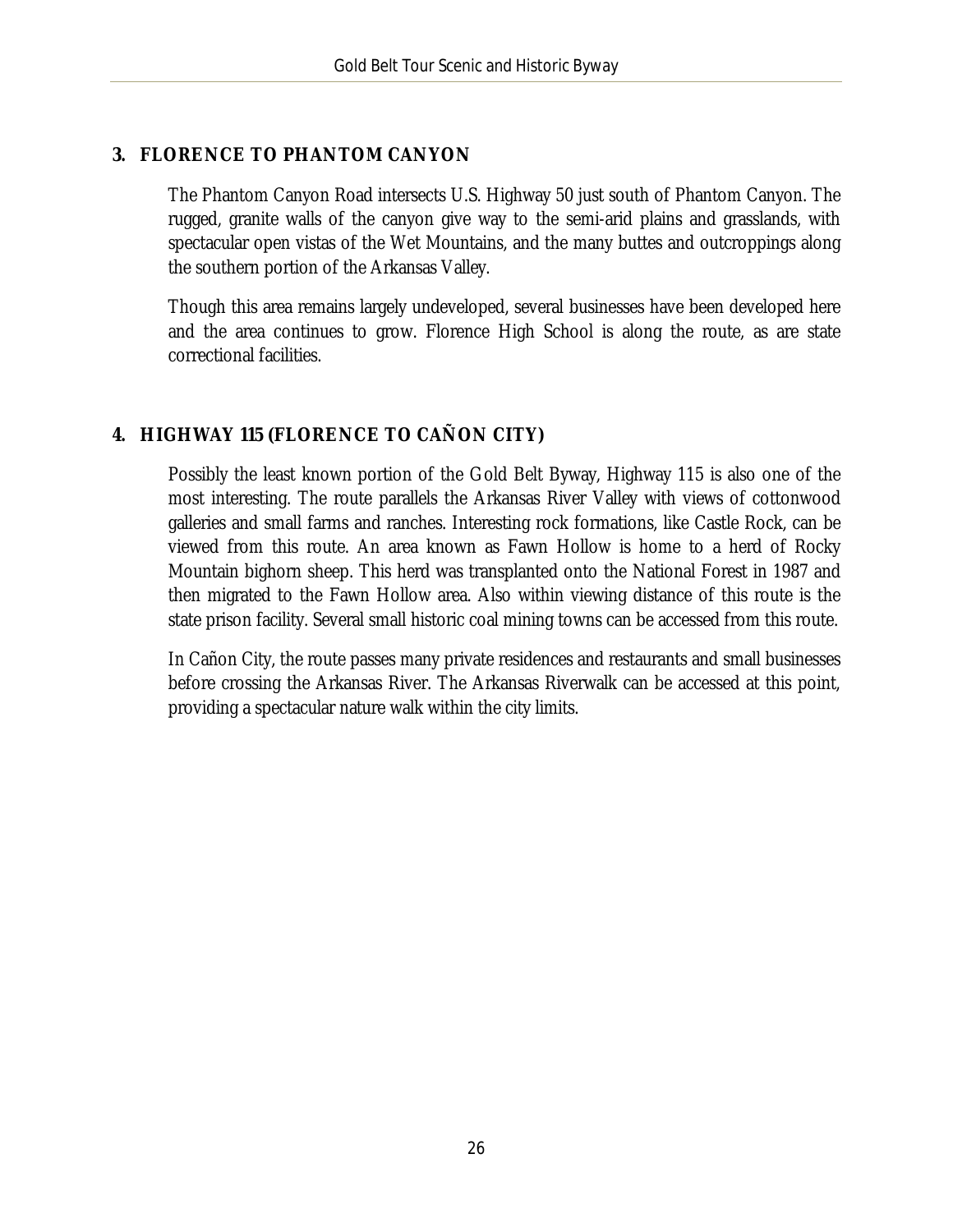#### **3. FLORENCE TO PHANTOM CANYON**

The Phantom Canyon Road intersects U.S. Highway 50 just south of Phantom Canyon. The rugged, granite walls of the canyon give way to the semi-arid plains and grasslands, with spectacular open vistas of the Wet Mountains, and the many buttes and outcroppings along the southern portion of the Arkansas Valley.

Though this area remains largely undeveloped, several businesses have been developed here and the area continues to grow. Florence High School is along the route, as are state correctional facilities.

#### **4. HIGHWAY 115 (FLORENCE TO CAÑON CITY)**

Possibly the least known portion of the Gold Belt Byway, Highway 115 is also one of the most interesting. The route parallels the Arkansas River Valley with views of cottonwood galleries and small farms and ranches. Interesting rock formations, like Castle Rock, can be viewed from this route. An area known as Fawn Hollow is home to a herd of Rocky Mountain bighorn sheep. This herd was transplanted onto the National Forest in 1987 and then migrated to the Fawn Hollow area. Also within viewing distance of this route is the state prison facility. Several small historic coal mining towns can be accessed from this route.

In Cañon City, the route passes many private residences and restaurants and small businesses before crossing the Arkansas River. The Arkansas Riverwalk can be accessed at this point, providing a spectacular nature walk within the city limits.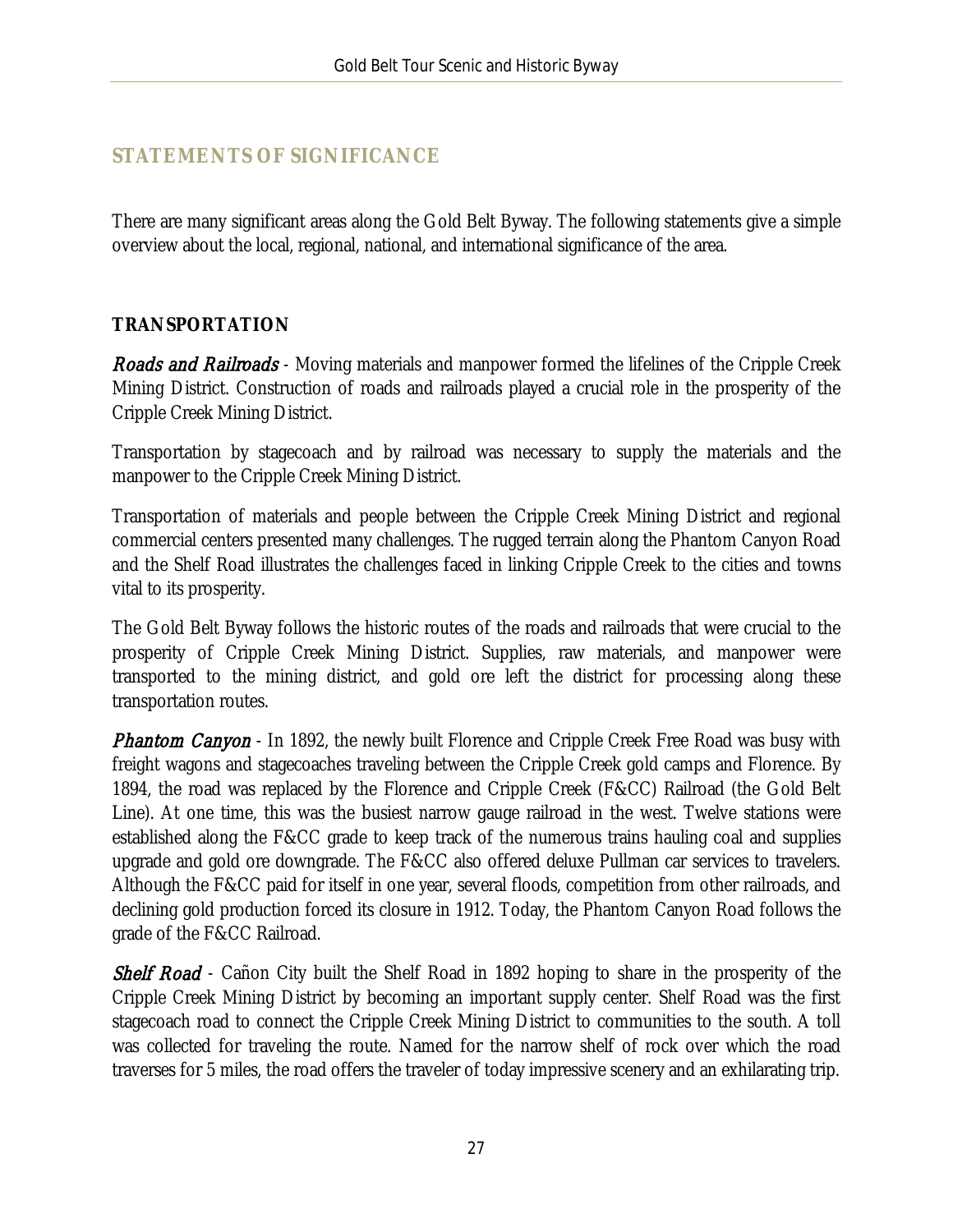### <span id="page-27-0"></span>**STATEMENTS OF SIGNIFICANCE**

There are many significant areas along the Gold Belt Byway. The following statements give a simple overview about the local, regional, national, and international significance of the area.

#### **TRANSPORTATION**

**Roads and Railroads** - Moving materials and manpower formed the lifelines of the Cripple Creek Mining District. Construction of roads and railroads played a crucial role in the prosperity of the Cripple Creek Mining District.

Transportation by stagecoach and by railroad was necessary to supply the materials and the manpower to the Cripple Creek Mining District.

Transportation of materials and people between the Cripple Creek Mining District and regional commercial centers presented many challenges. The rugged terrain along the Phantom Canyon Road and the Shelf Road illustrates the challenges faced in linking Cripple Creek to the cities and towns vital to its prosperity.

The Gold Belt Byway follows the historic routes of the roads and railroads that were crucial to the prosperity of Cripple Creek Mining District. Supplies, raw materials, and manpower were transported to the mining district, and gold ore left the district for processing along these transportation routes.

**Phantom Canyon** - In 1892, the newly built Florence and Cripple Creek Free Road was busy with freight wagons and stagecoaches traveling between the Cripple Creek gold camps and Florence. By 1894, the road was replaced by the Florence and Cripple Creek (F&CC) Railroad (the Gold Belt Line). At one time, this was the busiest narrow gauge railroad in the west. Twelve stations were established along the F&CC grade to keep track of the numerous trains hauling coal and supplies upgrade and gold ore downgrade. The F&CC also offered deluxe Pullman car services to travelers. Although the F&CC paid for itself in one year, several floods, competition from other railroads, and declining gold production forced its closure in 1912. Today, the Phantom Canyon Road follows the grade of the F&CC Railroad.

**Shelf Road** - Cañon City built the Shelf Road in 1892 hoping to share in the prosperity of the Cripple Creek Mining District by becoming an important supply center. Shelf Road was the first stagecoach road to connect the Cripple Creek Mining District to communities to the south. A toll was collected for traveling the route. Named for the narrow shelf of rock over which the road traverses for 5 miles, the road offers the traveler of today impressive scenery and an exhilarating trip.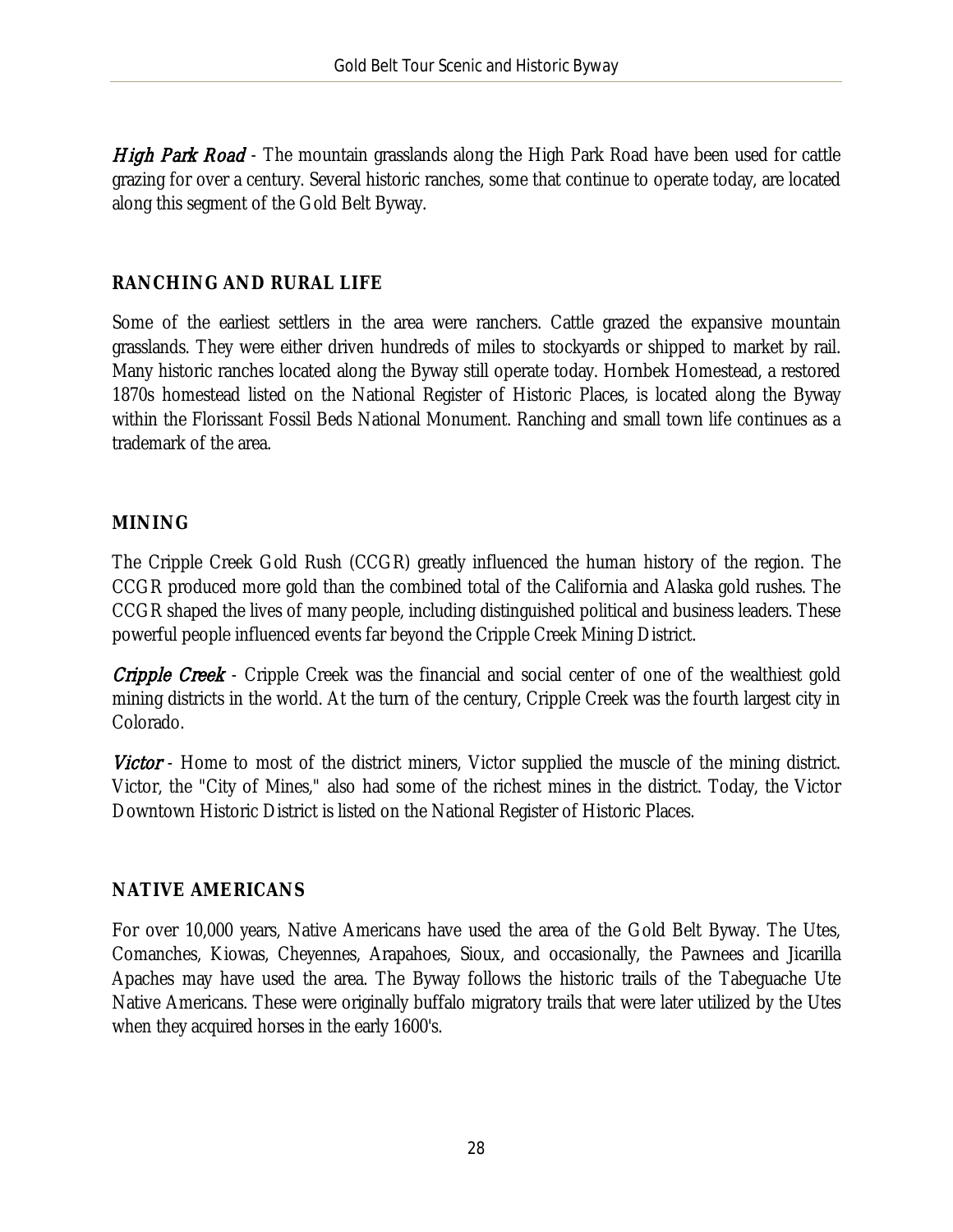High Park Road - The mountain grasslands along the High Park Road have been used for cattle grazing for over a century. Several historic ranches, some that continue to operate today, are located along this segment of the Gold Belt Byway.

#### **RANCHING AND RURAL LIFE**

Some of the earliest settlers in the area were ranchers. Cattle grazed the expansive mountain grasslands. They were either driven hundreds of miles to stockyards or shipped to market by rail. Many historic ranches located along the Byway still operate today. Hornbek Homestead, a restored 1870s homestead listed on the National Register of Historic Places, is located along the Byway within the Florissant Fossil Beds National Monument. Ranching and small town life continues as a trademark of the area.

#### **MINING**

The Cripple Creek Gold Rush (CCGR) greatly influenced the human history of the region. The CCGR produced more gold than the combined total of the California and Alaska gold rushes. The CCGR shaped the lives of many people, including distinguished political and business leaders. These powerful people influenced events far beyond the Cripple Creek Mining District.

**Cripple Creek** - Cripple Creek was the financial and social center of one of the wealthiest gold mining districts in the world. At the turn of the century, Cripple Creek was the fourth largest city in Colorado.

Victor - Home to most of the district miners, Victor supplied the muscle of the mining district. Victor, the "City of Mines," also had some of the richest mines in the district. Today, the Victor Downtown Historic District is listed on the National Register of Historic Places.

#### **NATIVE AMERICANS**

For over 10,000 years, Native Americans have used the area of the Gold Belt Byway. The Utes, Comanches, Kiowas, Cheyennes, Arapahoes, Sioux, and occasionally, the Pawnees and Jicarilla Apaches may have used the area. The Byway follows the historic trails of the Tabeguache Ute Native Americans. These were originally buffalo migratory trails that were later utilized by the Utes when they acquired horses in the early 1600's.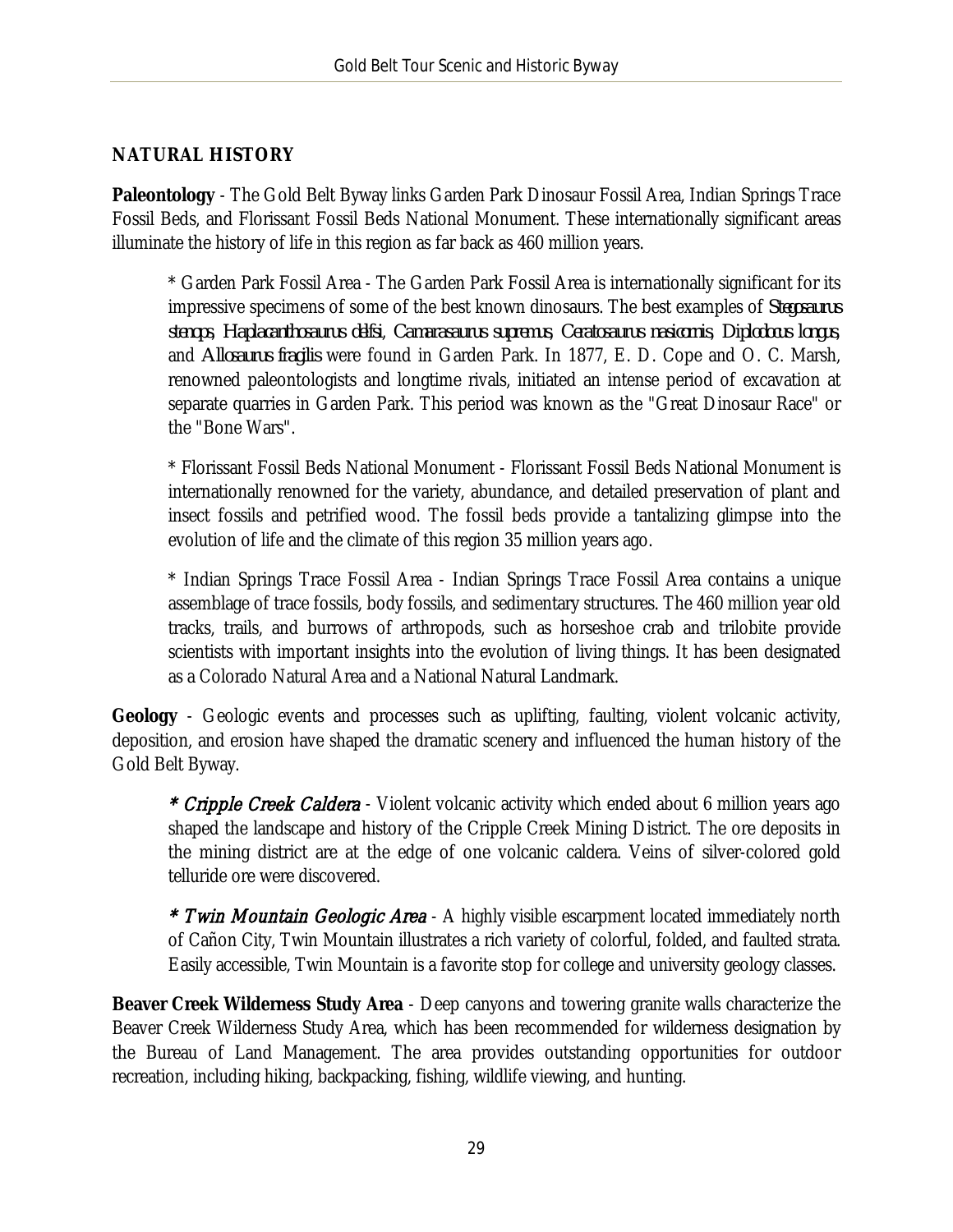#### **NATURAL HISTORY**

**Paleontology** - The Gold Belt Byway links Garden Park Dinosaur Fossil Area, Indian Springs Trace Fossil Beds, and Florissant Fossil Beds National Monument. These internationally significant areas illuminate the history of life in this region as far back as 460 million years.

\* Garden Park Fossil Area - The Garden Park Fossil Area is internationally significant for its impressive specimens of some of the best known dinosaurs. The best examples of *Stegosaurus stenops*, *Haplacanthosaurus delfsi*, *Camarasaurus supremus*, *Ceratosaurus nasicornis*, *Diplodocus longus*, and *Allosaurus fragilis* were found in Garden Park. In 1877, E. D. Cope and O. C. Marsh, renowned paleontologists and longtime rivals, initiated an intense period of excavation at separate quarries in Garden Park. This period was known as the "Great Dinosaur Race" or the "Bone Wars".

\* Florissant Fossil Beds National Monument - Florissant Fossil Beds National Monument is internationally renowned for the variety, abundance, and detailed preservation of plant and insect fossils and petrified wood. The fossil beds provide a tantalizing glimpse into the evolution of life and the climate of this region 35 million years ago.

\* Indian Springs Trace Fossil Area - Indian Springs Trace Fossil Area contains a unique assemblage of trace fossils, body fossils, and sedimentary structures. The 460 million year old tracks, trails, and burrows of arthropods, such as horseshoe crab and trilobite provide scientists with important insights into the evolution of living things. It has been designated as a Colorado Natural Area and a National Natural Landmark.

**Geology** - Geologic events and processes such as uplifting, faulting, violent volcanic activity, deposition, and erosion have shaped the dramatic scenery and influenced the human history of the Gold Belt Byway.

\* *Cripple Creek Caldera* - Violent volcanic activity which ended about 6 million years ago shaped the landscape and history of the Cripple Creek Mining District. The ore deposits in the mining district are at the edge of one volcanic caldera. Veins of silver-colored gold telluride ore were discovered.

\* Twin Mountain Geologic Area - A highly visible escarpment located immediately north of Cañon City, Twin Mountain illustrates a rich variety of colorful, folded, and faulted strata. Easily accessible, Twin Mountain is a favorite stop for college and university geology classes.

**Beaver Creek Wilderness Study Area** - Deep canyons and towering granite walls characterize the Beaver Creek Wilderness Study Area, which has been recommended for wilderness designation by the Bureau of Land Management. The area provides outstanding opportunities for outdoor recreation, including hiking, backpacking, fishing, wildlife viewing, and hunting.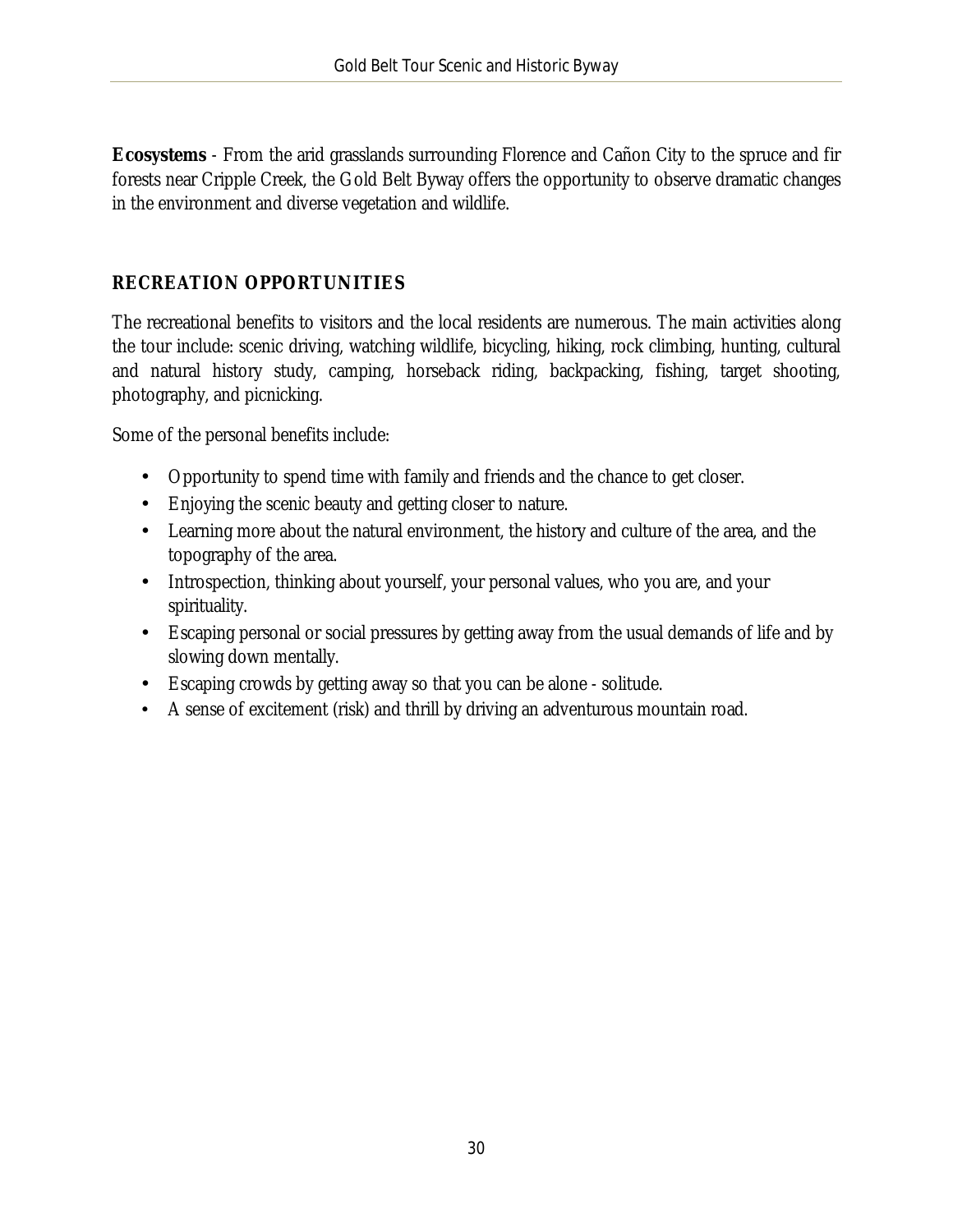**Ecosystems** - From the arid grasslands surrounding Florence and Cañon City to the spruce and fir forests near Cripple Creek, the Gold Belt Byway offers the opportunity to observe dramatic changes in the environment and diverse vegetation and wildlife.

### **RECREATION OPPORTUNITIES**

The recreational benefits to visitors and the local residents are numerous. The main activities along the tour include: scenic driving, watching wildlife, bicycling, hiking, rock climbing, hunting, cultural and natural history study, camping, horseback riding, backpacking, fishing, target shooting, photography, and picnicking.

Some of the personal benefits include:

- a. Opportunity to spend time with family and friends and the chance to get closer.
- Enjoying the scenic beauty and getting closer to nature.  $\mathbb{R}^{\mathbb{Z}}$
- Learning more about the natural environment, the history and culture of the area, and the topography of the area.
- Introspection, thinking about yourself, your personal values, who you are, and your  $\mathcal{L}_{\mathcal{A}}$ spirituality.
- Escaping personal or social pressures by getting away from the usual demands of life and by slowing down mentally.
- Escaping crowds by getting away so that you can be alone solitude.  $\mathbb{R}^{\mathbb{Z}}$
- A sense of excitement (risk) and thrill by driving an adventurous mountain road.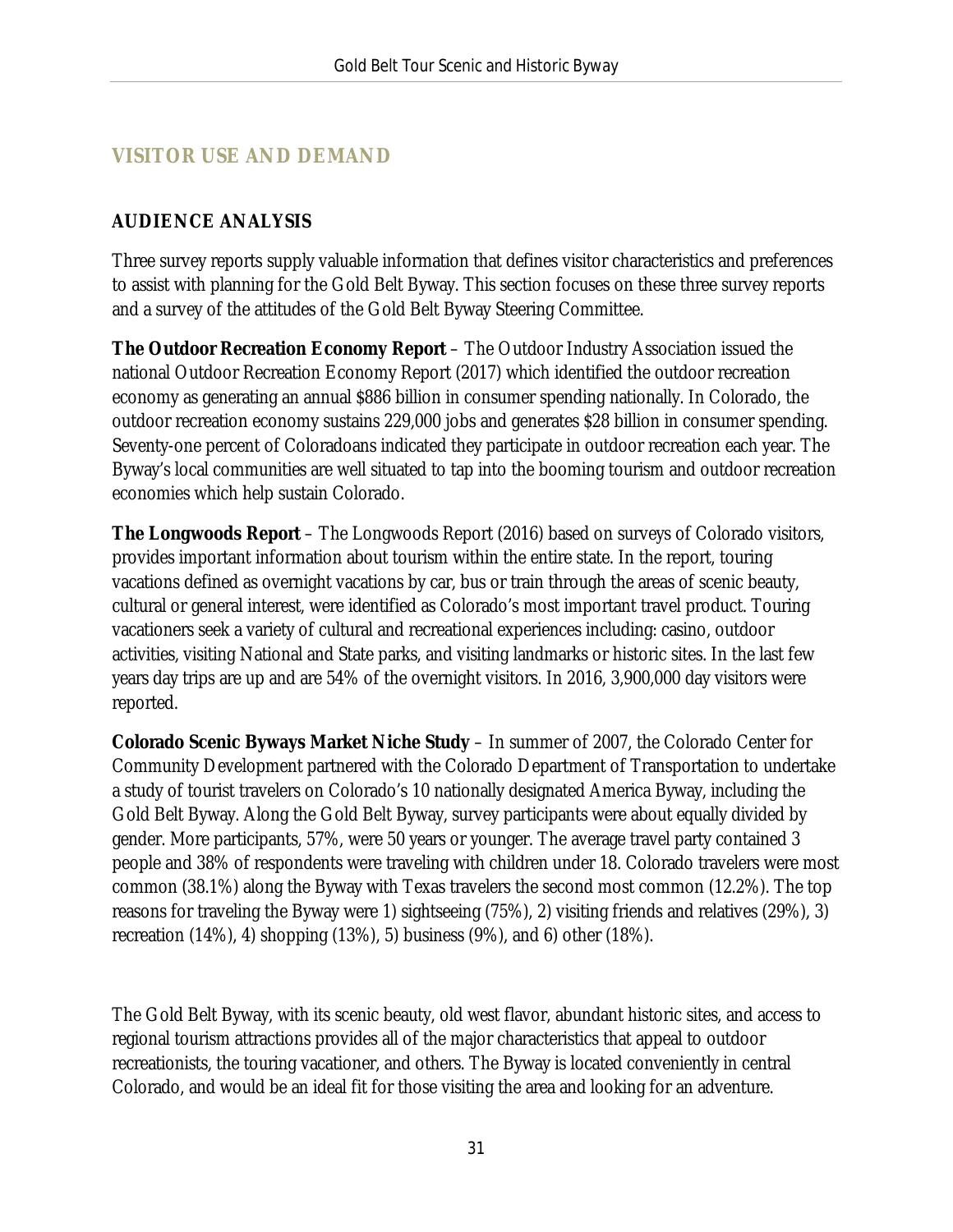### <span id="page-31-0"></span>**VISITOR USE AND DEMAND**

#### **AUDIENCE ANALYSIS**

Three survey reports supply valuable information that defines visitor characteristics and preferences to assist with planning for the Gold Belt Byway. This section focuses on these three survey reports and a survey of the attitudes of the Gold Belt Byway Steering Committee.

**The Outdoor Recreation Economy Report** – The Outdoor Industry Association issued the national Outdoor Recreation Economy Report (2017) which identified the outdoor recreation economy as generating an annual \$886 billion in consumer spending nationally. In Colorado, the outdoor recreation economy sustains 229,000 jobs and generates \$28 billion in consumer spending. Seventy-one percent of Coloradoans indicated they participate in outdoor recreation each year. The Byway's local communities are well situated to tap into the booming tourism and outdoor recreation economies which help sustain Colorado.

**The Longwoods Report** – The Longwoods Report (2016) based on surveys of Colorado visitors, provides important information about tourism within the entire state. In the report, touring vacations defined as overnight vacations by car, bus or train through the areas of scenic beauty, cultural or general interest, were identified as Colorado's most important travel product. Touring vacationers seek a variety of cultural and recreational experiences including: casino, outdoor activities, visiting National and State parks, and visiting landmarks or historic sites. In the last few years day trips are up and are 54% of the overnight visitors. In 2016, 3,900,000 day visitors were reported.

**Colorado Scenic Byways Market Niche Study** – In summer of 2007, the Colorado Center for Community Development partnered with the Colorado Department of Transportation to undertake a study of tourist travelers on Colorado's 10 nationally designated America Byway, including the Gold Belt Byway. Along the Gold Belt Byway, survey participants were about equally divided by gender. More participants, 57%, were 50 years or younger. The average travel party contained 3 people and 38% of respondents were traveling with children under 18. Colorado travelers were most common (38.1%) along the Byway with Texas travelers the second most common (12.2%). The top reasons for traveling the Byway were 1) sightseeing (75%), 2) visiting friends and relatives (29%), 3) recreation (14%), 4) shopping (13%), 5) business (9%), and 6) other (18%).

The Gold Belt Byway, with its scenic beauty, old west flavor, abundant historic sites, and access to regional tourism attractions provides all of the major characteristics that appeal to outdoor recreationists, the touring vacationer, and others. The Byway is located conveniently in central Colorado, and would be an ideal fit for those visiting the area and looking for an adventure.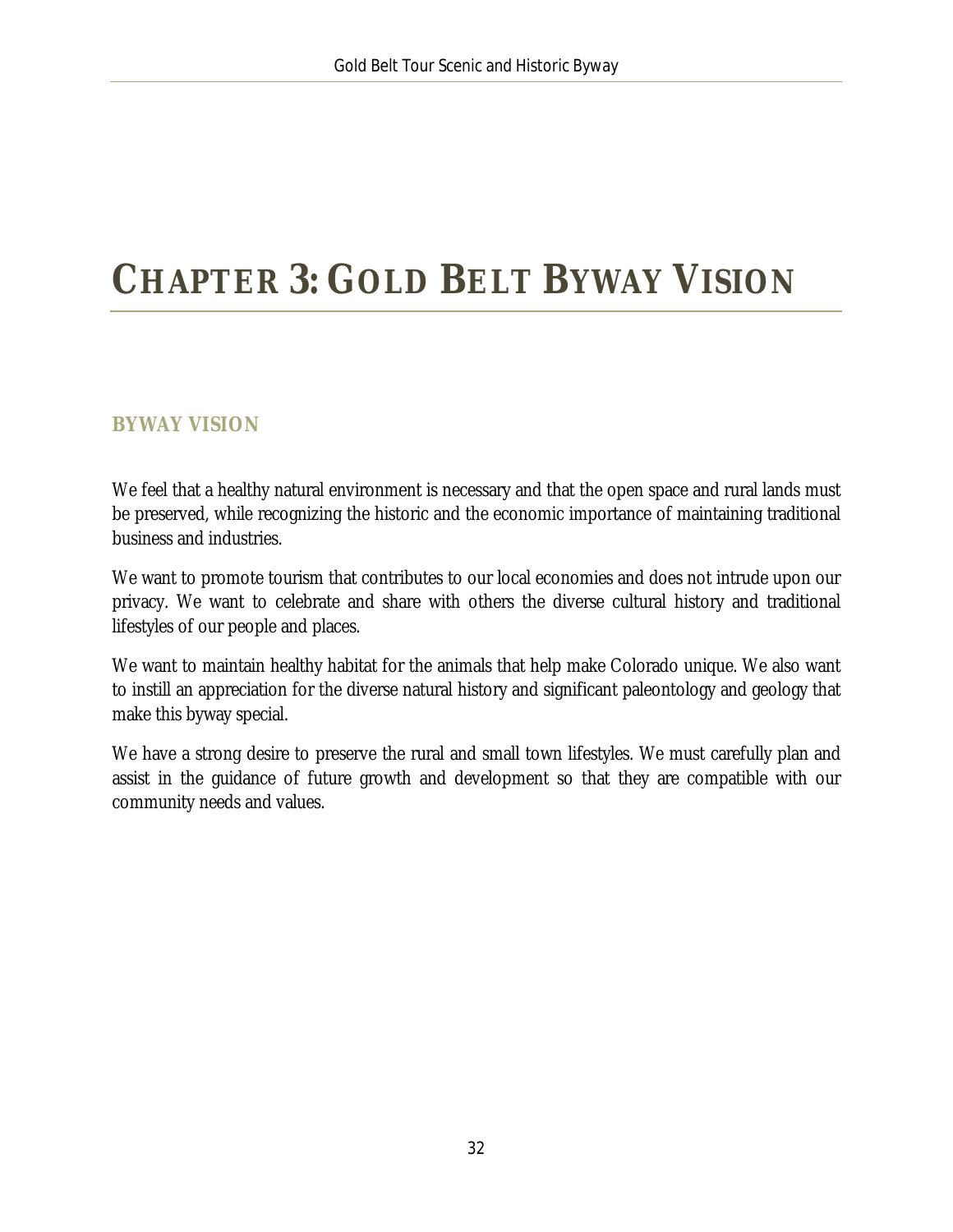# <span id="page-32-0"></span>**CHAPTER 3: GOLD BELT BYWAY VISION**

### <span id="page-32-1"></span>**BYWAY VISION**

We feel that a healthy natural environment is necessary and that the open space and rural lands must be preserved, while recognizing the historic and the economic importance of maintaining traditional business and industries.

We want to promote tourism that contributes to our local economies and does not intrude upon our privacy. We want to celebrate and share with others the diverse cultural history and traditional lifestyles of our people and places.

We want to maintain healthy habitat for the animals that help make Colorado unique. We also want to instill an appreciation for the diverse natural history and significant paleontology and geology that make this byway special.

We have a strong desire to preserve the rural and small town lifestyles. We must carefully plan and assist in the guidance of future growth and development so that they are compatible with our community needs and values.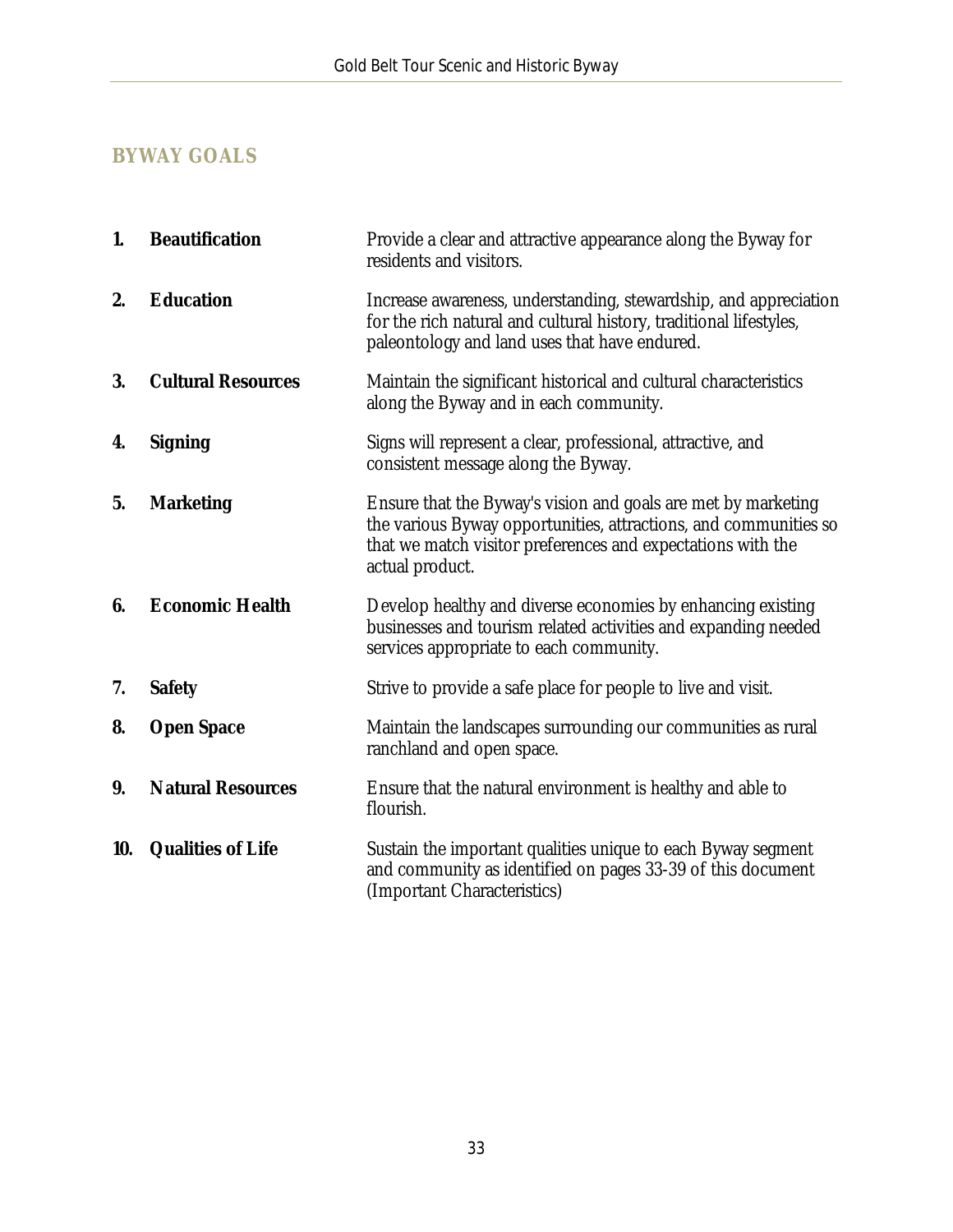## <span id="page-33-0"></span>**BYWAY GOALS**

| 1.  | <b>Beautification</b>     | Provide a clear and attractive appearance along the Byway for<br>residents and visitors.                                                                                                                            |
|-----|---------------------------|---------------------------------------------------------------------------------------------------------------------------------------------------------------------------------------------------------------------|
| 2.  | <b>Education</b>          | Increase awareness, understanding, stewardship, and appreciation<br>for the rich natural and cultural history, traditional lifestyles,<br>paleontology and land uses that have endured.                             |
| 3.  | <b>Cultural Resources</b> | Maintain the significant historical and cultural characteristics<br>along the Byway and in each community.                                                                                                          |
| 4.  | <b>Signing</b>            | Signs will represent a clear, professional, attractive, and<br>consistent message along the Byway.                                                                                                                  |
| 5.  | <b>Marketing</b>          | Ensure that the Byway's vision and goals are met by marketing<br>the various Byway opportunities, attractions, and communities so<br>that we match visitor preferences and expectations with the<br>actual product. |
| 6.  | <b>Economic Health</b>    | Develop healthy and diverse economies by enhancing existing<br>businesses and tourism related activities and expanding needed<br>services appropriate to each community.                                            |
| 7.  | <b>Safety</b>             | Strive to provide a safe place for people to live and visit.                                                                                                                                                        |
| 8.  | <b>Open Space</b>         | Maintain the landscapes surrounding our communities as rural<br>ranchland and open space.                                                                                                                           |
| 9.  | <b>Natural Resources</b>  | Ensure that the natural environment is healthy and able to<br>flourish.                                                                                                                                             |
| 10. | <b>Qualities of Life</b>  | Sustain the important qualities unique to each Byway segment<br>and community as identified on pages 33-39 of this document<br>(Important Characteristics)                                                          |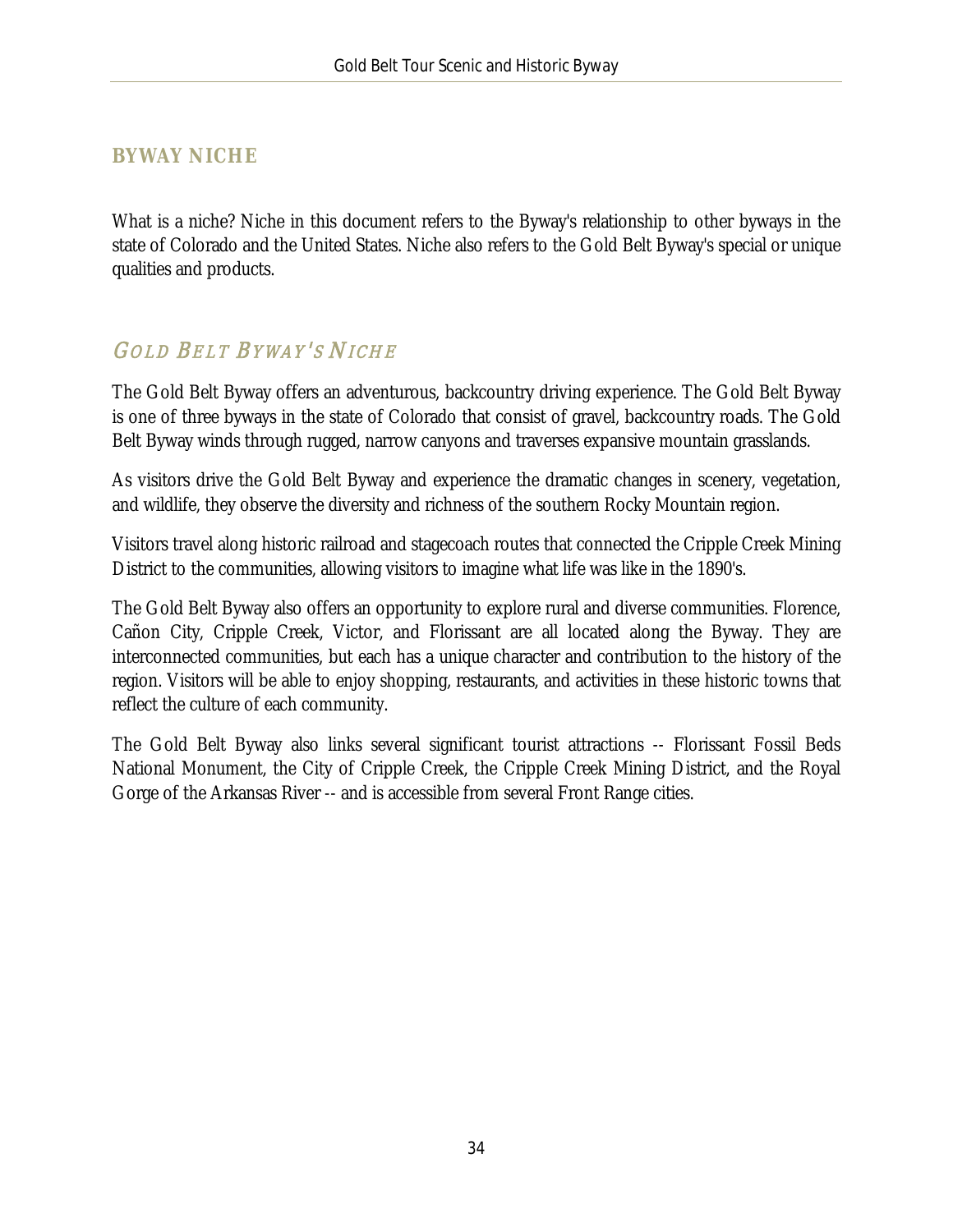### <span id="page-34-0"></span>**BYWAY NICHE**

What is a niche? Niche in this document refers to the Byway's relationship to other byways in the state of Colorado and the United States. Niche also refers to the Gold Belt Byway's special or unique qualities and products.

# **GOLD BELT BYWAY'S NICHE**

The Gold Belt Byway offers an adventurous, backcountry driving experience. The Gold Belt Byway is one of three byways in the state of Colorado that consist of gravel, backcountry roads. The Gold Belt Byway winds through rugged, narrow canyons and traverses expansive mountain grasslands.

As visitors drive the Gold Belt Byway and experience the dramatic changes in scenery, vegetation, and wildlife, they observe the diversity and richness of the southern Rocky Mountain region.

Visitors travel along historic railroad and stagecoach routes that connected the Cripple Creek Mining District to the communities, allowing visitors to imagine what life was like in the 1890's.

The Gold Belt Byway also offers an opportunity to explore rural and diverse communities. Florence, Cañon City, Cripple Creek, Victor, and Florissant are all located along the Byway. They are interconnected communities, but each has a unique character and contribution to the history of the region. Visitors will be able to enjoy shopping, restaurants, and activities in these historic towns that reflect the culture of each community.

The Gold Belt Byway also links several significant tourist attractions -- Florissant Fossil Beds National Monument, the City of Cripple Creek, the Cripple Creek Mining District, and the Royal Gorge of the Arkansas River -- and is accessible from several Front Range cities.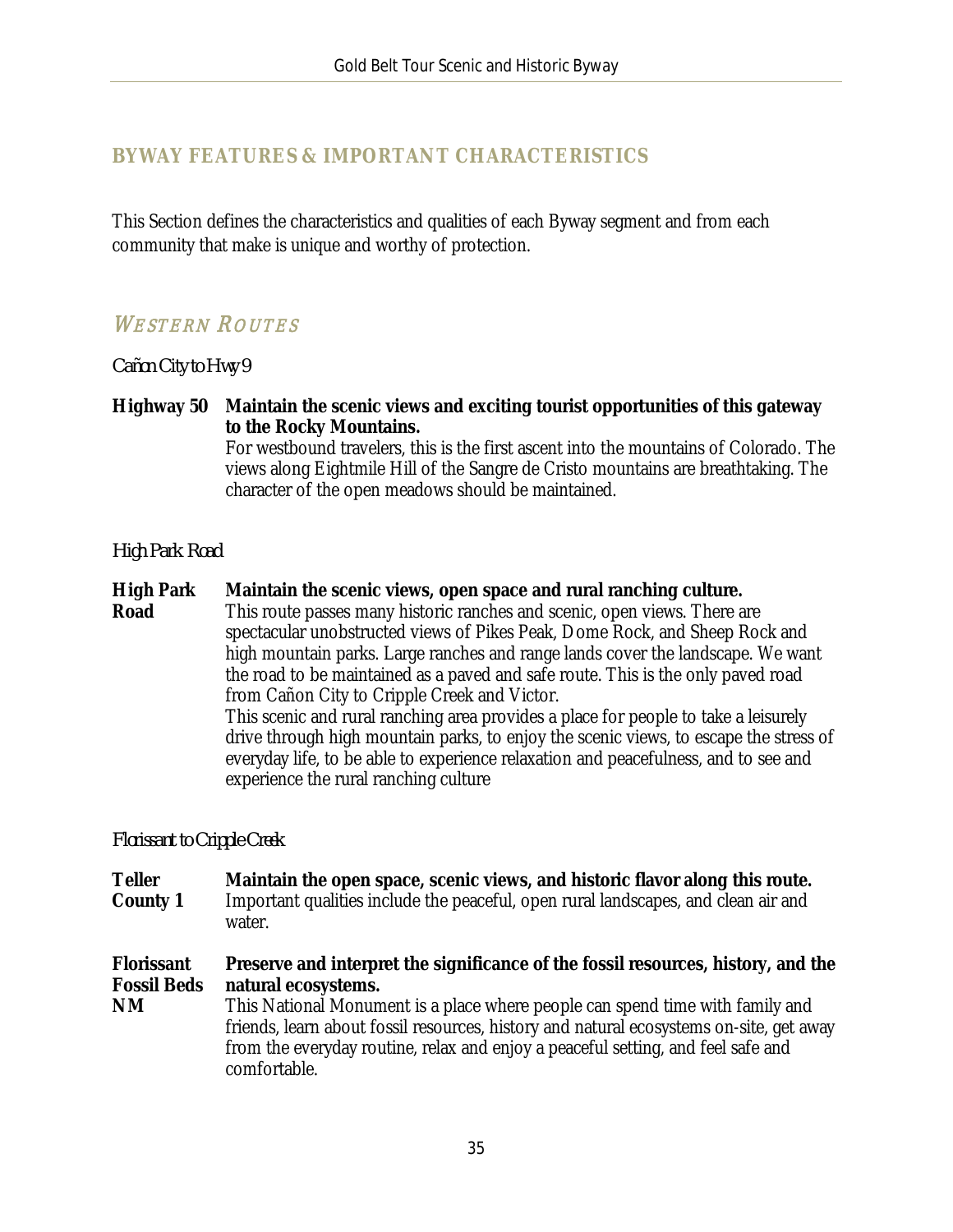### <span id="page-35-0"></span>**BYWAY FEATURES & IMPORTANT CHARACTERISTICS**

This Section defines the characteristics and qualities of each Byway segment and from each community that make is unique and worthy of protection.

### WESTERN ROUTES

*Cañon City to Hwy 9*

**Highway 50 Maintain the scenic views and exciting tourist opportunities of this gateway to the Rocky Mountains.**

For westbound travelers, this is the first ascent into the mountains of Colorado. The views along Eightmile Hill of the Sangre de Cristo mountains are breathtaking. The character of the open meadows should be maintained.

#### *High Park Road*

**High Park Road Maintain the scenic views, open space and rural ranching culture.** This route passes many historic ranches and scenic, open views. There are spectacular unobstructed views of Pikes Peak, Dome Rock, and Sheep Rock and high mountain parks. Large ranches and range lands cover the landscape. We want the road to be maintained as a paved and safe route. This is the only paved road from Cañon City to Cripple Creek and Victor. This scenic and rural ranching area provides a place for people to take a leisurely drive through high mountain parks, to enjoy the scenic views, to escape the stress of everyday life, to be able to experience relaxation and peacefulness, and to see and experience the rural ranching culture

#### *Florissant to Cripple Creek*

**Teller County 1 Maintain the open space, scenic views, and historic flavor along this route.** Important qualities include the peaceful, open rural landscapes, and clean air and water.

**Florissant Fossil Beds Preserve and interpret the significance of the fossil resources, history, and the natural ecosystems.**

**NM** This National Monument is a place where people can spend time with family and friends, learn about fossil resources, history and natural ecosystems on-site, get away from the everyday routine, relax and enjoy a peaceful setting, and feel safe and comfortable.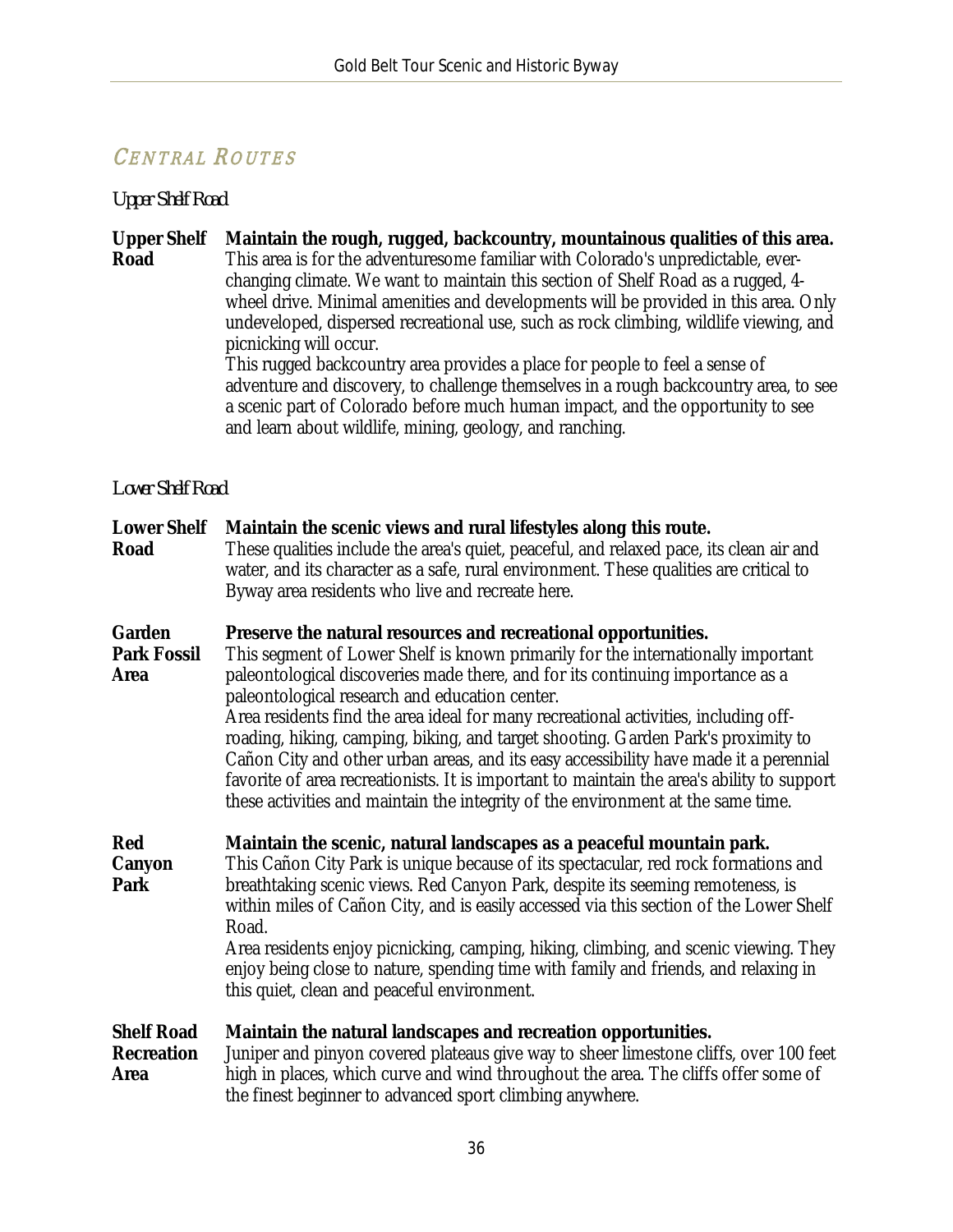# CENTRAL ROUTES

# *Upper Shelf Road*

| <b>Upper Shelf</b><br>Road                     | Maintain the rough, rugged, backcountry, mountainous qualities of this area.<br>This area is for the adventuresome familiar with Colorado's unpredictable, ever-<br>changing climate. We want to maintain this section of Shelf Road as a rugged, 4-<br>wheel drive. Minimal amenities and developments will be provided in this area. Only<br>undeveloped, dispersed recreational use, such as rock climbing, wildlife viewing, and<br>picnicking will occur.<br>This rugged backcountry area provides a place for people to feel a sense of<br>adventure and discovery, to challenge themselves in a rough backcountry area, to see<br>a scenic part of Colorado before much human impact, and the opportunity to see<br>and learn about wildlife, mining, geology, and ranching. |  |  |
|------------------------------------------------|-------------------------------------------------------------------------------------------------------------------------------------------------------------------------------------------------------------------------------------------------------------------------------------------------------------------------------------------------------------------------------------------------------------------------------------------------------------------------------------------------------------------------------------------------------------------------------------------------------------------------------------------------------------------------------------------------------------------------------------------------------------------------------------|--|--|
| <b>Lower Shelf Road</b>                        |                                                                                                                                                                                                                                                                                                                                                                                                                                                                                                                                                                                                                                                                                                                                                                                     |  |  |
| <b>Lower Shelf</b><br>Road                     | Maintain the scenic views and rural lifestyles along this route.<br>These qualities include the area's quiet, peaceful, and relaxed pace, its clean air and<br>water, and its character as a safe, rural environment. These qualities are critical to<br>Byway area residents who live and recreate here.                                                                                                                                                                                                                                                                                                                                                                                                                                                                           |  |  |
| Garden<br><b>Park Fossil</b><br><b>Area</b>    | Preserve the natural resources and recreational opportunities.<br>This segment of Lower Shelf is known primarily for the internationally important<br>paleontological discoveries made there, and for its continuing importance as a<br>paleontological research and education center.<br>Area residents find the area ideal for many recreational activities, including off-<br>roading, hiking, camping, biking, and target shooting. Garden Park's proximity to<br>Cañon City and other urban areas, and its easy accessibility have made it a perennial<br>favorite of area recreationists. It is important to maintain the area's ability to support<br>these activities and maintain the integrity of the environment at the same time.                                       |  |  |
| Red<br>Canyon<br>Park                          | Maintain the scenic, natural landscapes as a peaceful mountain park.<br>This Cañon City Park is unique because of its spectacular, red rock formations and<br>breathtaking scenic views. Red Canyon Park, despite its seeming remoteness, is<br>within miles of Cañon City, and is easily accessed via this section of the Lower Shelf<br>Road.                                                                                                                                                                                                                                                                                                                                                                                                                                     |  |  |
|                                                | Area residents enjoy picnicking, camping, hiking, climbing, and scenic viewing. They<br>enjoy being close to nature, spending time with family and friends, and relaxing in<br>this quiet, clean and peaceful environment.                                                                                                                                                                                                                                                                                                                                                                                                                                                                                                                                                          |  |  |
| <b>Shelf Road</b><br><b>Recreation</b><br>Area | Maintain the natural landscapes and recreation opportunities.<br>Juniper and pinyon covered plateaus give way to sheer limestone cliffs, over 100 feet<br>high in places, which curve and wind throughout the area. The cliffs offer some of<br>the finest beginner to advanced sport climbing anywhere.                                                                                                                                                                                                                                                                                                                                                                                                                                                                            |  |  |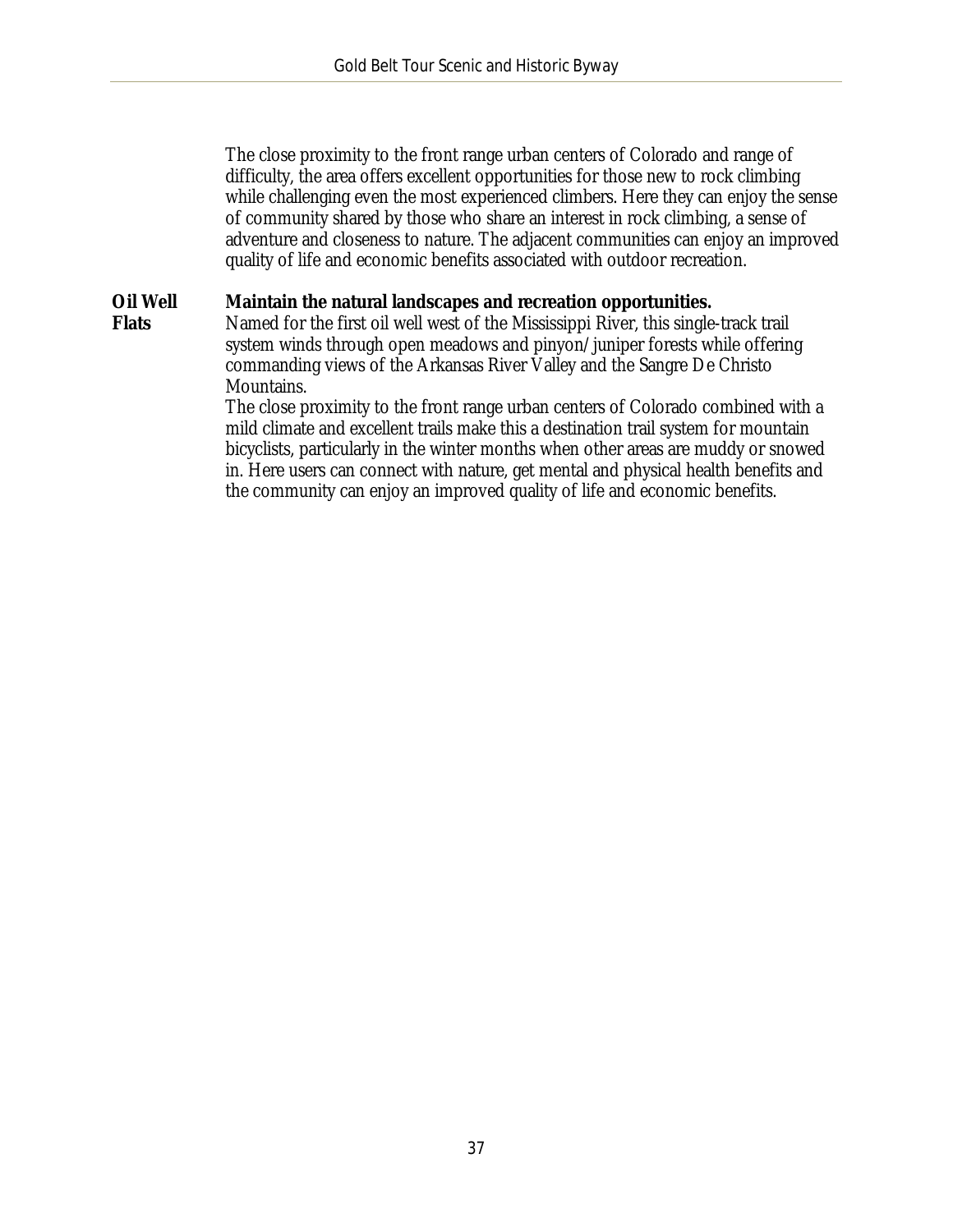The close proximity to the front range urban centers of Colorado and range of difficulty, the area offers excellent opportunities for those new to rock climbing while challenging even the most experienced climbers. Here they can enjoy the sense of community shared by those who share an interest in rock climbing, a sense of adventure and closeness to nature. The adjacent communities can enjoy an improved quality of life and economic benefits associated with outdoor recreation.

#### **Oil Well Maintain the natural landscapes and recreation opportunities.**

**Flats**

Named for the first oil well west of the Mississippi River, this single-track trail system winds through open meadows and pinyon/juniper forests while offering commanding views of the Arkansas River Valley and the Sangre De Christo Mountains.

The close proximity to the front range urban centers of Colorado combined with a mild climate and excellent trails make this a destination trail system for mountain bicyclists, particularly in the winter months when other areas are muddy or snowed in. Here users can connect with nature, get mental and physical health benefits and the community can enjoy an improved quality of life and economic benefits.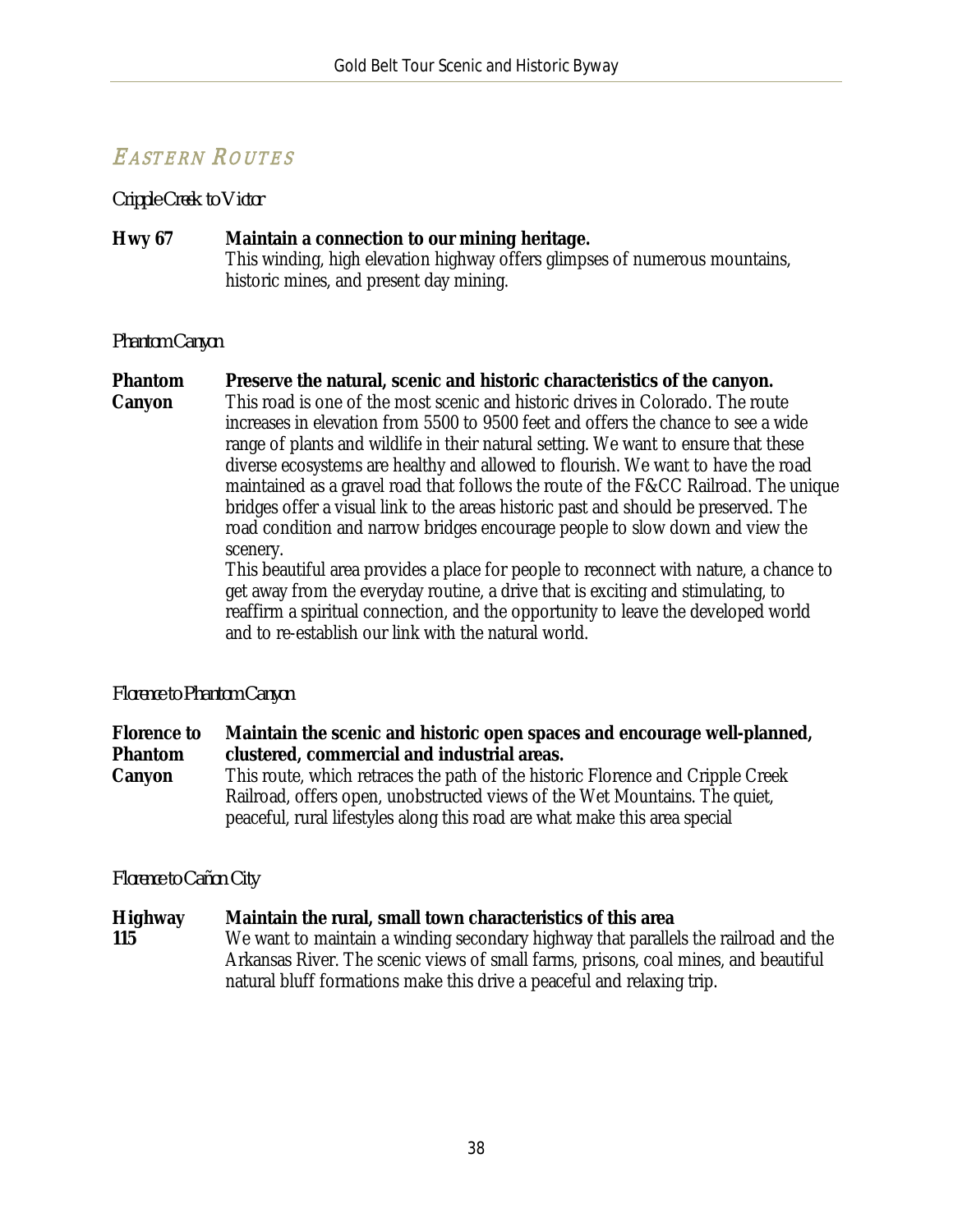# EASTERN ROUTES

*Cripple Creek to Victor*

#### **Hwy 67 Maintain a connection to our mining heritage.** This winding, high elevation highway offers glimpses of numerous mountains, historic mines, and present day mining.

#### *Phantom Canyon*

#### **Phantom Preserve the natural, scenic and historic characteristics of the canyon.**

**Canyon** This road is one of the most scenic and historic drives in Colorado. The route increases in elevation from 5500 to 9500 feet and offers the chance to see a wide range of plants and wildlife in their natural setting. We want to ensure that these diverse ecosystems are healthy and allowed to flourish. We want to have the road maintained as a gravel road that follows the route of the F&CC Railroad. The unique bridges offer a visual link to the areas historic past and should be preserved. The road condition and narrow bridges encourage people to slow down and view the scenery.

This beautiful area provides a place for people to reconnect with nature, a chance to get away from the everyday routine, a drive that is exciting and stimulating, to reaffirm a spiritual connection, and the opportunity to leave the developed world and to re-establish our link with the natural world.

#### *Florence to Phantom Canyon*

**Florence to Phantom Canyon Maintain the scenic and historic open spaces and encourage well-planned, clustered, commercial and industrial areas.** This route, which retraces the path of the historic Florence and Cripple Creek Railroad, offers open, unobstructed views of the Wet Mountains. The quiet, peaceful, rural lifestyles along this road are what make this area special

#### *Florence to Cañon City*

**Highway 115 Maintain the rural, small town characteristics of this area** We want to maintain a winding secondary highway that parallels the railroad and the Arkansas River. The scenic views of small farms, prisons, coal mines, and beautiful natural bluff formations make this drive a peaceful and relaxing trip.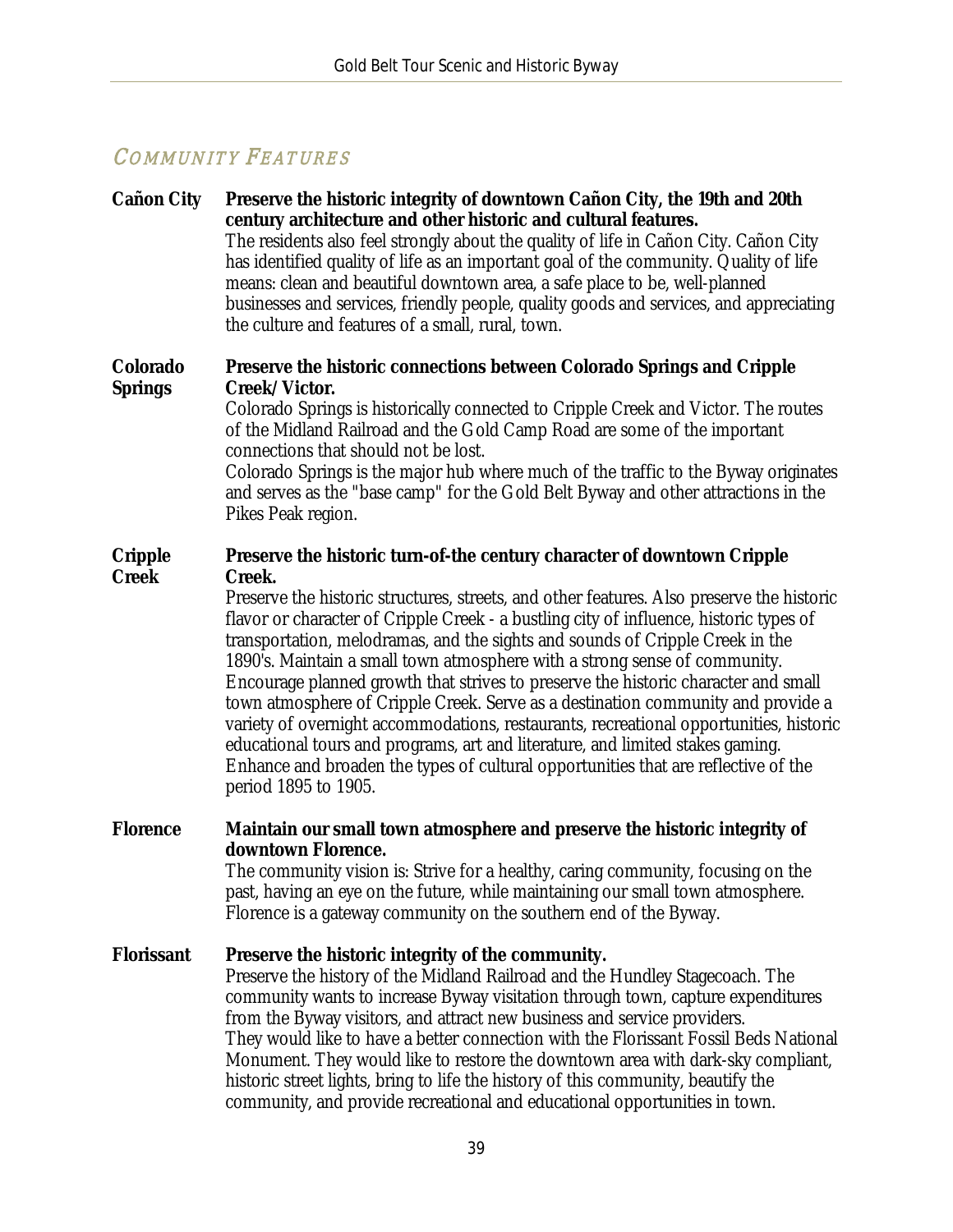# COMMUNITY FEATURES

#### **Cañon City Preserve the historic integrity of downtown Cañon City, the 19th and 20th century architecture and other historic and cultural features.**  The residents also feel strongly about the quality of life in Cañon City. Cañon City has identified quality of life as an important goal of the community. Quality of life means: clean and beautiful downtown area, a safe place to be, well-planned businesses and services, friendly people, quality goods and services, and appreciating the culture and features of a small, rural, town.

#### **Colorado Springs Preserve the historic connections between Colorado Springs and Cripple Creek/Victor.**

Colorado Springs is historically connected to Cripple Creek and Victor. The routes of the Midland Railroad and the Gold Camp Road are some of the important connections that should not be lost.

Colorado Springs is the major hub where much of the traffic to the Byway originates and serves as the "base camp" for the Gold Belt Byway and other attractions in the Pikes Peak region.

#### **Cripple Creek Preserve the historic turn-of-the century character of downtown Cripple Creek.**

Preserve the historic structures, streets, and other features. Also preserve the historic flavor or character of Cripple Creek - a bustling city of influence, historic types of transportation, melodramas, and the sights and sounds of Cripple Creek in the 1890's. Maintain a small town atmosphere with a strong sense of community. Encourage planned growth that strives to preserve the historic character and small town atmosphere of Cripple Creek. Serve as a destination community and provide a variety of overnight accommodations, restaurants, recreational opportunities, historic educational tours and programs, art and literature, and limited stakes gaming. Enhance and broaden the types of cultural opportunities that are reflective of the period 1895 to 1905.

#### **Florence Maintain our small town atmosphere and preserve the historic integrity of downtown Florence.**

The community vision is: Strive for a healthy, caring community, focusing on the past, having an eye on the future, while maintaining our small town atmosphere. Florence is a gateway community on the southern end of the Byway.

#### **Florissant Preserve the historic integrity of the community.**

Preserve the history of the Midland Railroad and the Hundley Stagecoach. The community wants to increase Byway visitation through town, capture expenditures from the Byway visitors, and attract new business and service providers. They would like to have a better connection with the Florissant Fossil Beds National Monument. They would like to restore the downtown area with dark-sky compliant, historic street lights, bring to life the history of this community, beautify the community, and provide recreational and educational opportunities in town.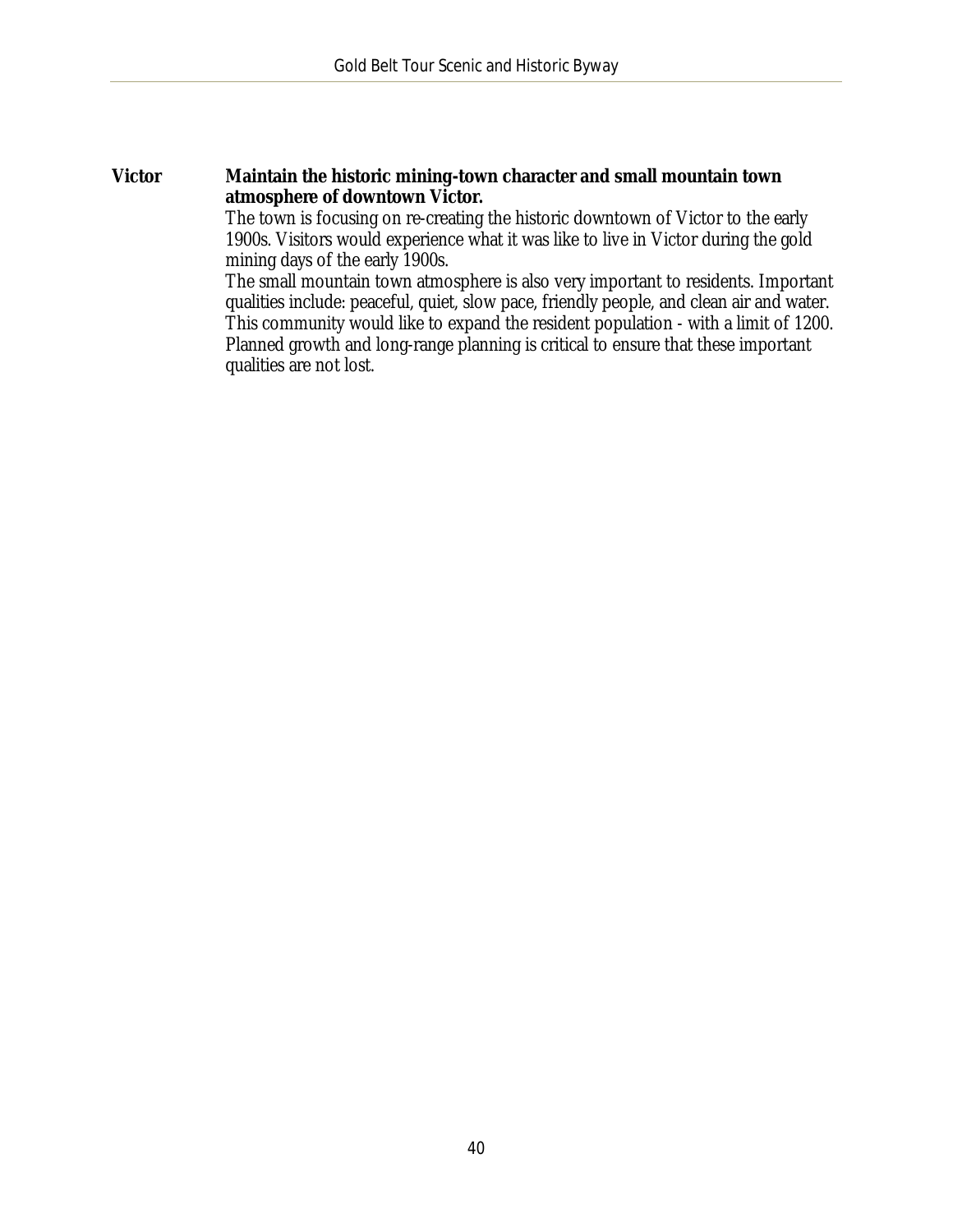#### **Victor Maintain the historic mining-town character and small mountain town atmosphere of downtown Victor.**

The town is focusing on re-creating the historic downtown of Victor to the early 1900s. Visitors would experience what it was like to live in Victor during the gold mining days of the early 1900s.

The small mountain town atmosphere is also very important to residents. Important qualities include: peaceful, quiet, slow pace, friendly people, and clean air and water. This community would like to expand the resident population - with a limit of 1200. Planned growth and long-range planning is critical to ensure that these important qualities are not lost.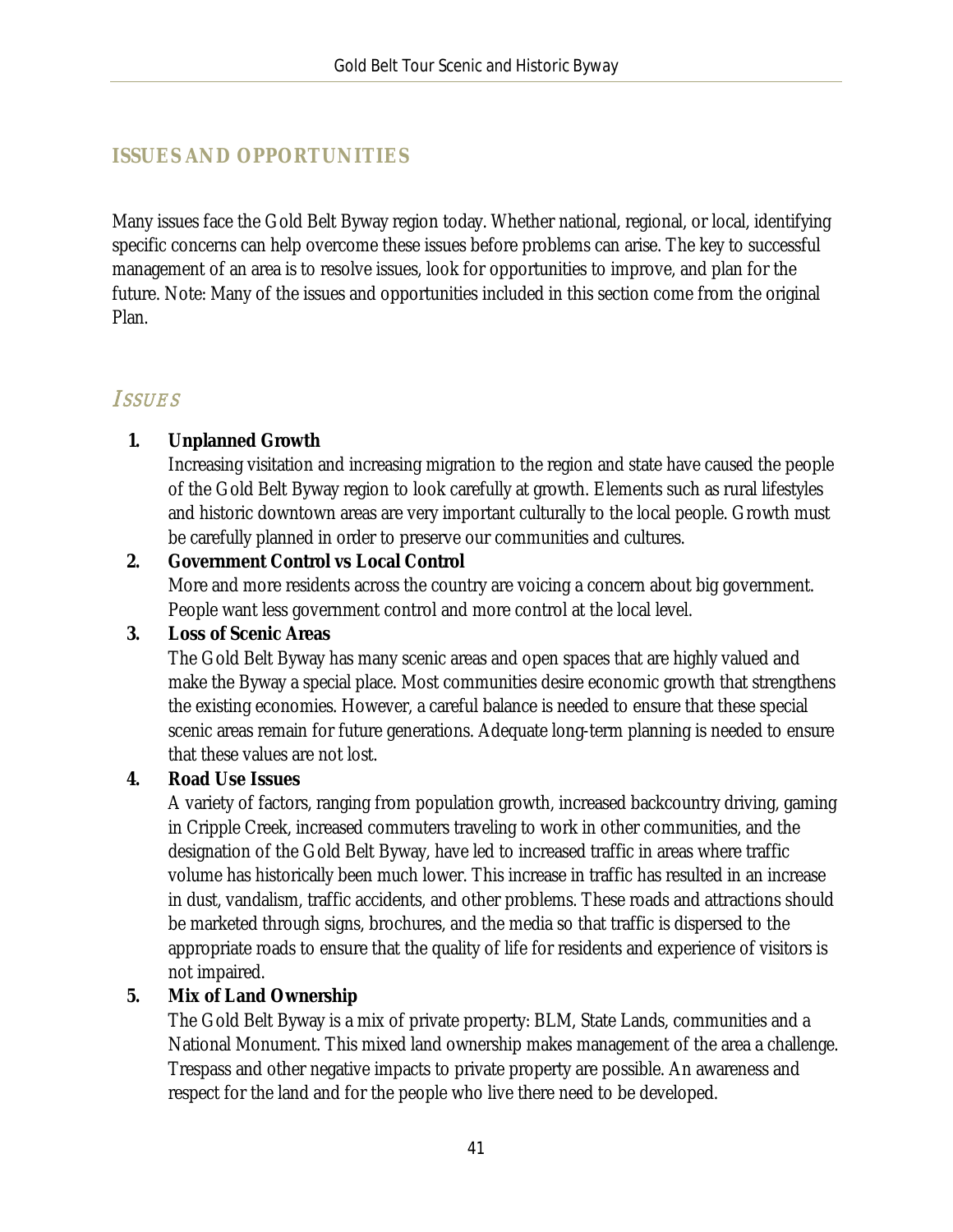### <span id="page-41-0"></span>**ISSUES AND OPPORTUNITIES**

Many issues face the Gold Belt Byway region today. Whether national, regional, or local, identifying specific concerns can help overcome these issues before problems can arise. The key to successful management of an area is to resolve issues, look for opportunities to improve, and plan for the future. Note: Many of the issues and opportunities included in this section come from the original Plan.

### **ISSUES**

#### **1. Unplanned Growth**

Increasing visitation and increasing migration to the region and state have caused the people of the Gold Belt Byway region to look carefully at growth. Elements such as rural lifestyles and historic downtown areas are very important culturally to the local people. Growth must be carefully planned in order to preserve our communities and cultures.

#### **2. Government Control vs Local Control**

More and more residents across the country are voicing a concern about big government. People want less government control and more control at the local level.

#### **3. Loss of Scenic Areas**

The Gold Belt Byway has many scenic areas and open spaces that are highly valued and make the Byway a special place. Most communities desire economic growth that strengthens the existing economies. However, a careful balance is needed to ensure that these special scenic areas remain for future generations. Adequate long-term planning is needed to ensure that these values are not lost.

#### **4. Road Use Issues**

A variety of factors, ranging from population growth, increased backcountry driving, gaming in Cripple Creek, increased commuters traveling to work in other communities, and the designation of the Gold Belt Byway, have led to increased traffic in areas where traffic volume has historically been much lower. This increase in traffic has resulted in an increase in dust, vandalism, traffic accidents, and other problems. These roads and attractions should be marketed through signs, brochures, and the media so that traffic is dispersed to the appropriate roads to ensure that the quality of life for residents and experience of visitors is not impaired.

#### **5. Mix of Land Ownership**

The Gold Belt Byway is a mix of private property: BLM, State Lands, communities and a National Monument. This mixed land ownership makes management of the area a challenge. Trespass and other negative impacts to private property are possible. An awareness and respect for the land and for the people who live there need to be developed.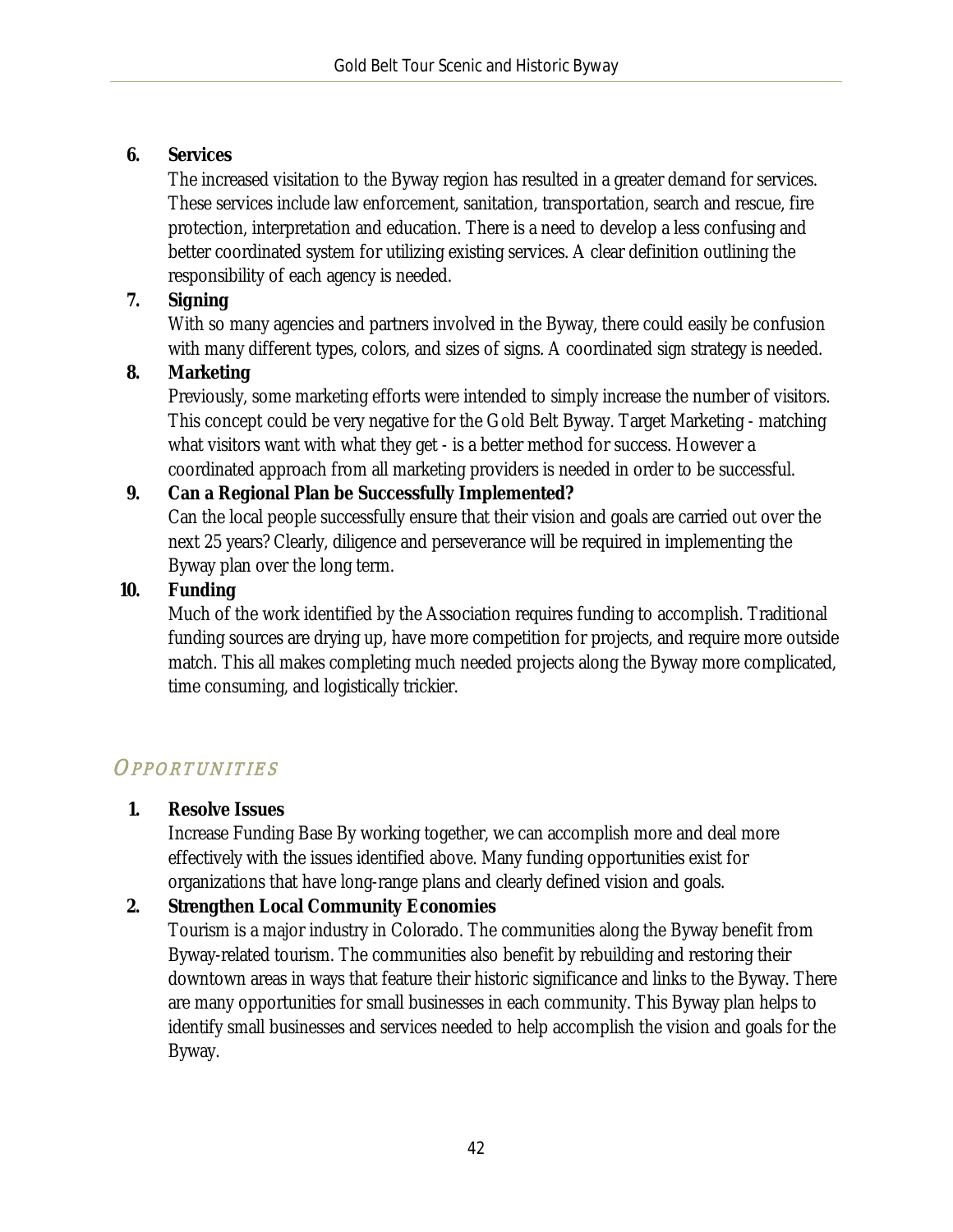#### **6. Services**

The increased visitation to the Byway region has resulted in a greater demand for services. These services include law enforcement, sanitation, transportation, search and rescue, fire protection, interpretation and education. There is a need to develop a less confusing and better coordinated system for utilizing existing services. A clear definition outlining the responsibility of each agency is needed.

### **7. Signing**

With so many agencies and partners involved in the Byway, there could easily be confusion with many different types, colors, and sizes of signs. A coordinated sign strategy is needed.

### **8. Marketing**

Previously, some marketing efforts were intended to simply increase the number of visitors. This concept could be very negative for the Gold Belt Byway. Target Marketing - matching what visitors want with what they get - is a better method for success. However a coordinated approach from all marketing providers is needed in order to be successful.

### **9. Can a Regional Plan be Successfully Implemented?**

Can the local people successfully ensure that their vision and goals are carried out over the next 25 years? Clearly, diligence and perseverance will be required in implementing the Byway plan over the long term.

#### **10. Funding**

Much of the work identified by the Association requires funding to accomplish. Traditional funding sources are drying up, have more competition for projects, and require more outside match. This all makes completing much needed projects along the Byway more complicated, time consuming, and logistically trickier.

# **OPPORTUNITIES**

#### **1. Resolve Issues**

Increase Funding Base By working together, we can accomplish more and deal more effectively with the issues identified above. Many funding opportunities exist for organizations that have long-range plans and clearly defined vision and goals.

### **2. Strengthen Local Community Economies**

Tourism is a major industry in Colorado. The communities along the Byway benefit from Byway-related tourism. The communities also benefit by rebuilding and restoring their downtown areas in ways that feature their historic significance and links to the Byway. There are many opportunities for small businesses in each community. This Byway plan helps to identify small businesses and services needed to help accomplish the vision and goals for the Byway.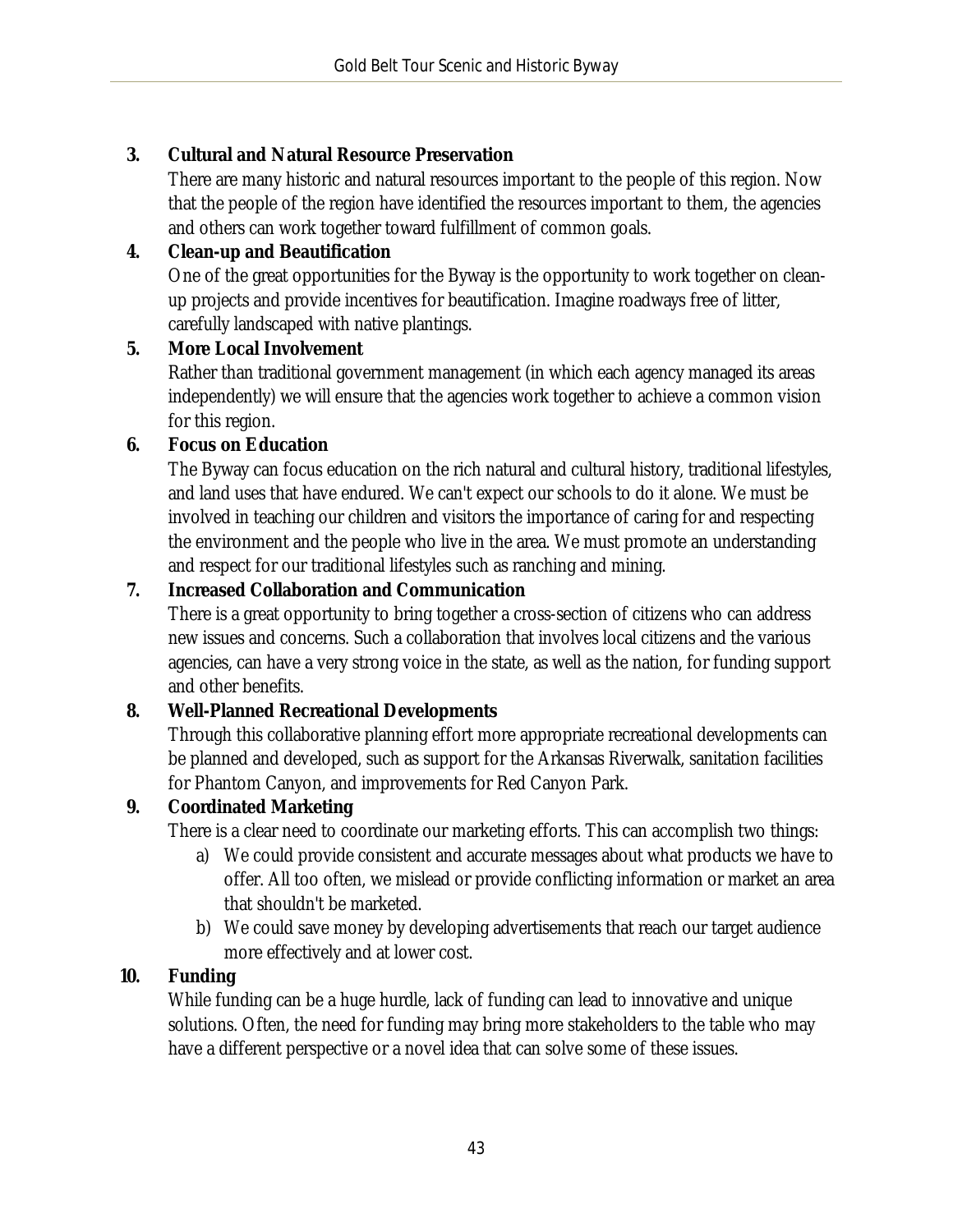#### **3. Cultural and Natural Resource Preservation**

There are many historic and natural resources important to the people of this region. Now that the people of the region have identified the resources important to them, the agencies and others can work together toward fulfillment of common goals.

### **4. Clean-up and Beautification**

One of the great opportunities for the Byway is the opportunity to work together on cleanup projects and provide incentives for beautification. Imagine roadways free of litter, carefully landscaped with native plantings.

#### **5. More Local Involvement**

Rather than traditional government management (in which each agency managed its areas independently) we will ensure that the agencies work together to achieve a common vision for this region.

### **6. Focus on Education**

The Byway can focus education on the rich natural and cultural history, traditional lifestyles, and land uses that have endured. We can't expect our schools to do it alone. We must be involved in teaching our children and visitors the importance of caring for and respecting the environment and the people who live in the area. We must promote an understanding and respect for our traditional lifestyles such as ranching and mining.

#### **7. Increased Collaboration and Communication**

There is a great opportunity to bring together a cross-section of citizens who can address new issues and concerns. Such a collaboration that involves local citizens and the various agencies, can have a very strong voice in the state, as well as the nation, for funding support and other benefits.

### **8. Well-Planned Recreational Developments**

Through this collaborative planning effort more appropriate recreational developments can be planned and developed, such as support for the Arkansas Riverwalk, sanitation facilities for Phantom Canyon, and improvements for Red Canyon Park.

#### **9. Coordinated Marketing**

There is a clear need to coordinate our marketing efforts. This can accomplish two things:

- a) We could provide consistent and accurate messages about what products we have to offer. All too often, we mislead or provide conflicting information or market an area that shouldn't be marketed.
- b) We could save money by developing advertisements that reach our target audience more effectively and at lower cost.

### **10. Funding**

While funding can be a huge hurdle, lack of funding can lead to innovative and unique solutions. Often, the need for funding may bring more stakeholders to the table who may have a different perspective or a novel idea that can solve some of these issues.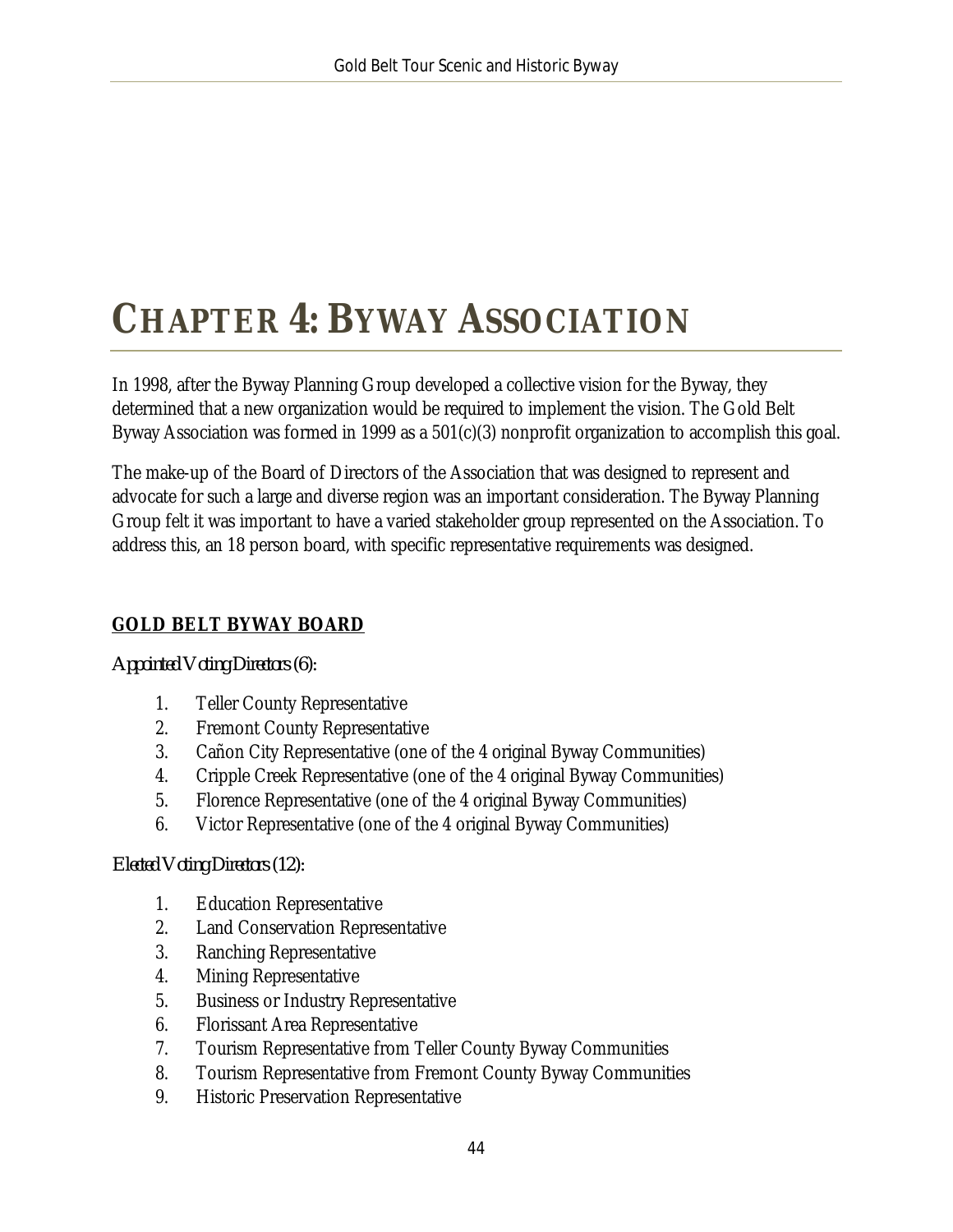# <span id="page-44-0"></span>**CHAPTER 4: BYWAY ASSOCIATION**

In 1998, after the Byway Planning Group developed a collective vision for the Byway, they determined that a new organization would be required to implement the vision. The Gold Belt Byway Association was formed in 1999 as a 501(c)(3) nonprofit organization to accomplish this goal.

The make-up of the Board of Directors of the Association that was designed to represent and advocate for such a large and diverse region was an important consideration. The Byway Planning Group felt it was important to have a varied stakeholder group represented on the Association. To address this, an 18 person board, with specific representative requirements was designed.

#### **GOLD BELT BYWAY BOARD**

*Appointed Voting Directors (6):*

- 1. Teller County Representative
- 2. Fremont County Representative
- 3. Cañon City Representative (one of the 4 original Byway Communities)
- 4. Cripple Creek Representative (one of the 4 original Byway Communities)
- 5. Florence Representative (one of the 4 original Byway Communities)
- 6. Victor Representative (one of the 4 original Byway Communities)

#### *Elected Voting Directors (12):*

- 1. Education Representative
- 2. Land Conservation Representative
- 3. Ranching Representative
- 4. Mining Representative
- 5. Business or Industry Representative
- 6. Florissant Area Representative
- 7. Tourism Representative from Teller County Byway Communities
- 8. Tourism Representative from Fremont County Byway Communities
- 9. Historic Preservation Representative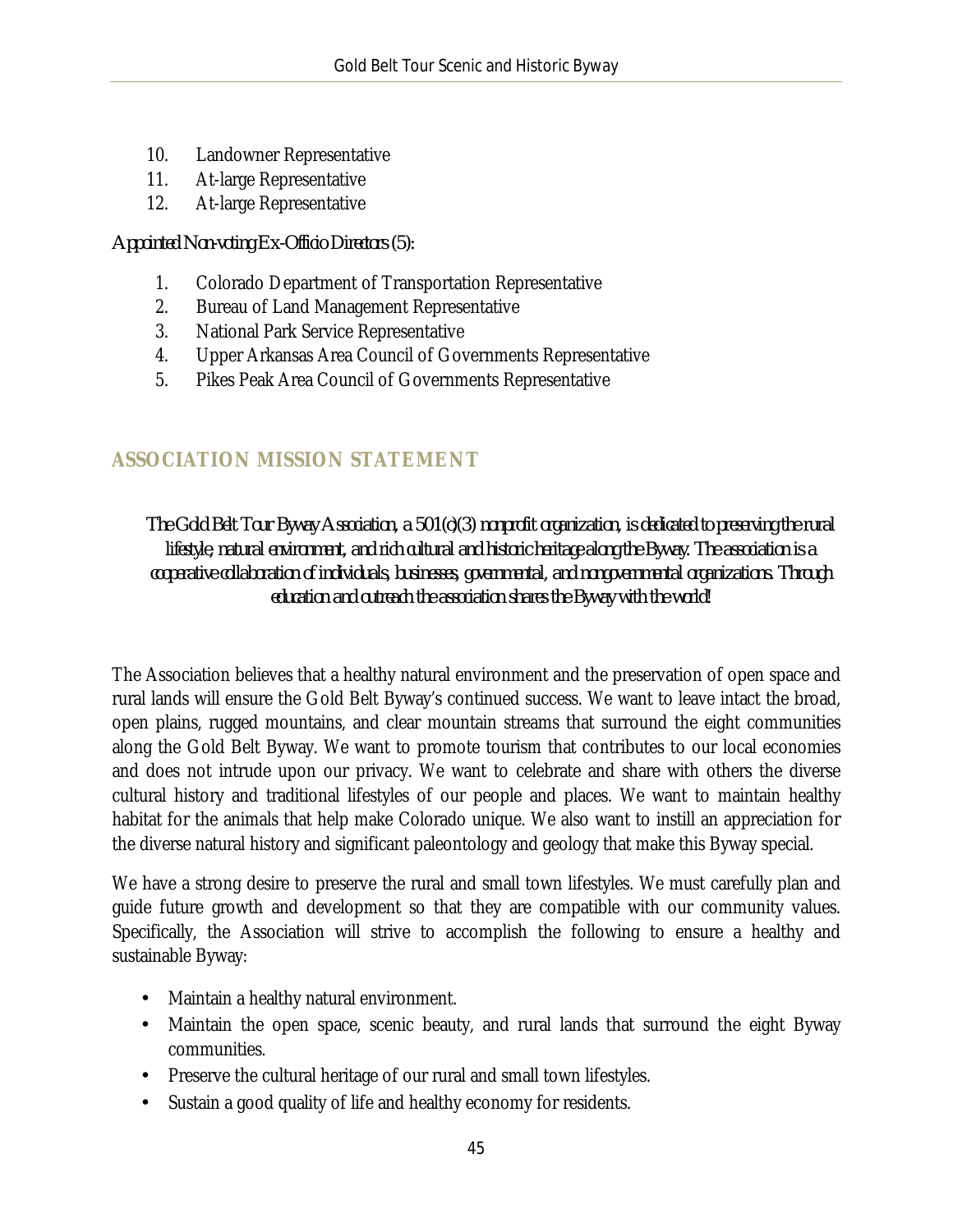- 10. Landowner Representative
- 11. At-large Representative
- 12. At-large Representative

#### *Appointed Non-voting Ex-Officio Directors (5):*

- 1. Colorado Department of Transportation Representative
- 2. Bureau of Land Management Representative
- 3. National Park Service Representative
- 4. Upper Arkansas Area Council of Governments Representative
- 5. Pikes Peak Area Council of Governments Representative

### <span id="page-45-0"></span>**ASSOCIATION MISSION STATEMENT**

*The Gold Belt Tour Byway Association, a 501(c)(3) nonprofit organization, is dedicated to preserving the rural lifestyle, natural environment, and rich cultural and historic heritage along the Byway. The association is a cooperative collaboration of individuals, businesses, governmental, and nongovernmental organizations. Through education and outreach the association shares the Byway with the world!*

The Association believes that a healthy natural environment and the preservation of open space and rural lands will ensure the Gold Belt Byway's continued success. We want to leave intact the broad, open plains, rugged mountains, and clear mountain streams that surround the eight communities along the Gold Belt Byway. We want to promote tourism that contributes to our local economies and does not intrude upon our privacy. We want to celebrate and share with others the diverse cultural history and traditional lifestyles of our people and places. We want to maintain healthy habitat for the animals that help make Colorado unique. We also want to instill an appreciation for the diverse natural history and significant paleontology and geology that make this Byway special.

We have a strong desire to preserve the rural and small town lifestyles. We must carefully plan and guide future growth and development so that they are compatible with our community values. Specifically, the Association will strive to accomplish the following to ensure a healthy and sustainable Byway:

- Maintain a healthy natural environment.
- Maintain the open space, scenic beauty, and rural lands that surround the eight Byway communities.
- Preserve the cultural heritage of our rural and small town lifestyles. ä,
- Sustain a good quality of life and healthy economy for residents.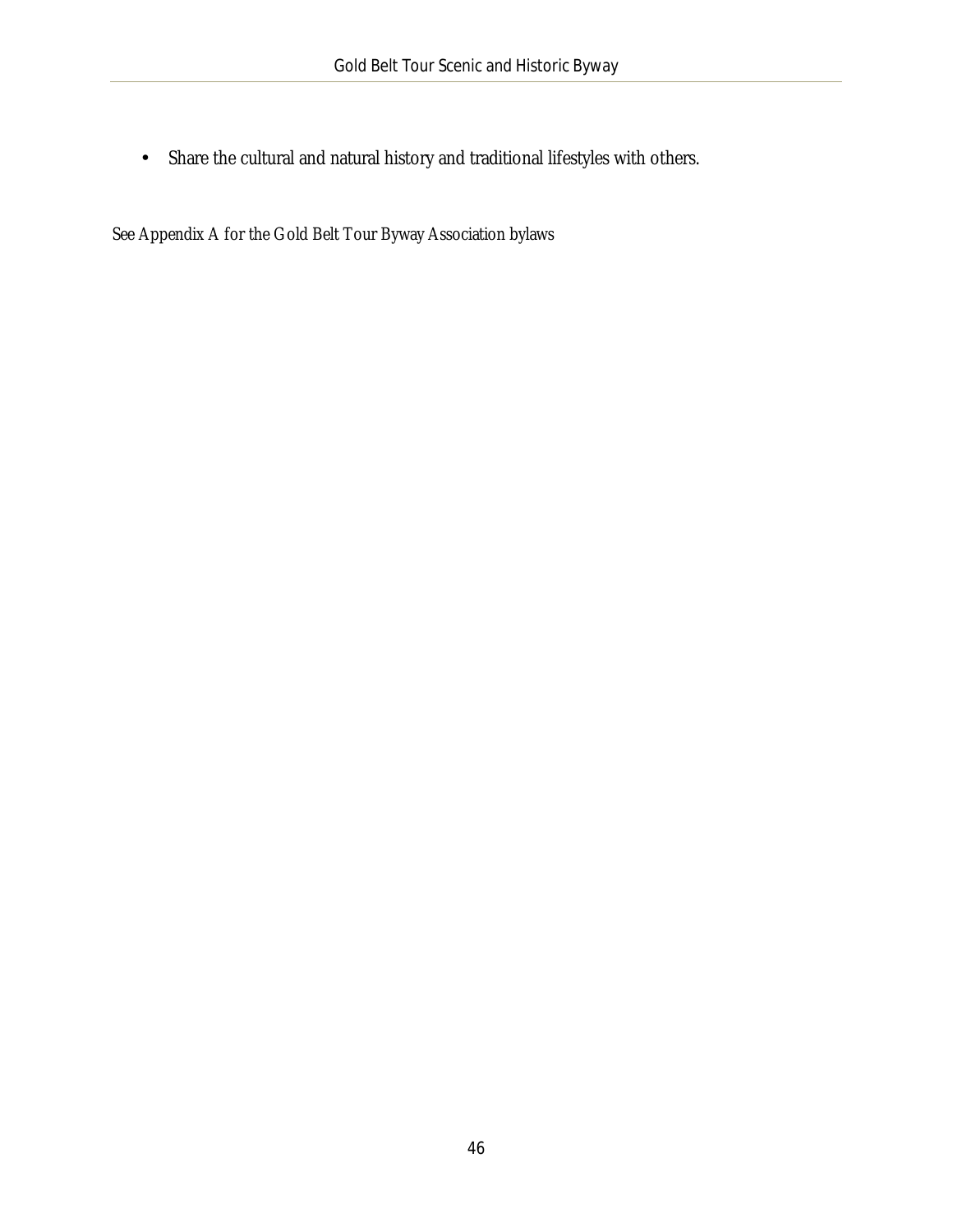Share the cultural and natural history and traditional lifestyles with others.  $\mathcal{L}^{\pm}$ 

See Appendix A for the Gold Belt Tour Byway Association bylaws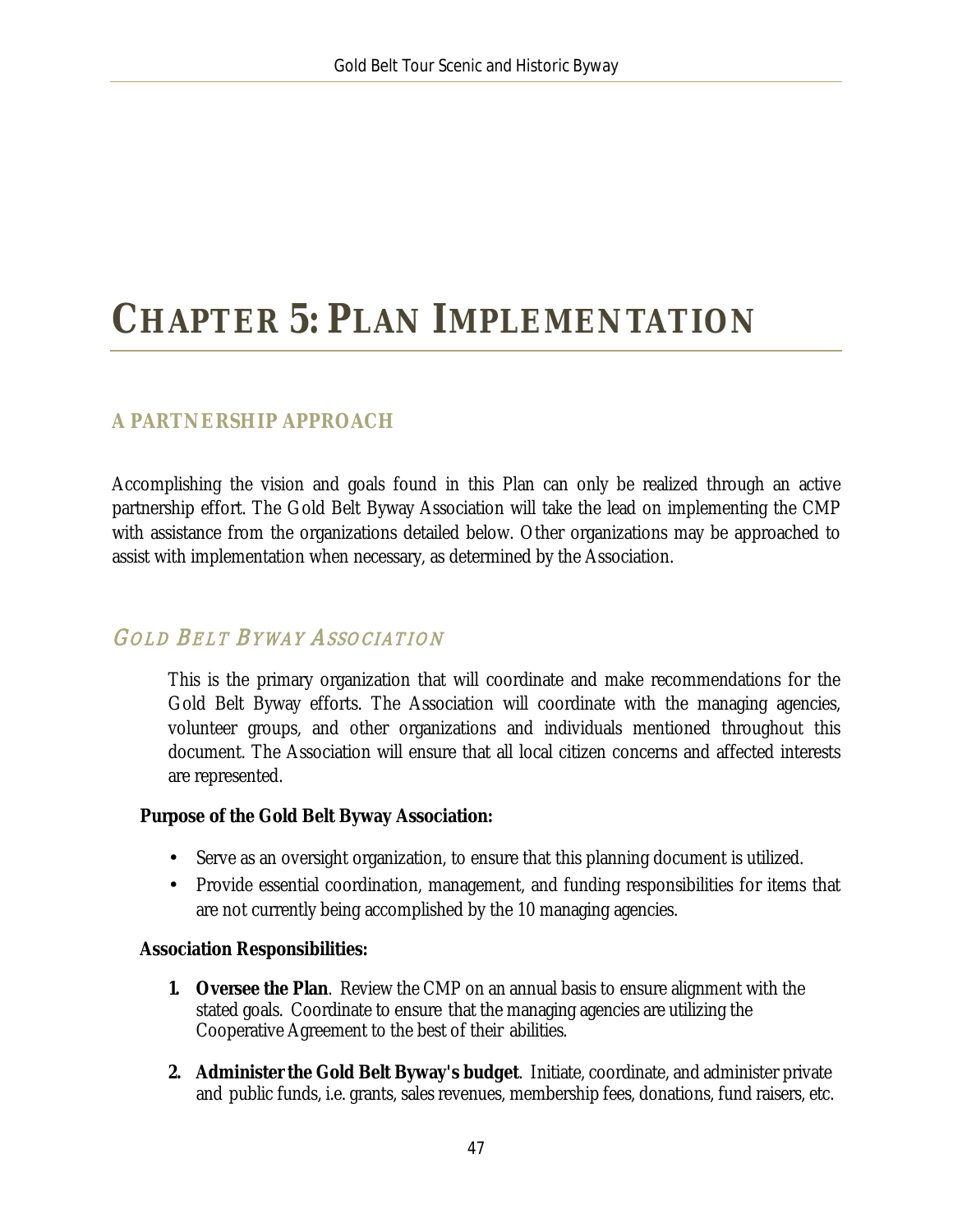# <span id="page-47-0"></span>**CHAPTER 5: PLAN IMPLEMENTATION**

### <span id="page-47-1"></span>**A PARTNERSHIP APPROACH**

Accomplishing the vision and goals found in this Plan can only be realized through an active partnership effort. The Gold Belt Byway Association will take the lead on implementing the CMP with assistance from the organizations detailed below. Other organizations may be approached to assist with implementation when necessary, as determined by the Association.

### GOLD BELT BYWAY ASSOCIATION

This is the primary organization that will coordinate and make recommendations for the Gold Belt Byway efforts. The Association will coordinate with the managing agencies, volunteer groups, and other organizations and individuals mentioned throughout this document. The Association will ensure that all local citizen concerns and affected interests are represented.

#### **Purpose of the Gold Belt Byway Association:**

- Serve as an oversight organization, to ensure that this planning document is utilized.
- Provide essential coordination, management, and funding responsibilities for items that  $\mathbf{r}^{(1)}$ are not currently being accomplished by the 10 managing agencies.

#### **Association Responsibilities:**

- **1. Oversee the Plan**. Review the CMP on an annual basis to ensure alignment with the stated goals. Coordinate to ensure that the managing agencies are utilizing the Cooperative Agreement to the best of their abilities.
- **2. Administer the Gold Belt Byway's budget**. Initiate, coordinate, and administer private and public funds, i.e. grants, sales revenues, membership fees, donations, fund raisers, etc.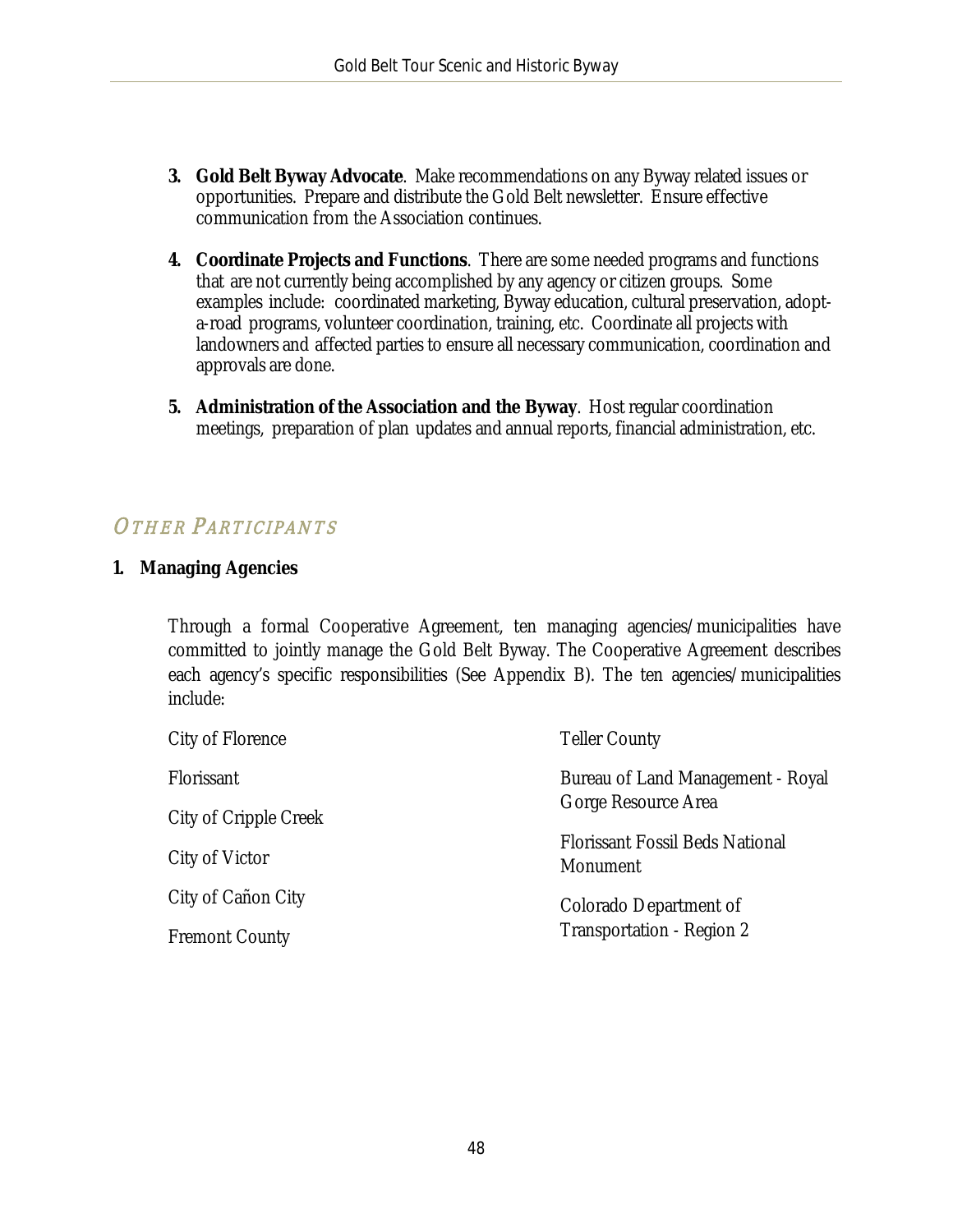- **3. Gold Belt Byway Advocate**. Make recommendations on any Byway related issues or opportunities. Prepare and distribute the Gold Belt newsletter. Ensure effective communication from the Association continues.
- **4. Coordinate Projects and Functions**. There are some needed programs and functions that are not currently being accomplished by any agency or citizen groups. Some examples include: coordinated marketing, Byway education, cultural preservation, adopta-road programs, volunteer coordination, training, etc. Coordinate all projects with landowners and affected parties to ensure all necessary communication, coordination and approvals are done.
- **5. Administration of the Association and the Byway**. Host regular coordination meetings, preparation of plan updates and annual reports, financial administration, etc.

## OTHER PARTICIPANTS

#### **1. Managing Agencies**

Through a formal Cooperative Agreement, ten managing agencies/municipalities have committed to jointly manage the Gold Belt Byway. The Cooperative Agreement describes each agency's specific responsibilities (See Appendix B). The ten agencies/municipalities include:

| City of Florence      | <b>Teller County</b>                                     |
|-----------------------|----------------------------------------------------------|
| Florissant            | Bureau of Land Management - Royal<br>Gorge Resource Area |
| City of Cripple Creek |                                                          |
| City of Victor        | <b>Florissant Fossil Beds National</b><br>Monument       |
| City of Cañon City    | Colorado Department of<br>Transportation - Region 2      |
| <b>Fremont County</b> |                                                          |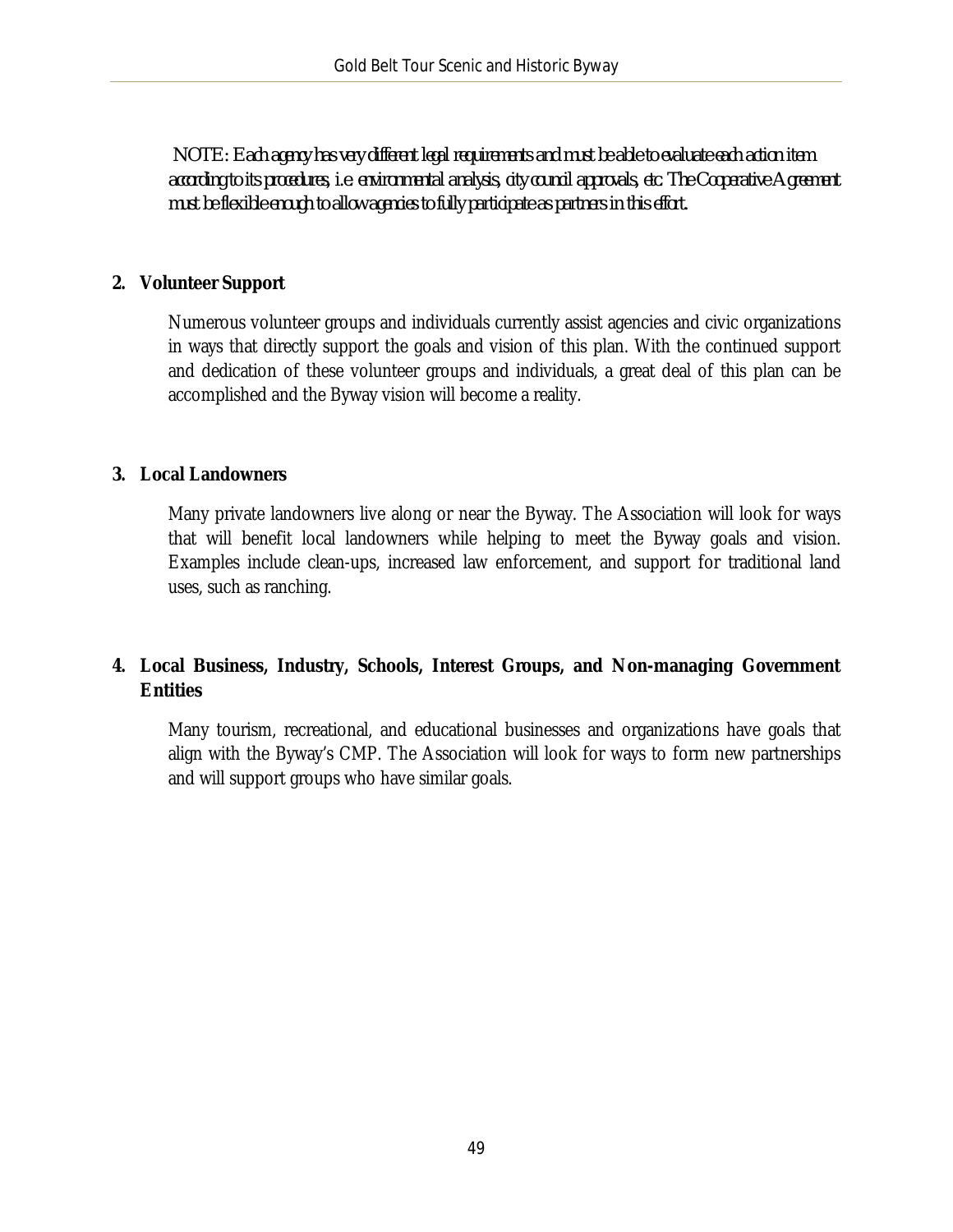*NOTE: Each agency has very different legal requirements and must be able to evaluate each action item according to its procedures, i.e. environmental analysis, city council approvals, etc. The Cooperative Agreement must be flexible enough to allow agencies to fully participate as partners in this effort.*

#### **2. Volunteer Support**

Numerous volunteer groups and individuals currently assist agencies and civic organizations in ways that directly support the goals and vision of this plan. With the continued support and dedication of these volunteer groups and individuals, a great deal of this plan can be accomplished and the Byway vision will become a reality.

#### **3. Local Landowners**

Many private landowners live along or near the Byway. The Association will look for ways that will benefit local landowners while helping to meet the Byway goals and vision. Examples include clean-ups, increased law enforcement, and support for traditional land uses, such as ranching.

#### **4. Local Business, Industry, Schools, Interest Groups, and Non-managing Government Entities**

Many tourism, recreational, and educational businesses and organizations have goals that align with the Byway's CMP. The Association will look for ways to form new partnerships and will support groups who have similar goals.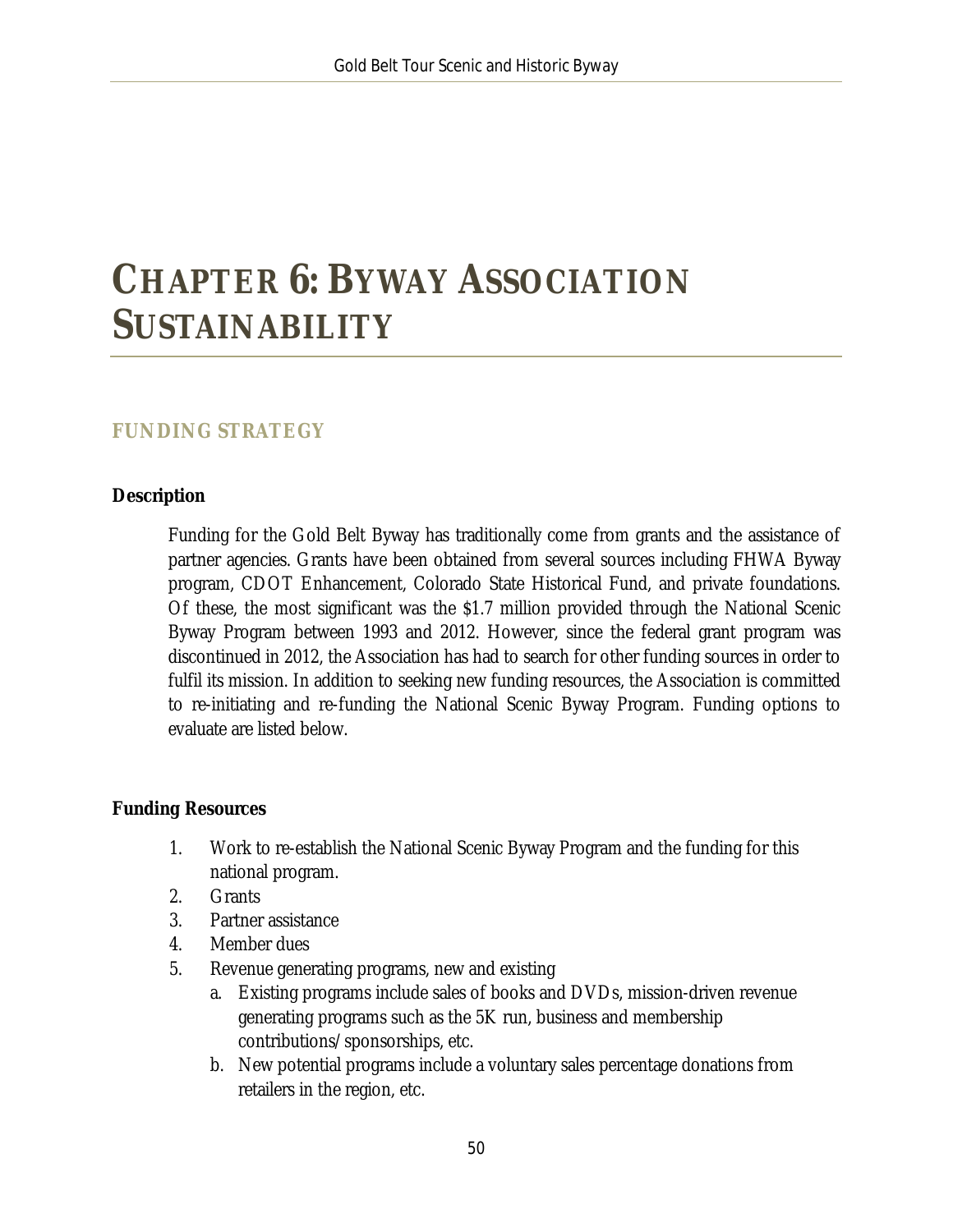# <span id="page-50-0"></span>**CHAPTER 6: BYWAY ASSOCIATION SUSTAINABILITY**

### <span id="page-50-1"></span>**FUNDING STRATEGY**

#### **Description**

Funding for the Gold Belt Byway has traditionally come from grants and the assistance of partner agencies. Grants have been obtained from several sources including FHWA Byway program, CDOT Enhancement, Colorado State Historical Fund, and private foundations. Of these, the most significant was the \$1.7 million provided through the National Scenic Byway Program between 1993 and 2012. However, since the federal grant program was discontinued in 2012, the Association has had to search for other funding sources in order to fulfil its mission. In addition to seeking new funding resources, the Association is committed to re-initiating and re-funding the National Scenic Byway Program. Funding options to evaluate are listed below.

#### **Funding Resources**

- 1. Work to re-establish the National Scenic Byway Program and the funding for this national program.
- 2. Grants
- 3. Partner assistance
- 4. Member dues
- 5. Revenue generating programs, new and existing
	- a. Existing programs include sales of books and DVDs, mission-driven revenue generating programs such as the 5K run, business and membership contributions/sponsorships, etc.
	- b. New potential programs include a voluntary sales percentage donations from retailers in the region, etc.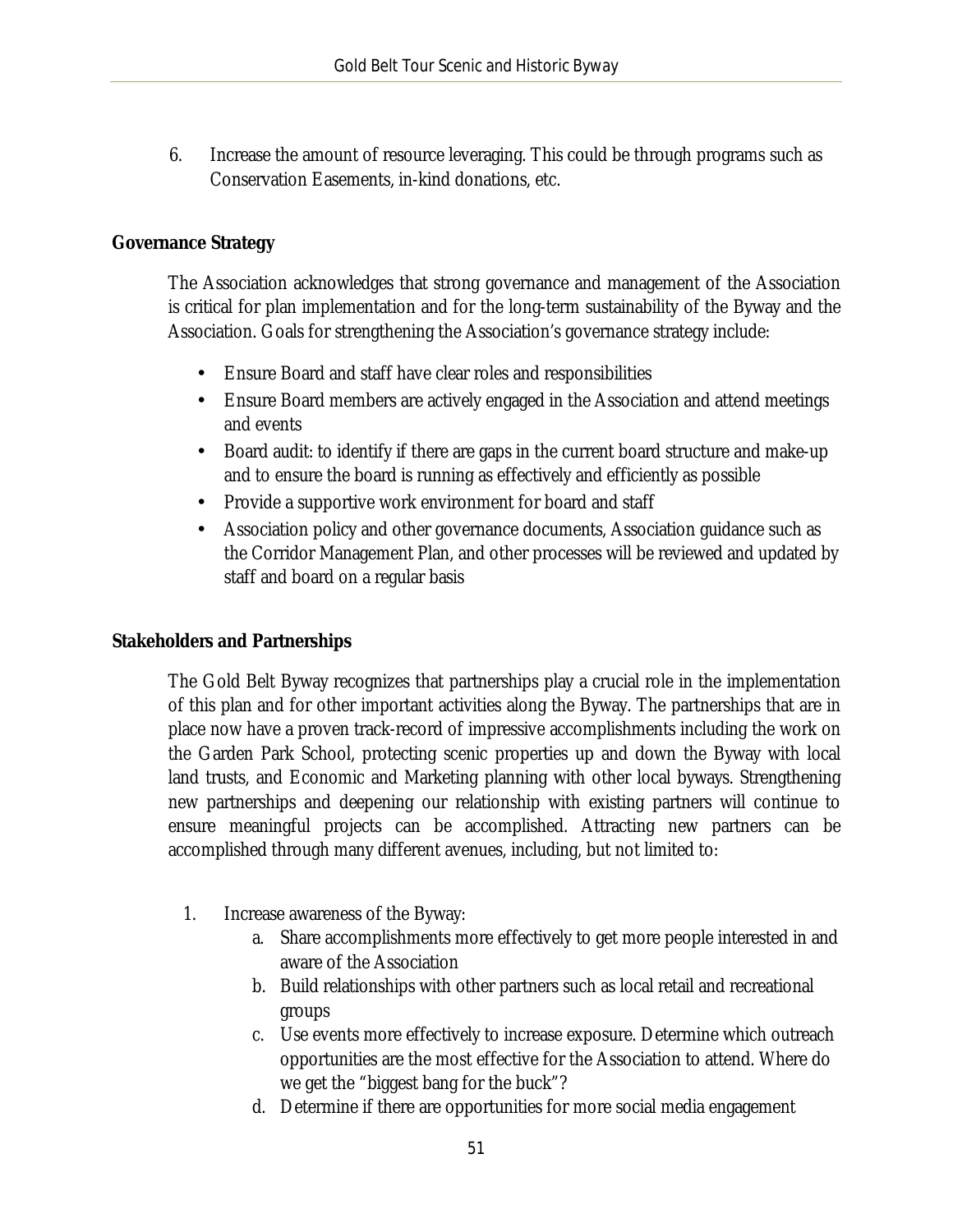6. Increase the amount of resource leveraging. This could be through programs such as Conservation Easements, in-kind donations, etc.

#### **Governance Strategy**

The Association acknowledges that strong governance and management of the Association is critical for plan implementation and for the long-term sustainability of the Byway and the Association. Goals for strengthening the Association's governance strategy include:

- $\mathcal{L}^{\text{max}}$ Ensure Board and staff have clear roles and responsibilities
- $\mathcal{L}^{(1)}$ Ensure Board members are actively engaged in the Association and attend meetings and events
- a. Board audit: to identify if there are gaps in the current board structure and make-up and to ensure the board is running as effectively and efficiently as possible
- Provide a supportive work environment for board and staff  $\mathbf{r}$
- $\mathcal{L}^{\text{max}}$ Association policy and other governance documents, Association guidance such as the Corridor Management Plan, and other processes will be reviewed and updated by staff and board on a regular basis

#### **Stakeholders and Partnerships**

The Gold Belt Byway recognizes that partnerships play a crucial role in the implementation of this plan and for other important activities along the Byway. The partnerships that are in place now have a proven track-record of impressive accomplishments including the work on the Garden Park School, protecting scenic properties up and down the Byway with local land trusts, and Economic and Marketing planning with other local byways. Strengthening new partnerships and deepening our relationship with existing partners will continue to ensure meaningful projects can be accomplished. Attracting new partners can be accomplished through many different avenues, including, but not limited to:

- 1. Increase awareness of the Byway:
	- a. Share accomplishments more effectively to get more people interested in and aware of the Association
	- b. Build relationships with other partners such as local retail and recreational groups
	- c. Use events more effectively to increase exposure. Determine which outreach opportunities are the most effective for the Association to attend. Where do we get the "biggest bang for the buck"?
	- d. Determine if there are opportunities for more social media engagement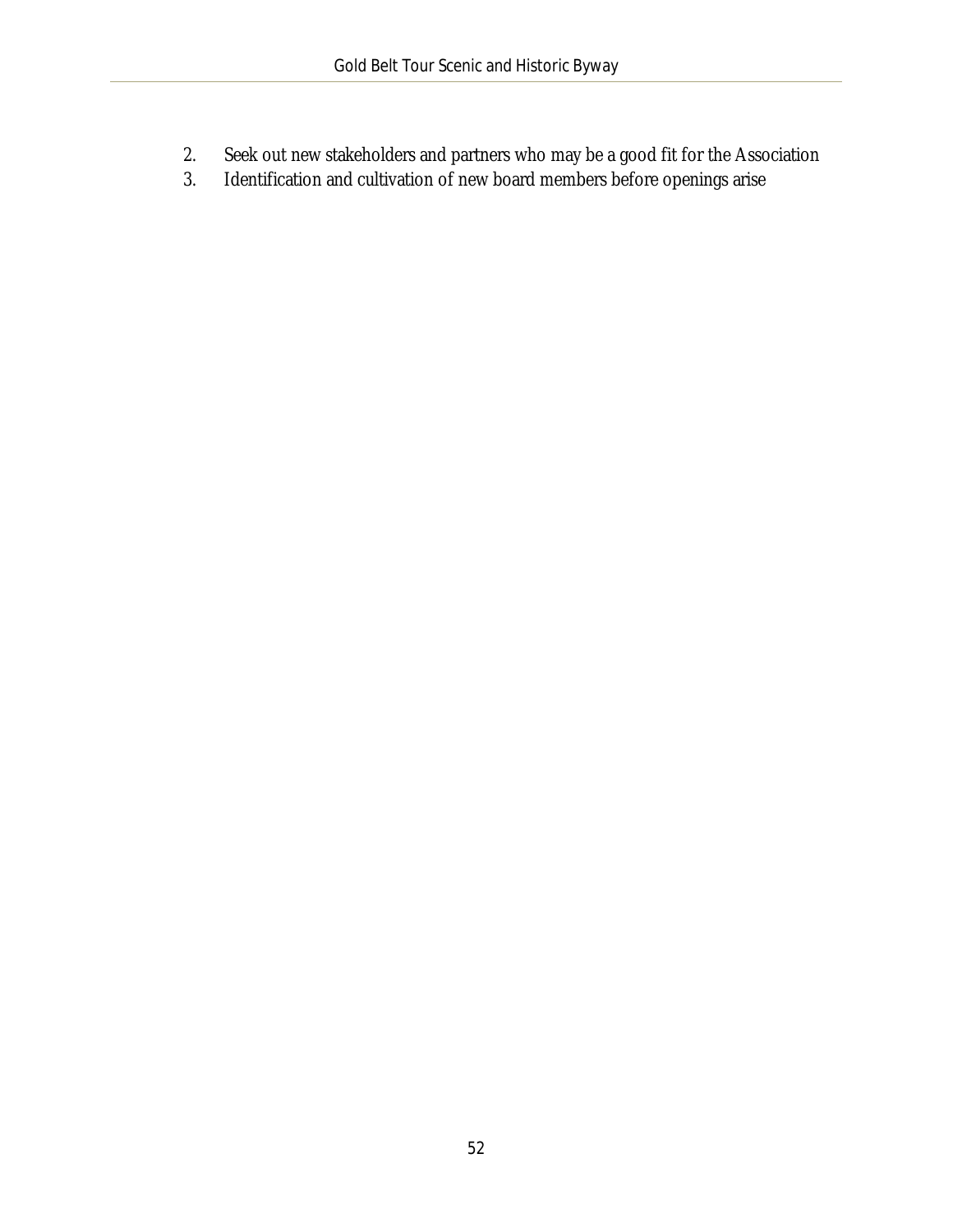- 2. Seek out new stakeholders and partners who may be a good fit for the Association
- 3. Identification and cultivation of new board members before openings arise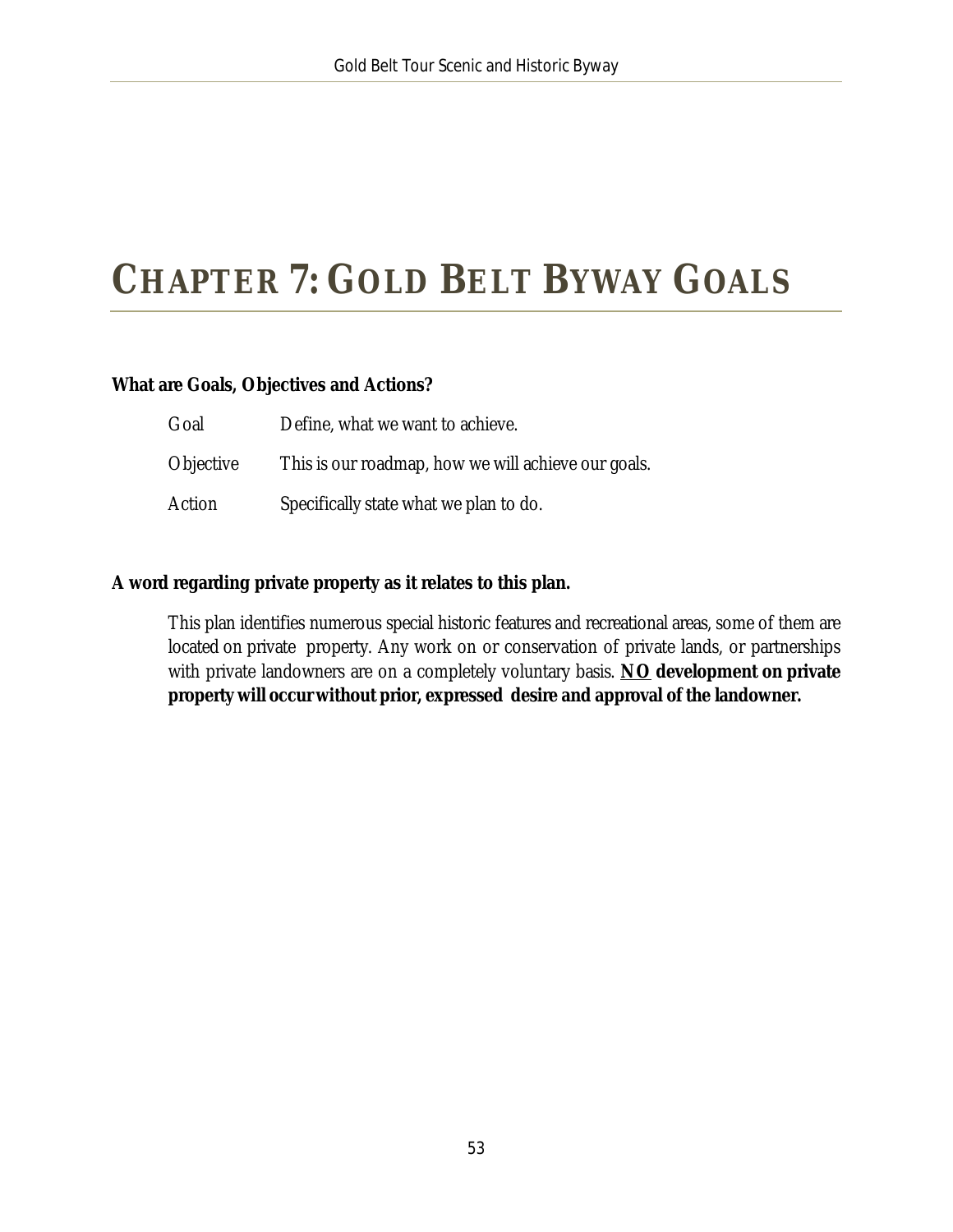# <span id="page-53-0"></span>**CHAPTER 7: GOLD BELT BYWAY GOALS**

#### **What are Goals, Objectives and Actions?**

| Goal      | Define, what we want to achieve.                    |
|-----------|-----------------------------------------------------|
| Objective | This is our roadmap, how we will achieve our goals. |
| Action    | Specifically state what we plan to do.              |

#### **A word regarding private property as it relates to this plan.**

This plan identifies numerous special historic features and recreational areas, some of them are located on private property. Any work on or conservation of private lands, or partnerships with private landowners are on a completely voluntary basis. **NO development on private property will occur without prior, expressed desire and approval of the landowner.**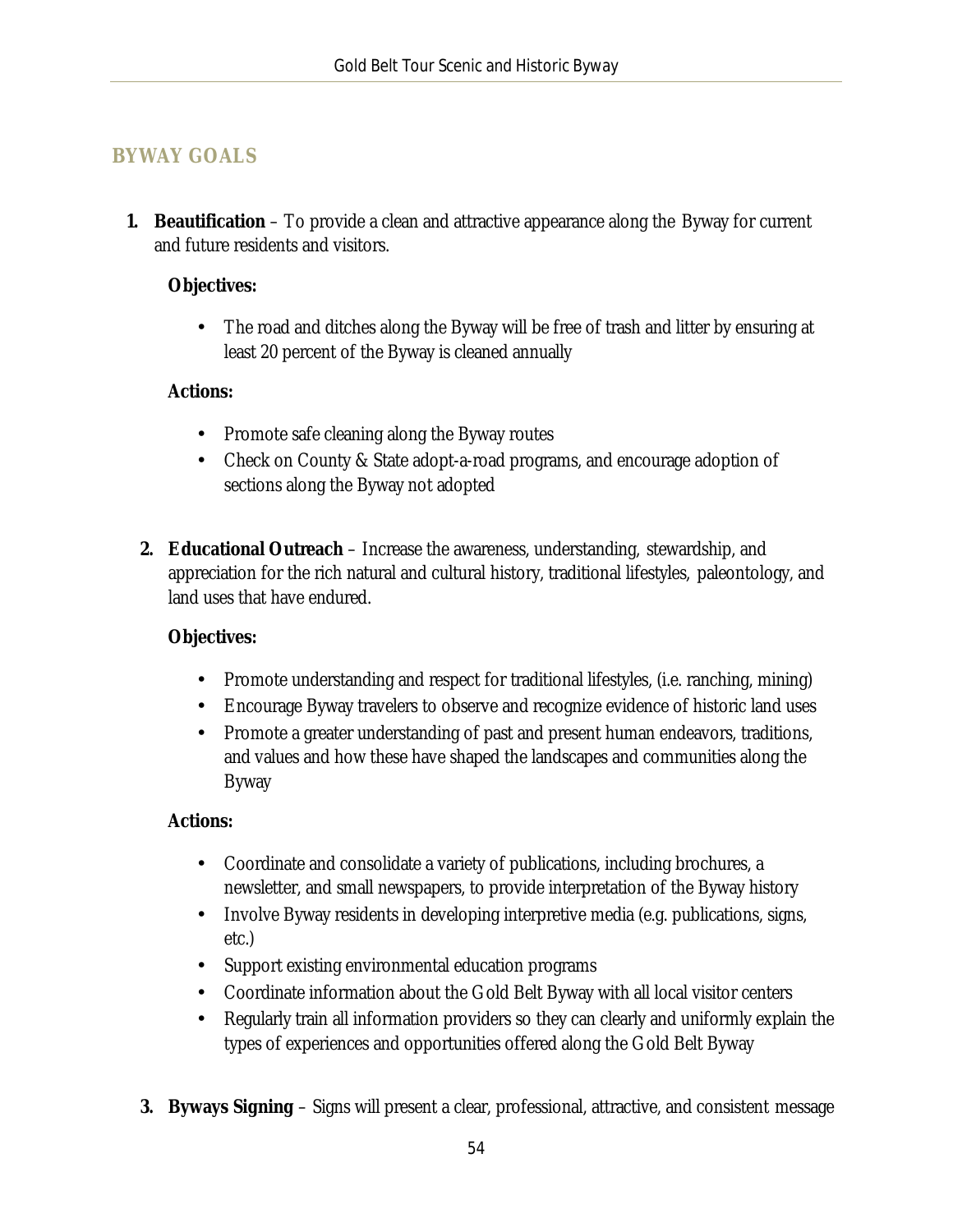### <span id="page-54-0"></span>**BYWAY GOALS**

**1. Beautification** – To provide a clean and attractive appearance along the Byway for current and future residents and visitors.

#### **Objectives:**

The road and ditches along the Byway will be free of trash and litter by ensuring at least 20 percent of the Byway is cleaned annually

#### **Actions:**

- Promote safe cleaning along the Byway routes
- $\mathbf{L}^{\text{max}}$ Check on County & State adopt-a-road programs, and encourage adoption of sections along the Byway not adopted
- **2. Educational Outreach** Increase the awareness, understanding, stewardship, and appreciation for the rich natural and cultural history, traditional lifestyles, paleontology, and land uses that have endured.

#### **Objectives:**

- Promote understanding and respect for traditional lifestyles, (i.e. ranching, mining)  $\mathbf{r}^{\mathrm{max}}$
- $\mathcal{L}^{\text{max}}$ Encourage Byway travelers to observe and recognize evidence of historic land uses
- $\mathbf{r}$ Promote a greater understanding of past and present human endeavors, traditions, and values and how these have shaped the landscapes and communities along the Byway

#### **Actions:**

- Coordinate and consolidate a variety of publications, including brochures, a  $\blacksquare$ newsletter, and small newspapers, to provide interpretation of the Byway history
- $\mathbf{r}$ Involve Byway residents in developing interpretive media (e.g. publications, signs, etc.)
- Support existing environmental education programs
- Coordinate information about the Gold Belt Byway with all local visitor centers  $\mathbf{r}$
- Regularly train all information providers so they can clearly and uniformly explain the types of experiences and opportunities offered along the Gold Belt Byway
- **3. Byways Signing** Signs will present a clear, professional, attractive, and consistent message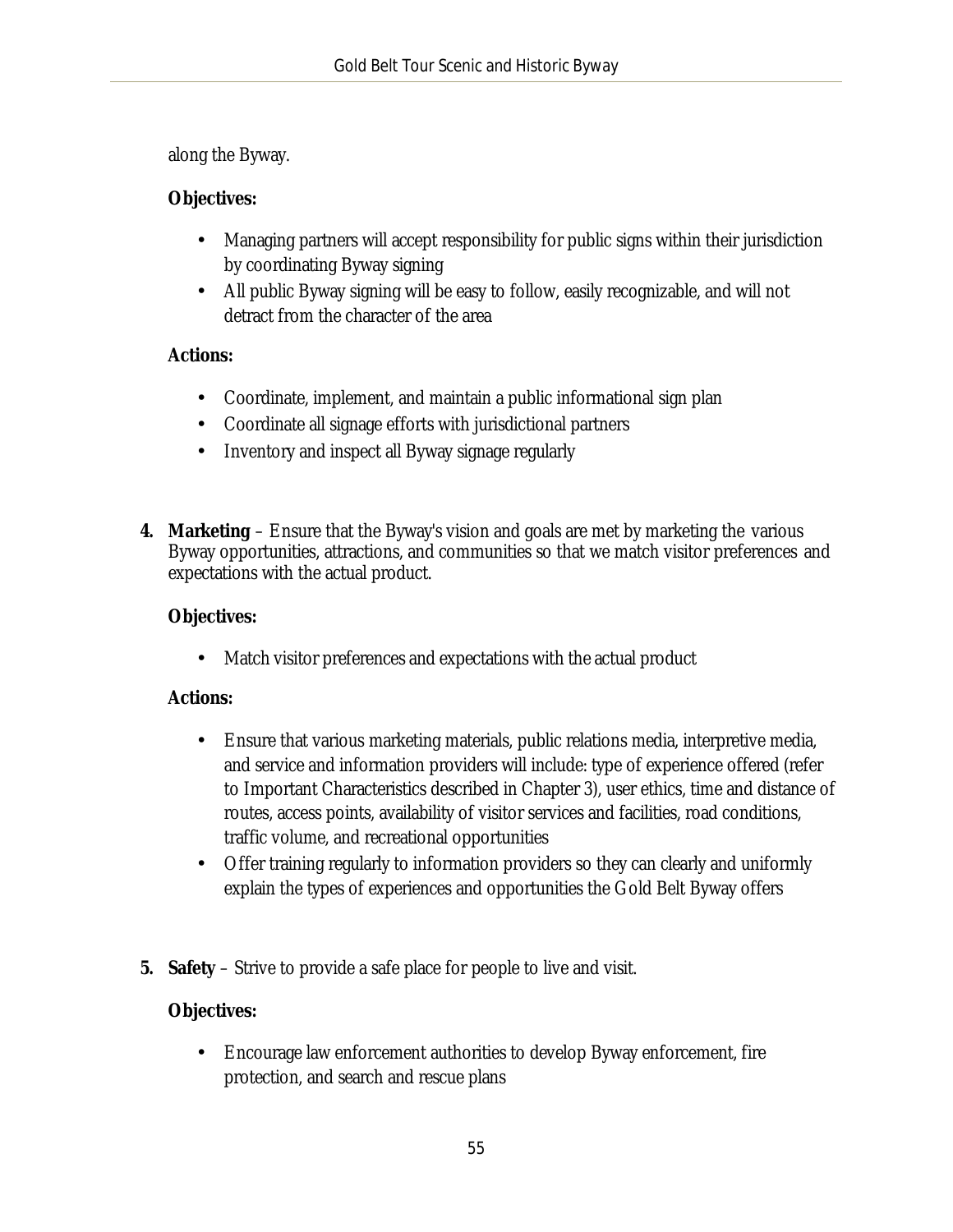along the Byway.

#### **Objectives:**

- Managing partners will accept responsibility for public signs within their jurisdiction  $\mathcal{L}^{\text{max}}$ by coordinating Byway signing
- All public Byway signing will be easy to follow, easily recognizable, and will not detract from the character of the area

#### **Actions:**

- Coordinate, implement, and maintain a public informational sign plan  $\mathcal{L}^{\text{max}}$
- Coordinate all signage efforts with jurisdictional partners  $\mathcal{L}^{\text{max}}$
- $\mathcal{L}^{\text{max}}$ Inventory and inspect all Byway signage regularly
- **4. Marketing** Ensure that the Byway's vision and goals are met by marketing the various Byway opportunities, attractions, and communities so that we match visitor preferences and expectations with the actual product.

#### **Objectives:**

t. Match visitor preferences and expectations with the actual product

#### **Actions:**

- Ensure that various marketing materials, public relations media, interpretive media, t. and service and information providers will include: type of experience offered (refer to Important Characteristics described in Chapter 3), user ethics, time and distance of routes, access points, availability of visitor services and facilities, road conditions, traffic volume, and recreational opportunities
- Offer training regularly to information providers so they can clearly and uniformly  $\mathcal{L}^{\text{max}}$ explain the types of experiences and opportunities the Gold Belt Byway offers
- **5. Safety** Strive to provide a safe place for people to live and visit.

#### **Objectives:**

 $\mathbf{r}^{(1)}$ Encourage law enforcement authorities to develop Byway enforcement, fire protection, and search and rescue plans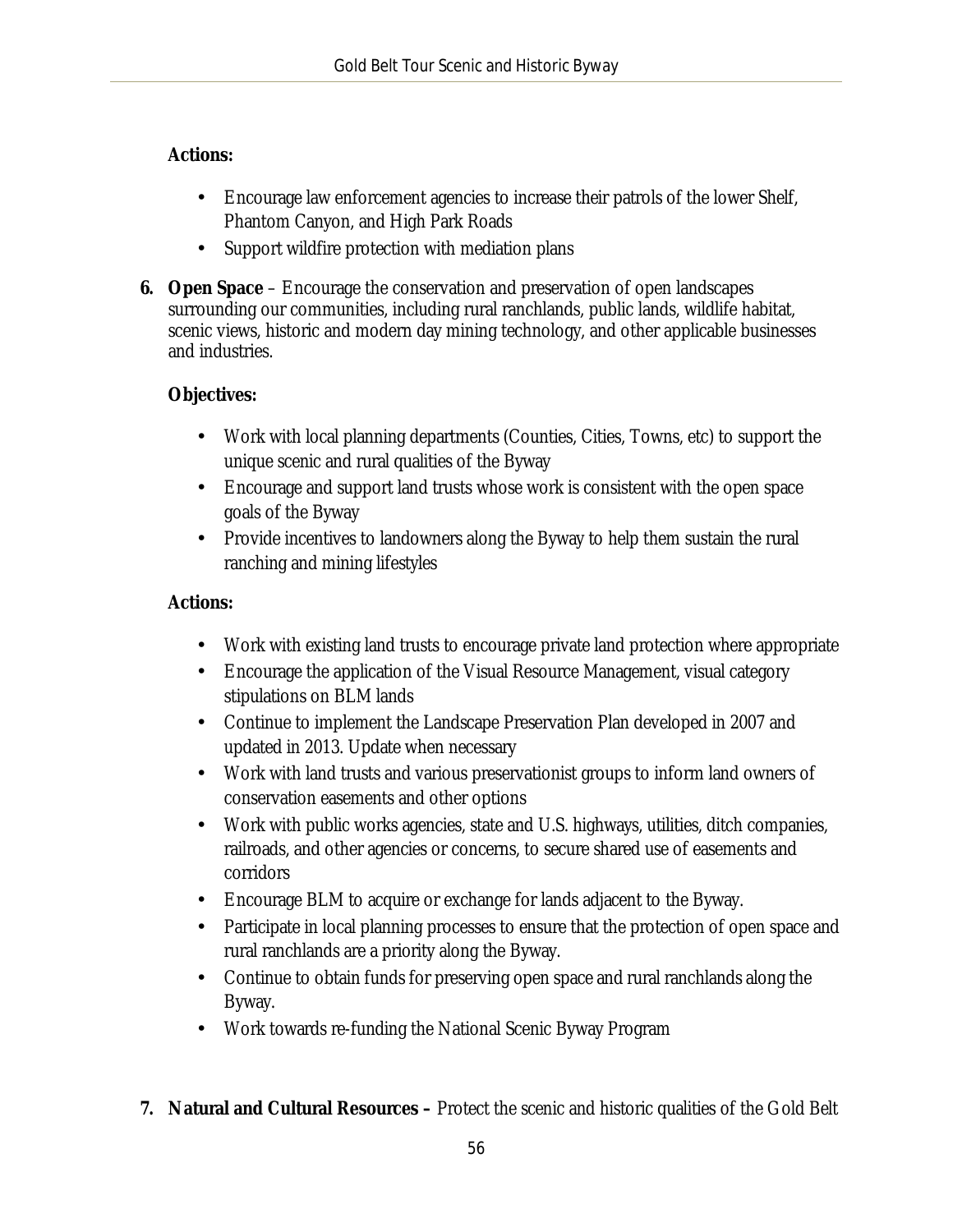#### **Actions:**

- Encourage law enforcement agencies to increase their patrols of the lower Shelf,  $\mathbf{r}$ Phantom Canyon, and High Park Roads
- Support wildfire protection with mediation plans ä,
- **6. Open Space** Encourage the conservation and preservation of open landscapes surrounding our communities, including rural ranchlands, public lands, wildlife habitat, scenic views, historic and modern day mining technology, and other applicable businesses and industries.

#### **Objectives:**

- Work with local planning departments (Counties, Cities, Towns, etc) to support the  $\mathcal{L}^{\text{max}}$ unique scenic and rural qualities of the Byway
- $\mathcal{L}^{(1)}$ Encourage and support land trusts whose work is consistent with the open space goals of the Byway
- Provide incentives to landowners along the Byway to help them sustain the rural  $\mathbf{r}$ ranching and mining lifestyles

#### **Actions:**

- $\mathbf{L}^{\text{max}}$ Work with existing land trusts to encourage private land protection where appropriate
- $\mathbf{L}$ Encourage the application of the Visual Resource Management, visual category stipulations on BLM lands
- Continue to implement the Landscape Preservation Plan developed in 2007 and updated in 2013. Update when necessary
- Work with land trusts and various preservationist groups to inform land owners of  $\mathbf{r}$ conservation easements and other options
- Work with public works agencies, state and U.S. highways, utilities, ditch companies,  $\mathbf{r}$ railroads, and other agencies or concerns, to secure shared use of easements and corridors
- Encourage BLM to acquire or exchange for lands adjacent to the Byway.
- Participate in local planning processes to ensure that the protection of open space and  $\mathbf{r}$ rural ranchlands are a priority along the Byway.
- Continue to obtain funds for preserving open space and rural ranchlands along the  $\mathcal{L}^{\text{max}}$ Byway.
- $\mathbf{L}$ Work towards re-funding the National Scenic Byway Program
- **7. Natural and Cultural Resources –** Protect the scenic and historic qualities of the Gold Belt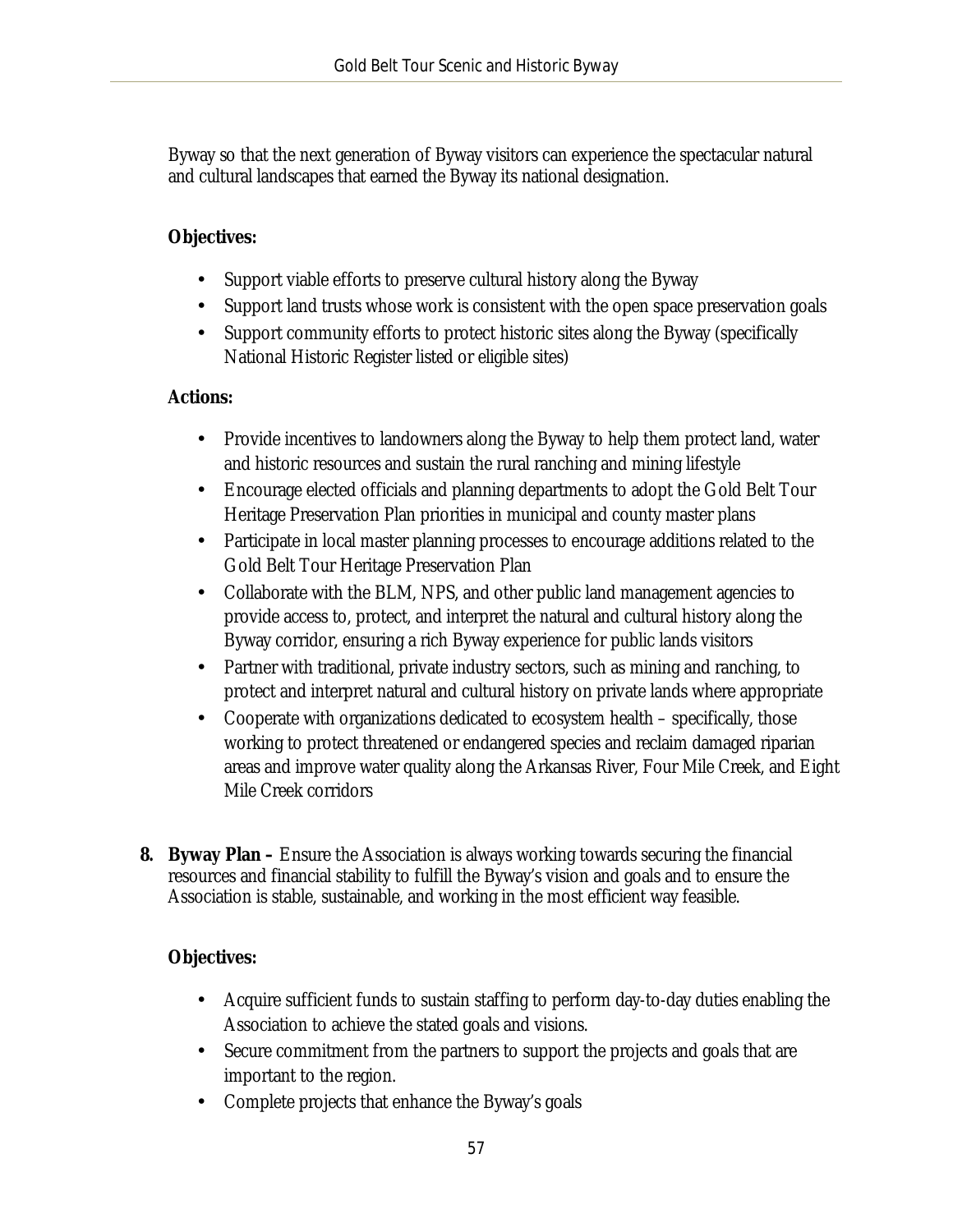Byway so that the next generation of Byway visitors can experience the spectacular natural and cultural landscapes that earned the Byway its national designation.

#### **Objectives:**

- Support viable efforts to preserve cultural history along the Byway  $\mathbf{L}$
- $\mathcal{L}^{\text{max}}$ Support land trusts whose work is consistent with the open space preservation goals
- Support community efforts to protect historic sites along the Byway (specifically National Historic Register listed or eligible sites)

#### **Actions:**

- Provide incentives to landowners along the Byway to help them protect land, water and historic resources and sustain the rural ranching and mining lifestyle
- Encourage elected officials and planning departments to adopt the Gold Belt Tour Heritage Preservation Plan priorities in municipal and county master plans
- Participate in local master planning processes to encourage additions related to the Gold Belt Tour Heritage Preservation Plan
- Collaborate with the BLM, NPS, and other public land management agencies to  $\mathbf{r}$ provide access to, protect, and interpret the natural and cultural history along the Byway corridor, ensuring a rich Byway experience for public lands visitors
- Partner with traditional, private industry sectors, such as mining and ranching, to  $\mathbf{r}^{(i)}$ protect and interpret natural and cultural history on private lands where appropriate
- $\mathbf{r}$ Cooperate with organizations dedicated to ecosystem health – specifically, those working to protect threatened or endangered species and reclaim damaged riparian areas and improve water quality along the Arkansas River, Four Mile Creek, and Eight Mile Creek corridors
- **8. Byway Plan –** Ensure the Association is always working towards securing the financial resources and financial stability to fulfill the Byway's vision and goals and to ensure the Association is stable, sustainable, and working in the most efficient way feasible.

### **Objectives:**

- Acquire sufficient funds to sustain staffing to perform day-to-day duties enabling the Association to achieve the stated goals and visions.
- Secure commitment from the partners to support the projects and goals that are important to the region.
- Complete projects that enhance the Byway's goals  $\mathbf{r}$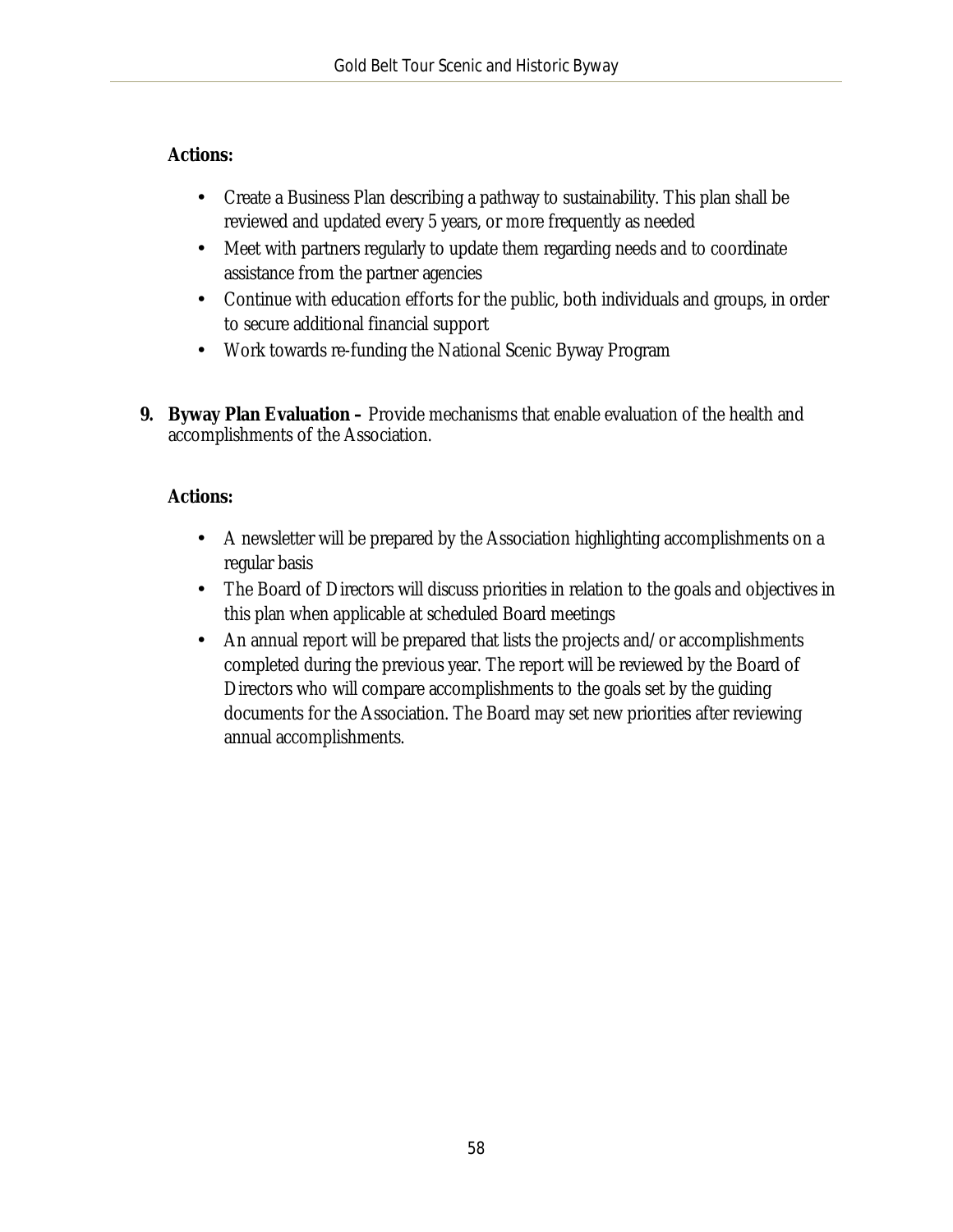#### **Actions:**

- Create a Business Plan describing a pathway to sustainability. This plan shall be  $\mathbf{r}$ reviewed and updated every 5 years, or more frequently as needed
- Meet with partners regularly to update them regarding needs and to coordinate  $\mathcal{L}^{\text{max}}$ assistance from the partner agencies
- Continue with education efforts for the public, both individuals and groups, in order  $\mathbf{r}$ to secure additional financial support
- Work towards re-funding the National Scenic Byway Program  $\mathcal{L}^{\text{max}}$
- **9. Byway Plan Evaluation –** Provide mechanisms that enable evaluation of the health and accomplishments of the Association.

### **Actions:**

- A newsletter will be prepared by the Association highlighting accomplishments on a L, regular basis
- The Board of Directors will discuss priorities in relation to the goals and objectives in this plan when applicable at scheduled Board meetings
- An annual report will be prepared that lists the projects and/or accomplishments  $\mathcal{L}^{\text{max}}$ completed during the previous year. The report will be reviewed by the Board of Directors who will compare accomplishments to the goals set by the guiding documents for the Association. The Board may set new priorities after reviewing annual accomplishments.